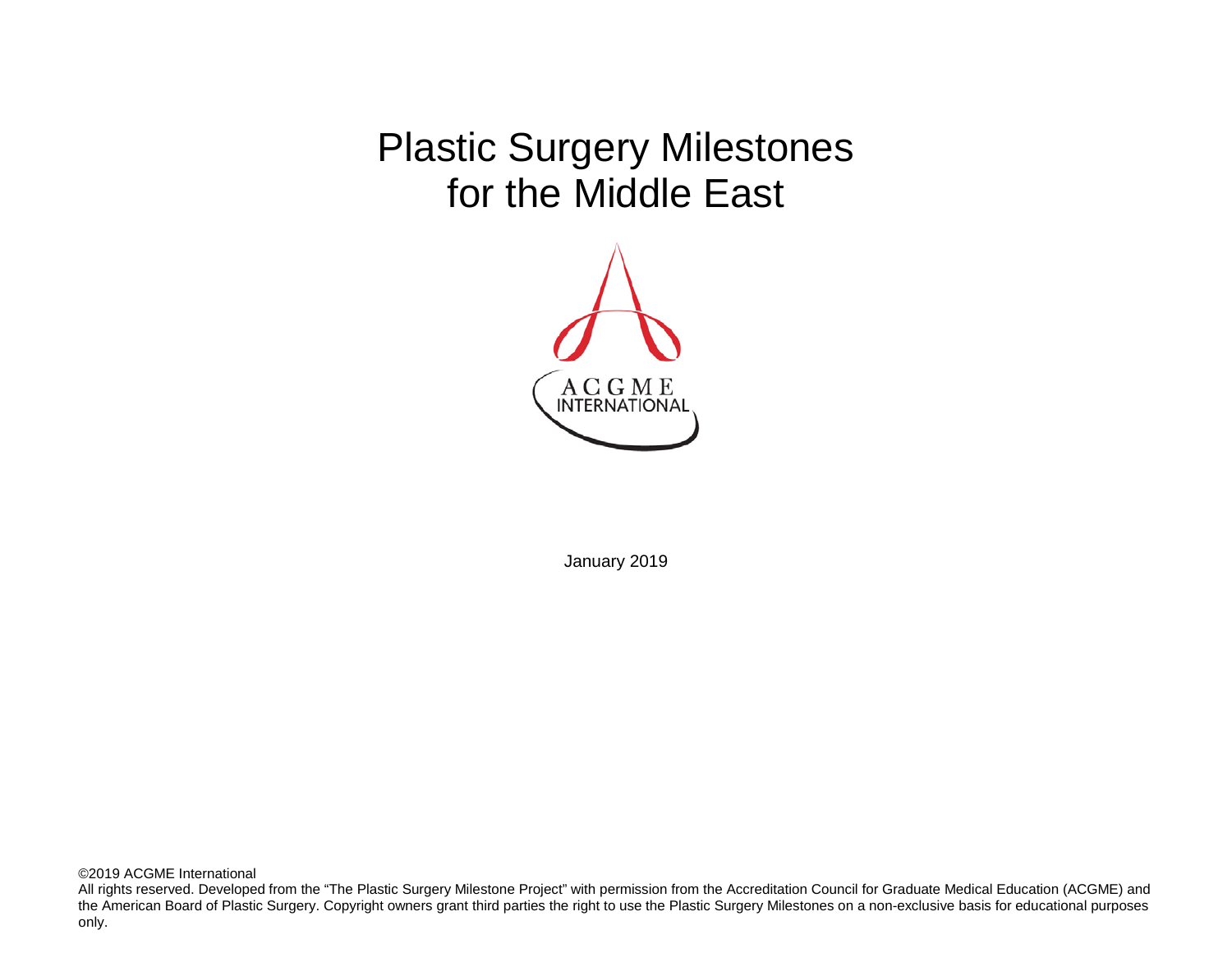Plastic Surgery Milestones for the Middle East



January 2019

©2019 ACGME International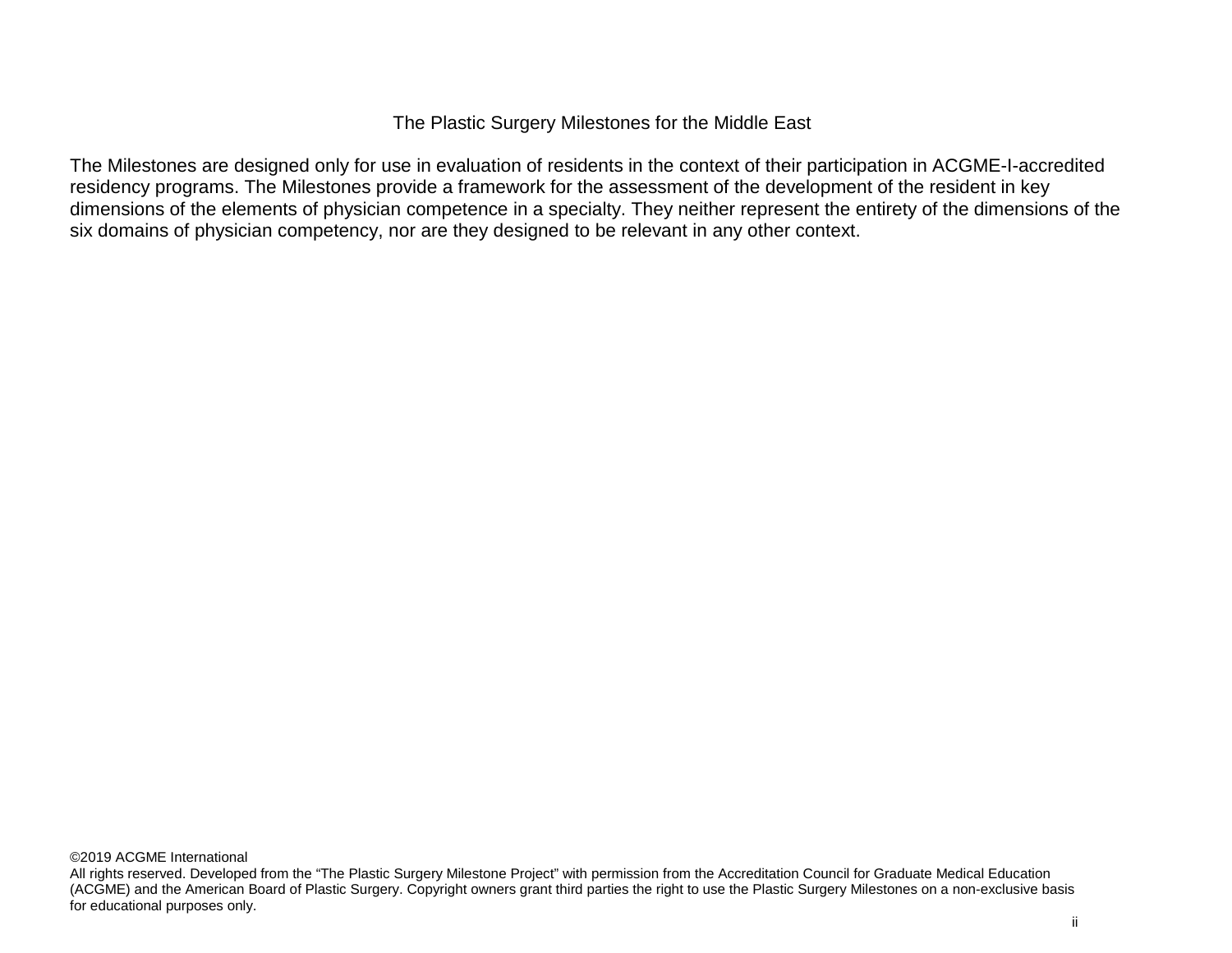The Plastic Surgery Milestones for the Middle East

The Milestones are designed only for use in evaluation of residents in the context of their participation in ACGME-I-accredited residency programs. The Milestones provide a framework for the assessment of the development of the resident in key dimensions of the elements of physician competence in a specialty. They neither represent the entirety of the dimensions of the six domains of physician competency, nor are they designed to be relevant in any other context.

All rights reserved. Developed from the "The Plastic Surgery Milestone Project" with permission from the Accreditation Council for Graduate Medical Education (ACGME) and the American Board of Plastic Surgery. Copyright owners grant third parties the right to use the Plastic Surgery Milestones on a non-exclusive basis for educational purposes only.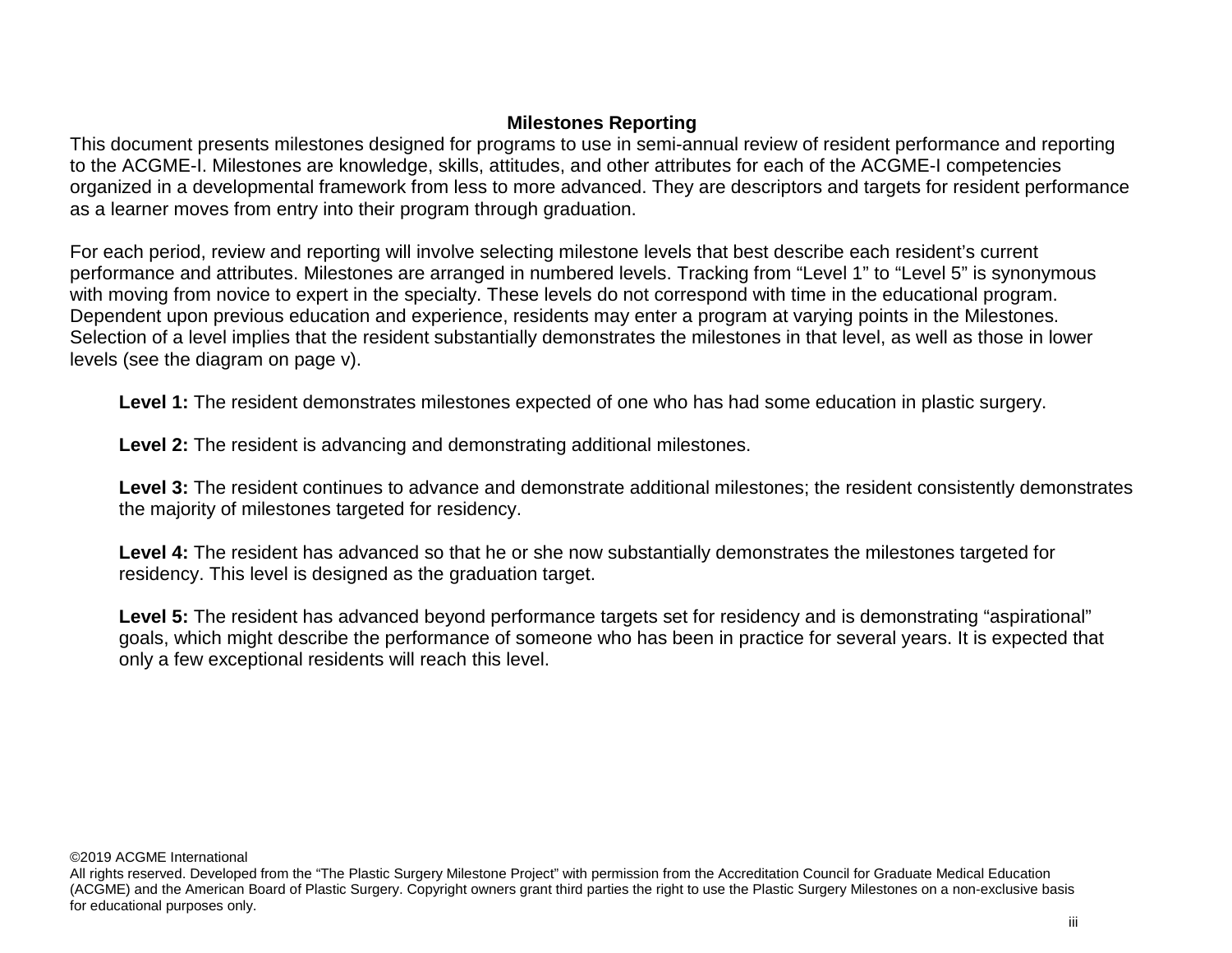# **Milestones Reporting**

This document presents milestones designed for programs to use in semi-annual review of resident performance and reporting to the ACGME-I. Milestones are knowledge, skills, attitudes, and other attributes for each of the ACGME-I competencies organized in a developmental framework from less to more advanced. They are descriptors and targets for resident performance as a learner moves from entry into their program through graduation.

For each period, review and reporting will involve selecting milestone levels that best describe each resident's current performance and attributes. Milestones are arranged in numbered levels. Tracking from "Level 1" to "Level 5" is synonymous with moving from novice to expert in the specialty. These levels do not correspond with time in the educational program. Dependent upon previous education and experience, residents may enter a program at varying points in the Milestones. Selection of a level implies that the resident substantially demonstrates the milestones in that level, as well as those in lower levels (see the diagram on page v).

Level 1: The resident demonstrates milestones expected of one who has had some education in plastic surgery.

**Level 2:** The resident is advancing and demonstrating additional milestones.

**Level 3:** The resident continues to advance and demonstrate additional milestones; the resident consistently demonstrates the majority of milestones targeted for residency.

**Level 4:** The resident has advanced so that he or she now substantially demonstrates the milestones targeted for residency. This level is designed as the graduation target.

Level 5: The resident has advanced beyond performance targets set for residency and is demonstrating "aspirational" goals, which might describe the performance of someone who has been in practice for several years. It is expected that only a few exceptional residents will reach this level.

All rights reserved. Developed from the "The Plastic Surgery Milestone Project" with permission from the Accreditation Council for Graduate Medical Education (ACGME) and the American Board of Plastic Surgery. Copyright owners grant third parties the right to use the Plastic Surgery Milestones on a non-exclusive basis for educational purposes only.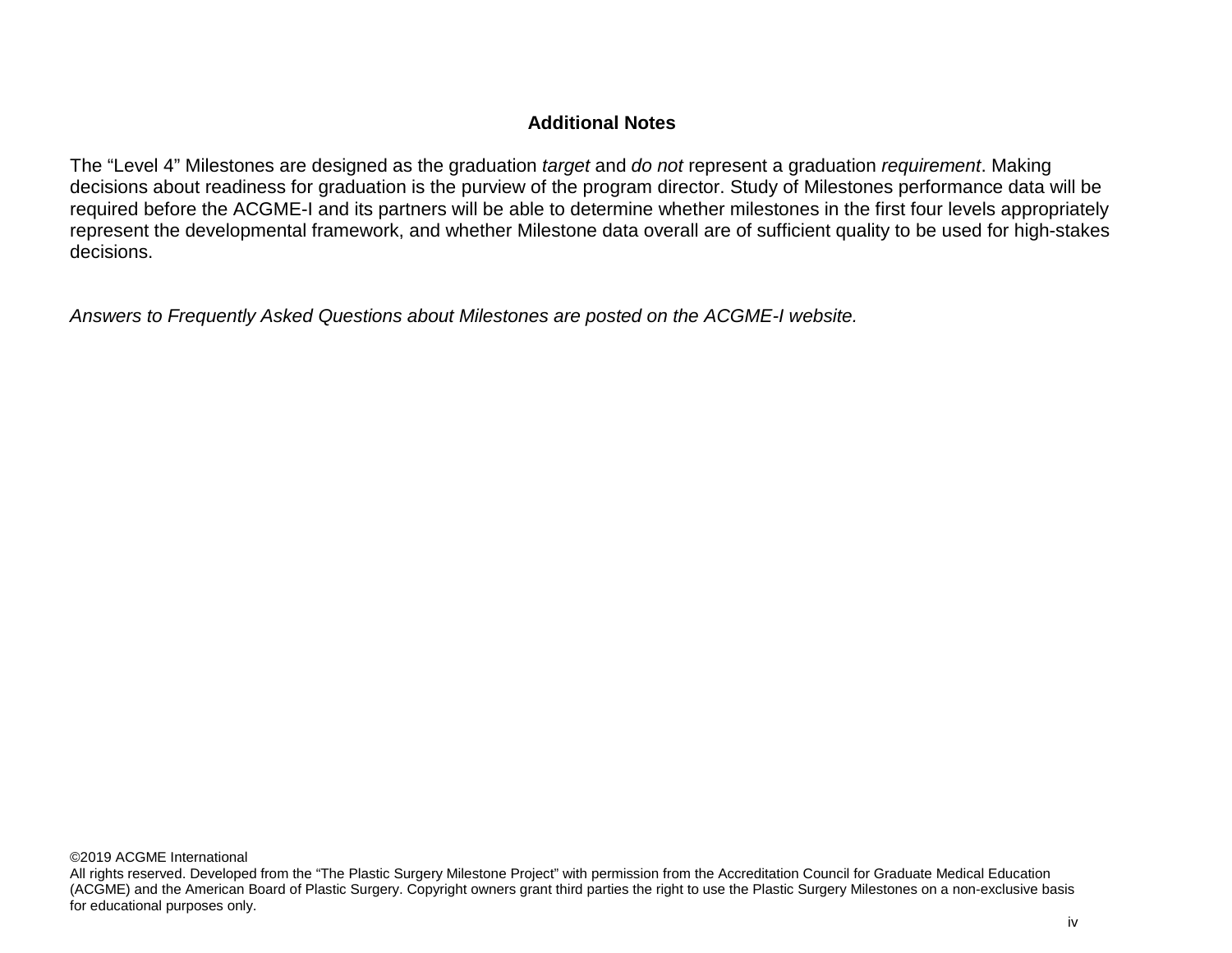# **Additional Notes**

The "Level 4" Milestones are designed as the graduation *target* and *do not* represent a graduation *requirement*. Making decisions about readiness for graduation is the purview of the program director. Study of Milestones performance data will be required before the ACGME-I and its partners will be able to determine whether milestones in the first four levels appropriately represent the developmental framework, and whether Milestone data overall are of sufficient quality to be used for high-stakes decisions.

*Answers to Frequently Asked Questions about Milestones are posted on the ACGME-I website.*

All rights reserved. Developed from the "The Plastic Surgery Milestone Project" with permission from the Accreditation Council for Graduate Medical Education (ACGME) and the American Board of Plastic Surgery. Copyright owners grant third parties the right to use the Plastic Surgery Milestones on a non-exclusive basis for educational purposes only.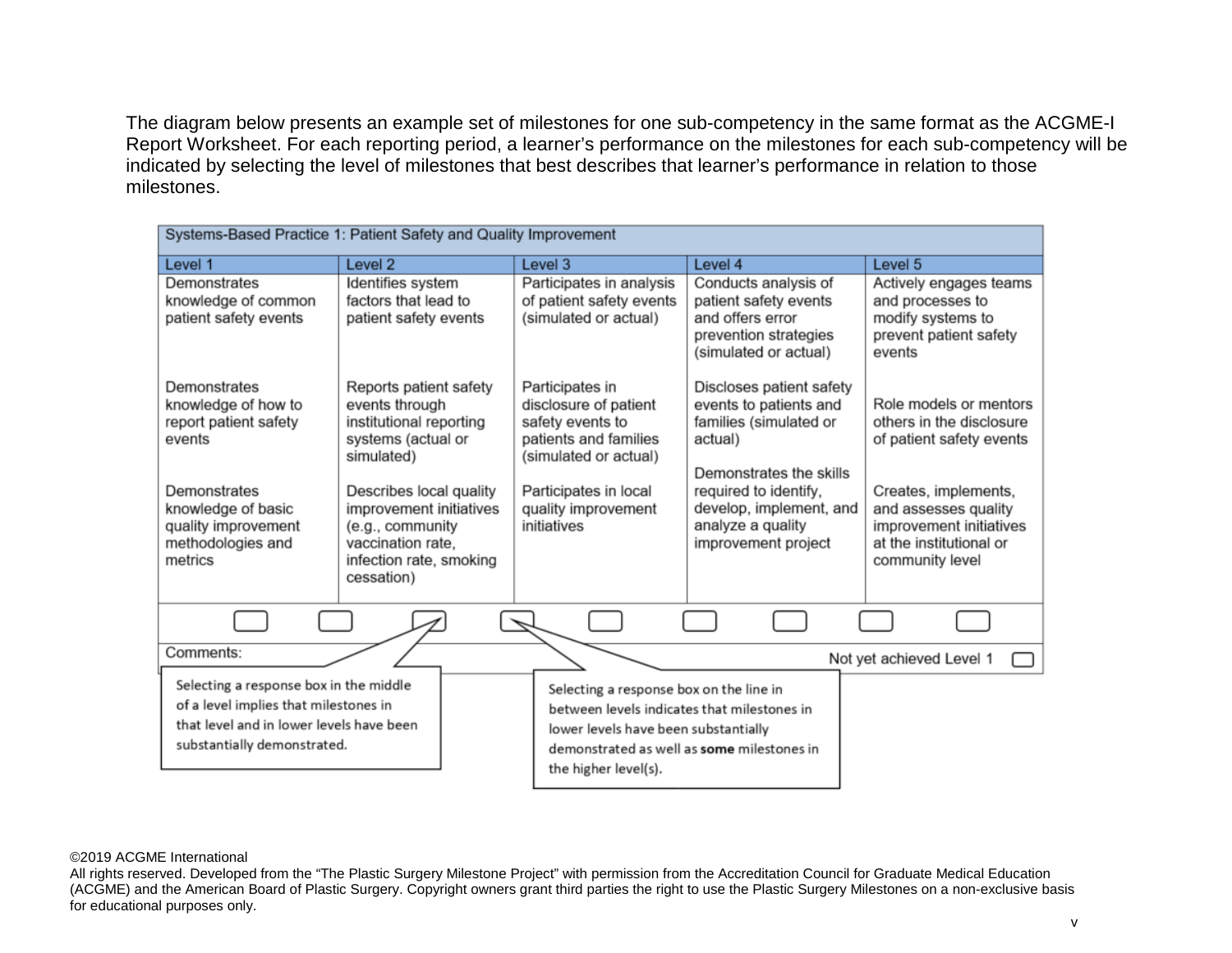The diagram below presents an example set of milestones for one sub-competency in the same format as the ACGME-I Report Worksheet. For each reporting period, a learner's performance on the milestones for each sub-competency will be indicated by selecting the level of milestones that best describes that learner's performance in relation to those milestones.

| Systems-Based Practice 1: Patient Safety and Quality Improvement                                                                                           |                                                                                                                                    |                                                                                                                                                                                                      |                                                                                                                                             |                                                                                                        |  |
|------------------------------------------------------------------------------------------------------------------------------------------------------------|------------------------------------------------------------------------------------------------------------------------------------|------------------------------------------------------------------------------------------------------------------------------------------------------------------------------------------------------|---------------------------------------------------------------------------------------------------------------------------------------------|--------------------------------------------------------------------------------------------------------|--|
| Level 1                                                                                                                                                    | Level <sub>2</sub>                                                                                                                 | Level 3                                                                                                                                                                                              | Level 4                                                                                                                                     | Level <sub>5</sub>                                                                                     |  |
| Demonstrates<br>knowledge of common<br>patient safety events                                                                                               | Identifies system<br>factors that lead to<br>patient safety events                                                                 | Participates in analysis<br>of patient safety events<br>(simulated or actual)                                                                                                                        | Conducts analysis of<br>patient safety events<br>and offers error<br>prevention strategies<br>(simulated or actual)                         | Actively engages teams<br>and processes to<br>modify systems to<br>prevent patient safety<br>events    |  |
| Demonstrates<br>knowledge of how to<br>report patient safety<br>events<br>Demonstrates                                                                     | Reports patient safety<br>events through<br>institutional reporting<br>systems (actual or<br>simulated)<br>Describes local quality | Participates in<br>disclosure of patient<br>safety events to<br>patients and families<br>(simulated or actual)<br>Participates in local                                                              | Discloses patient safety<br>events to patients and<br>families (simulated or<br>actual)<br>Demonstrates the skills<br>required to identify, | Role models or mentors<br>others in the disclosure<br>of patient safety events<br>Creates, implements, |  |
| knowledge of basic<br>quality improvement<br>methodologies and<br>metrics                                                                                  | improvement initiatives<br>(e.g., community<br>vaccination rate.<br>infection rate, smoking<br>cessation)                          | quality improvement<br>initiatives                                                                                                                                                                   | develop, implement, and<br>analyze a quality<br>improvement project                                                                         | and assesses quality<br>improvement initiatives<br>at the institutional or<br>community level          |  |
|                                                                                                                                                            |                                                                                                                                    |                                                                                                                                                                                                      |                                                                                                                                             |                                                                                                        |  |
| Comments:                                                                                                                                                  |                                                                                                                                    |                                                                                                                                                                                                      |                                                                                                                                             | Not yet achieved Level 1                                                                               |  |
| Selecting a response box in the middle<br>of a level implies that milestones in<br>that level and in lower levels have been<br>substantially demonstrated. |                                                                                                                                    | Selecting a response box on the line in<br>between levels indicates that milestones in<br>lower levels have been substantially<br>demonstrated as well as some milestones in<br>the higher level(s). |                                                                                                                                             |                                                                                                        |  |

#### ©2019 ACGME International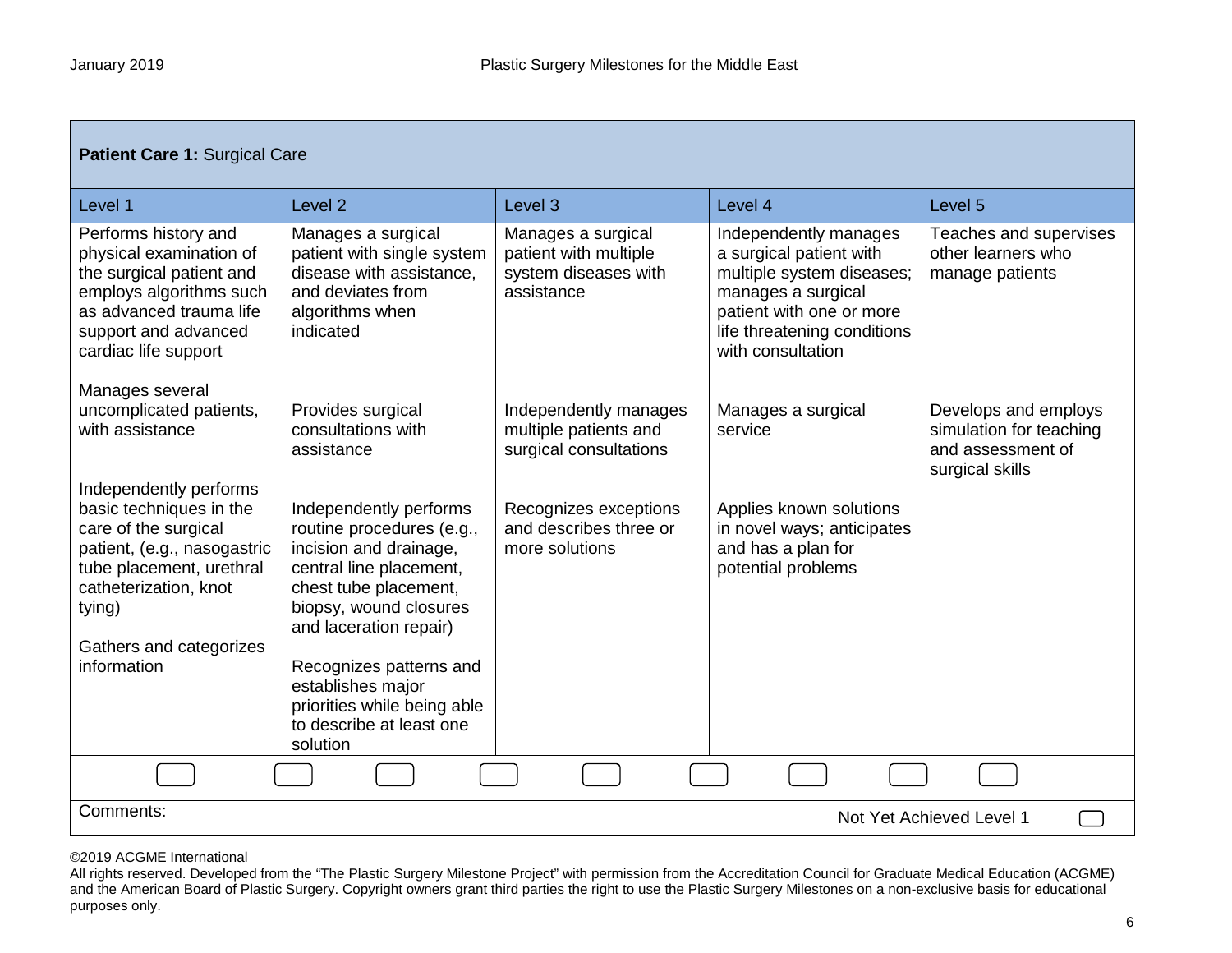| Patient Care 1: Surgical Care                                                                                                                                                                                     |                                                                                                                                                                                                                                                                                                              |                                                                                   |                                                                                                                                                                                     |                                                                                         |  |
|-------------------------------------------------------------------------------------------------------------------------------------------------------------------------------------------------------------------|--------------------------------------------------------------------------------------------------------------------------------------------------------------------------------------------------------------------------------------------------------------------------------------------------------------|-----------------------------------------------------------------------------------|-------------------------------------------------------------------------------------------------------------------------------------------------------------------------------------|-----------------------------------------------------------------------------------------|--|
| Level 1                                                                                                                                                                                                           | Level <sub>2</sub>                                                                                                                                                                                                                                                                                           | Level <sub>3</sub>                                                                | Level 4                                                                                                                                                                             | Level 5                                                                                 |  |
| Performs history and<br>physical examination of<br>the surgical patient and<br>employs algorithms such<br>as advanced trauma life<br>support and advanced<br>cardiac life support                                 | Manages a surgical<br>patient with single system<br>disease with assistance,<br>and deviates from<br>algorithms when<br>indicated                                                                                                                                                                            | Manages a surgical<br>patient with multiple<br>system diseases with<br>assistance | Independently manages<br>a surgical patient with<br>multiple system diseases;<br>manages a surgical<br>patient with one or more<br>life threatening conditions<br>with consultation | Teaches and supervises<br>other learners who<br>manage patients                         |  |
| Manages several<br>uncomplicated patients,<br>with assistance                                                                                                                                                     | Provides surgical<br>consultations with<br>assistance                                                                                                                                                                                                                                                        | Independently manages<br>multiple patients and<br>surgical consultations          | Manages a surgical<br>service                                                                                                                                                       | Develops and employs<br>simulation for teaching<br>and assessment of<br>surgical skills |  |
| Independently performs<br>basic techniques in the<br>care of the surgical<br>patient, (e.g., nasogastric<br>tube placement, urethral<br>catheterization, knot<br>tying)<br>Gathers and categorizes<br>information | Independently performs<br>routine procedures (e.g.,<br>incision and drainage,<br>central line placement,<br>chest tube placement,<br>biopsy, wound closures<br>and laceration repair)<br>Recognizes patterns and<br>establishes major<br>priorities while being able<br>to describe at least one<br>solution | Recognizes exceptions<br>and describes three or<br>more solutions                 | Applies known solutions<br>in novel ways; anticipates<br>and has a plan for<br>potential problems                                                                                   |                                                                                         |  |
|                                                                                                                                                                                                                   |                                                                                                                                                                                                                                                                                                              |                                                                                   |                                                                                                                                                                                     |                                                                                         |  |
| Comments:<br>Not Yet Achieved Level 1                                                                                                                                                                             |                                                                                                                                                                                                                                                                                                              |                                                                                   |                                                                                                                                                                                     |                                                                                         |  |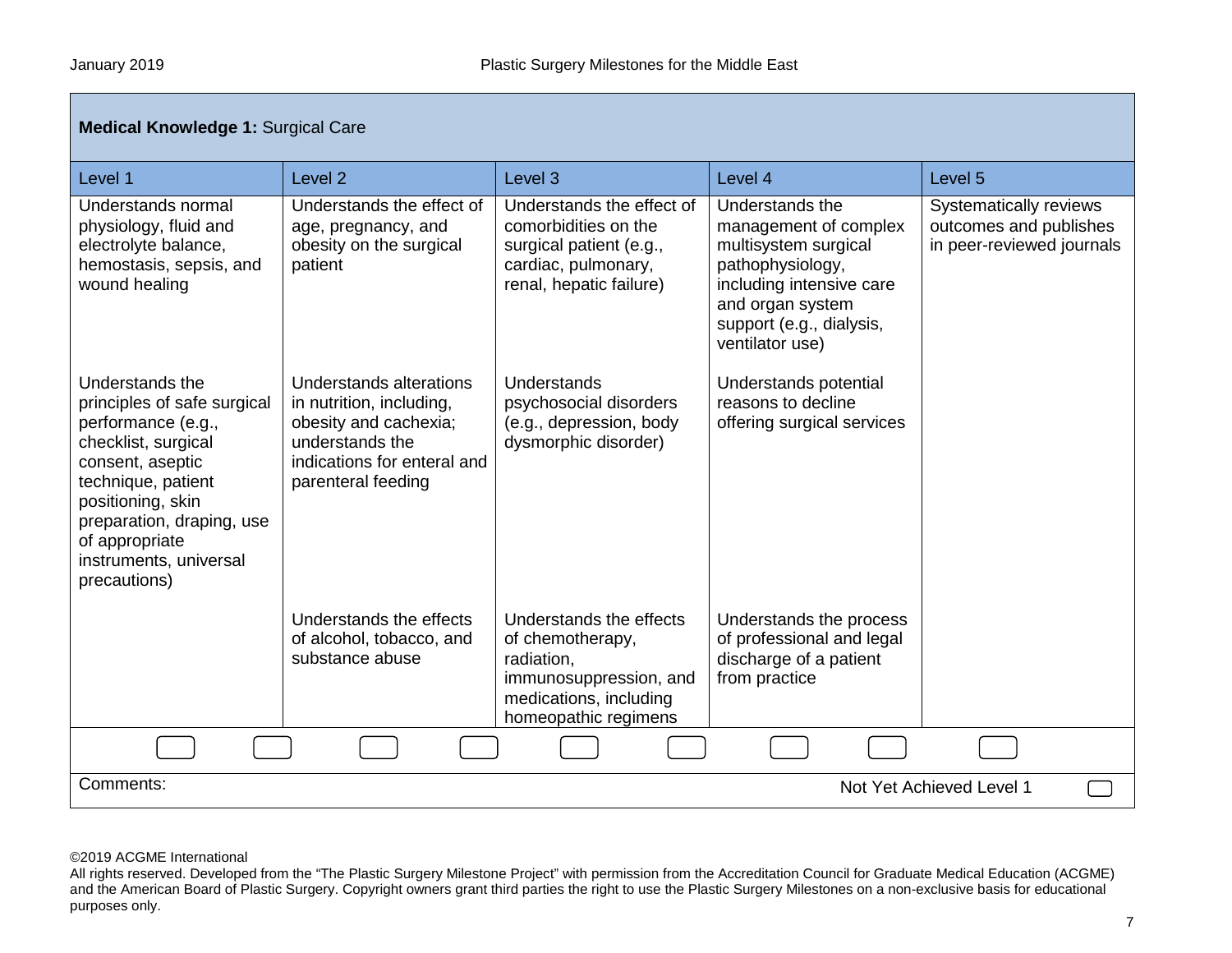| <b>Medical Knowledge 1: Surgical Care</b>                                                                                                                                                                                                           |                                                                                                                                                      |                                                                                                                                       |                                                                                                                                                                                     |                                                                                      |
|-----------------------------------------------------------------------------------------------------------------------------------------------------------------------------------------------------------------------------------------------------|------------------------------------------------------------------------------------------------------------------------------------------------------|---------------------------------------------------------------------------------------------------------------------------------------|-------------------------------------------------------------------------------------------------------------------------------------------------------------------------------------|--------------------------------------------------------------------------------------|
| Level 1                                                                                                                                                                                                                                             | Level <sub>2</sub>                                                                                                                                   | Level <sub>3</sub>                                                                                                                    | Level 4                                                                                                                                                                             | Level 5                                                                              |
| Understands normal<br>physiology, fluid and<br>electrolyte balance,<br>hemostasis, sepsis, and<br>wound healing                                                                                                                                     | Understands the effect of<br>age, pregnancy, and<br>obesity on the surgical<br>patient                                                               | Understands the effect of<br>comorbidities on the<br>surgical patient (e.g.,<br>cardiac, pulmonary,<br>renal, hepatic failure)        | Understands the<br>management of complex<br>multisystem surgical<br>pathophysiology,<br>including intensive care<br>and organ system<br>support (e.g., dialysis,<br>ventilator use) | <b>Systematically reviews</b><br>outcomes and publishes<br>in peer-reviewed journals |
| Understands the<br>principles of safe surgical<br>performance (e.g.,<br>checklist, surgical<br>consent, aseptic<br>technique, patient<br>positioning, skin<br>preparation, draping, use<br>of appropriate<br>instruments, universal<br>precautions) | Understands alterations<br>in nutrition, including,<br>obesity and cachexia;<br>understands the<br>indications for enteral and<br>parenteral feeding | Understands<br>psychosocial disorders<br>(e.g., depression, body<br>dysmorphic disorder)                                              | Understands potential<br>reasons to decline<br>offering surgical services                                                                                                           |                                                                                      |
|                                                                                                                                                                                                                                                     | Understands the effects<br>of alcohol, tobacco, and<br>substance abuse                                                                               | Understands the effects<br>of chemotherapy,<br>radiation,<br>immunosuppression, and<br>medications, including<br>homeopathic regimens | Understands the process<br>of professional and legal<br>discharge of a patient<br>from practice                                                                                     |                                                                                      |
|                                                                                                                                                                                                                                                     |                                                                                                                                                      |                                                                                                                                       |                                                                                                                                                                                     |                                                                                      |
| Comments:                                                                                                                                                                                                                                           |                                                                                                                                                      |                                                                                                                                       |                                                                                                                                                                                     | Not Yet Achieved Level 1                                                             |

All rights reserved. Developed from the "The Plastic Surgery Milestone Project" with permission from the Accreditation Council for Graduate Medical Education (ACGME) and the American Board of Plastic Surgery. Copyright owners grant third parties the right to use the Plastic Surgery Milestones on a non-exclusive basis for educational purposes only.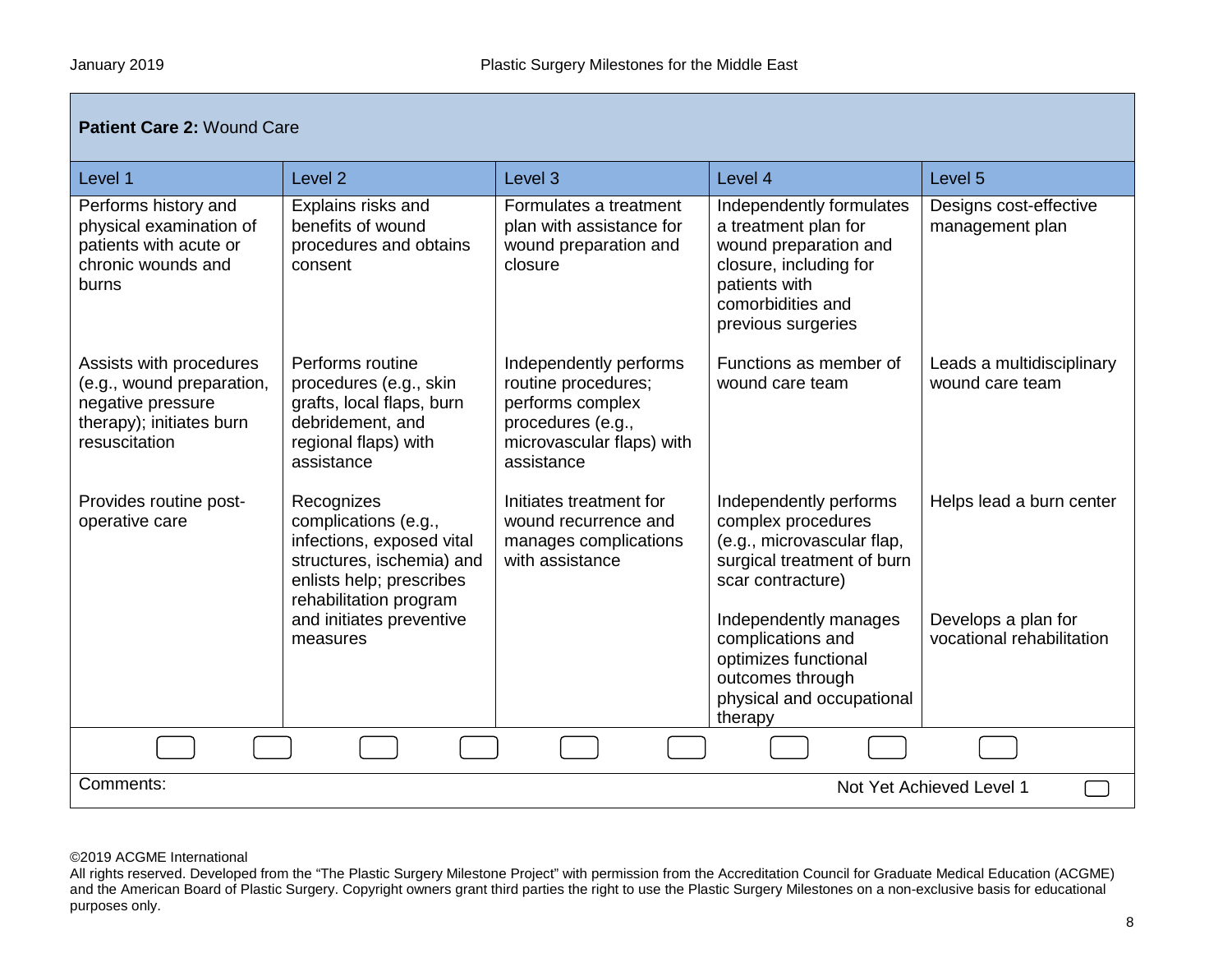Г

| Patient Care 2: Wound Care                                                                                             |                                                                                                                                                                                            |                                                                                                                                   |                                                                                                                                                                             |                                                                              |  |
|------------------------------------------------------------------------------------------------------------------------|--------------------------------------------------------------------------------------------------------------------------------------------------------------------------------------------|-----------------------------------------------------------------------------------------------------------------------------------|-----------------------------------------------------------------------------------------------------------------------------------------------------------------------------|------------------------------------------------------------------------------|--|
| Level 1                                                                                                                | Level <sub>2</sub>                                                                                                                                                                         | Level <sub>3</sub>                                                                                                                | Level 4                                                                                                                                                                     | Level 5                                                                      |  |
| Performs history and<br>physical examination of<br>patients with acute or<br>chronic wounds and<br>burns               | Explains risks and<br>benefits of wound<br>procedures and obtains<br>consent                                                                                                               | Formulates a treatment<br>plan with assistance for<br>wound preparation and<br>closure                                            | Independently formulates<br>a treatment plan for<br>wound preparation and<br>closure, including for<br>patients with<br>comorbidities and<br>previous surgeries             | Designs cost-effective<br>management plan                                    |  |
| Assists with procedures<br>(e.g., wound preparation,<br>negative pressure<br>therapy); initiates burn<br>resuscitation | Performs routine<br>procedures (e.g., skin<br>grafts, local flaps, burn<br>debridement, and<br>regional flaps) with<br>assistance                                                          | Independently performs<br>routine procedures;<br>performs complex<br>procedures (e.g.,<br>microvascular flaps) with<br>assistance | Functions as member of<br>wound care team                                                                                                                                   | Leads a multidisciplinary<br>wound care team                                 |  |
| Provides routine post-<br>operative care                                                                               | Recognizes<br>complications (e.g.,<br>infections, exposed vital<br>structures, ischemia) and<br>enlists help; prescribes<br>rehabilitation program<br>and initiates preventive<br>measures | Initiates treatment for<br>wound recurrence and<br>manages complications<br>with assistance                                       | Independently performs<br>complex procedures<br>(e.g., microvascular flap,<br>surgical treatment of burn<br>scar contracture)<br>Independently manages<br>complications and | Helps lead a burn center<br>Develops a plan for<br>vocational rehabilitation |  |
|                                                                                                                        |                                                                                                                                                                                            |                                                                                                                                   | optimizes functional<br>outcomes through<br>physical and occupational<br>therapy                                                                                            |                                                                              |  |
|                                                                                                                        |                                                                                                                                                                                            |                                                                                                                                   |                                                                                                                                                                             |                                                                              |  |
| Comments:                                                                                                              |                                                                                                                                                                                            |                                                                                                                                   |                                                                                                                                                                             | Not Yet Achieved Level 1                                                     |  |

All rights reserved. Developed from the "The Plastic Surgery Milestone Project" with permission from the Accreditation Council for Graduate Medical Education (ACGME) and the American Board of Plastic Surgery. Copyright owners grant third parties the right to use the Plastic Surgery Milestones on a non-exclusive basis for educational purposes only.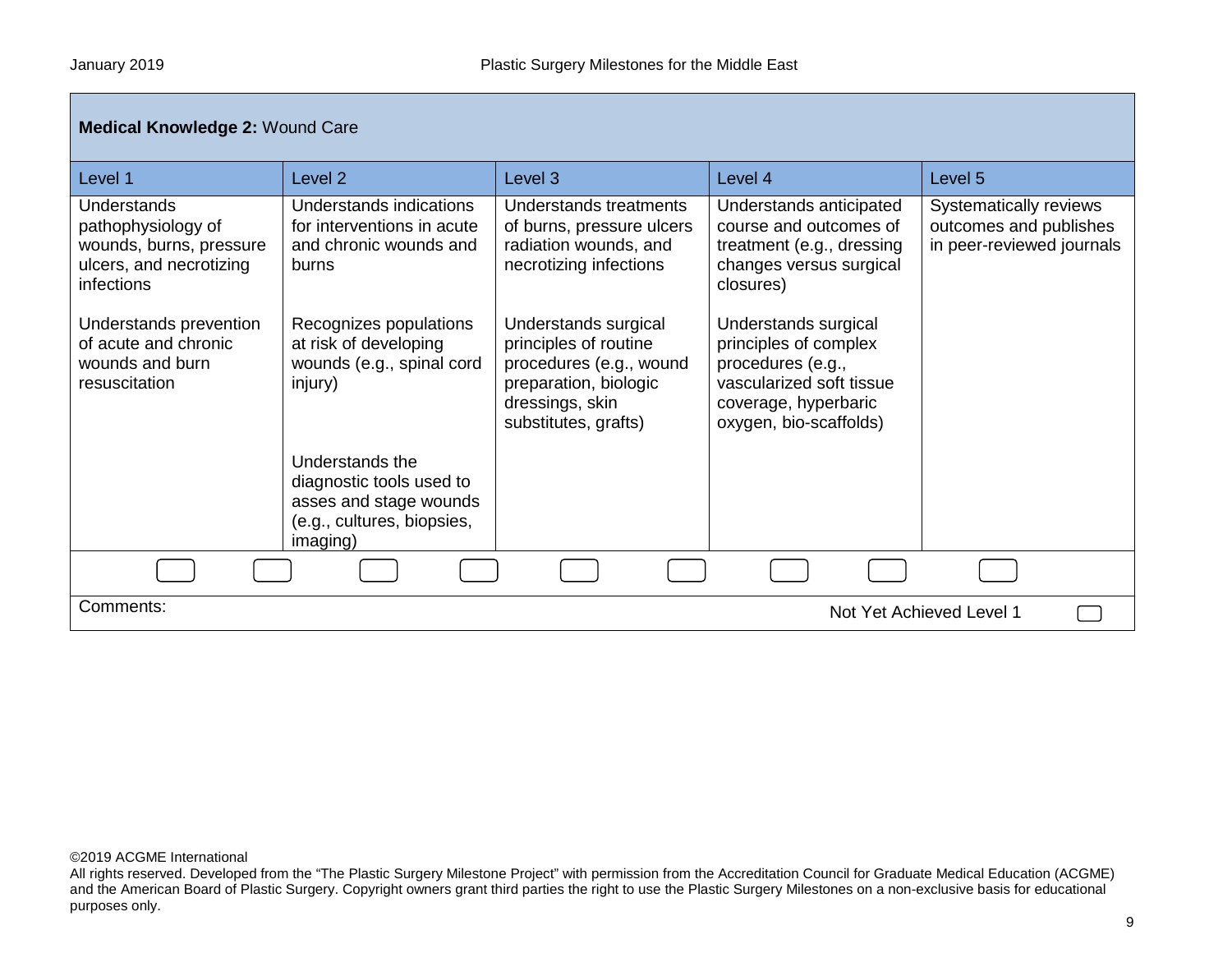| <b>Medical Knowledge 2: Wound Care</b>                                                                                          |                                                                                                                    |                                                                                                                                |                                                                                                                                                |                                                                               |
|---------------------------------------------------------------------------------------------------------------------------------|--------------------------------------------------------------------------------------------------------------------|--------------------------------------------------------------------------------------------------------------------------------|------------------------------------------------------------------------------------------------------------------------------------------------|-------------------------------------------------------------------------------|
| Level 1                                                                                                                         | Level 2                                                                                                            | Level 3                                                                                                                        | Level 4                                                                                                                                        | Level 5                                                                       |
| Understands<br>pathophysiology of<br>wounds, burns, pressure<br>ulcers, and necrotizing<br>infections<br>Understands prevention | Understands indications<br>for interventions in acute<br>and chronic wounds and<br>burns<br>Recognizes populations | Understands treatments<br>of burns, pressure ulcers<br>radiation wounds, and<br>necrotizing infections<br>Understands surgical | Understands anticipated<br>course and outcomes of<br>treatment (e.g., dressing<br>changes versus surgical<br>closures)<br>Understands surgical | Systematically reviews<br>outcomes and publishes<br>in peer-reviewed journals |
| of acute and chronic<br>wounds and burn<br>resuscitation                                                                        | at risk of developing<br>wounds (e.g., spinal cord<br>injury)                                                      | principles of routine<br>procedures (e.g., wound<br>preparation, biologic<br>dressings, skin<br>substitutes, grafts)           | principles of complex<br>procedures (e.g.,<br>vascularized soft tissue<br>coverage, hyperbaric<br>oxygen, bio-scaffolds)                       |                                                                               |
|                                                                                                                                 | Understands the<br>diagnostic tools used to<br>asses and stage wounds<br>(e.g., cultures, biopsies,<br>imaging)    |                                                                                                                                |                                                                                                                                                |                                                                               |
|                                                                                                                                 |                                                                                                                    |                                                                                                                                |                                                                                                                                                |                                                                               |
| Comments:<br>Not Yet Achieved Level 1                                                                                           |                                                                                                                    |                                                                                                                                |                                                                                                                                                |                                                                               |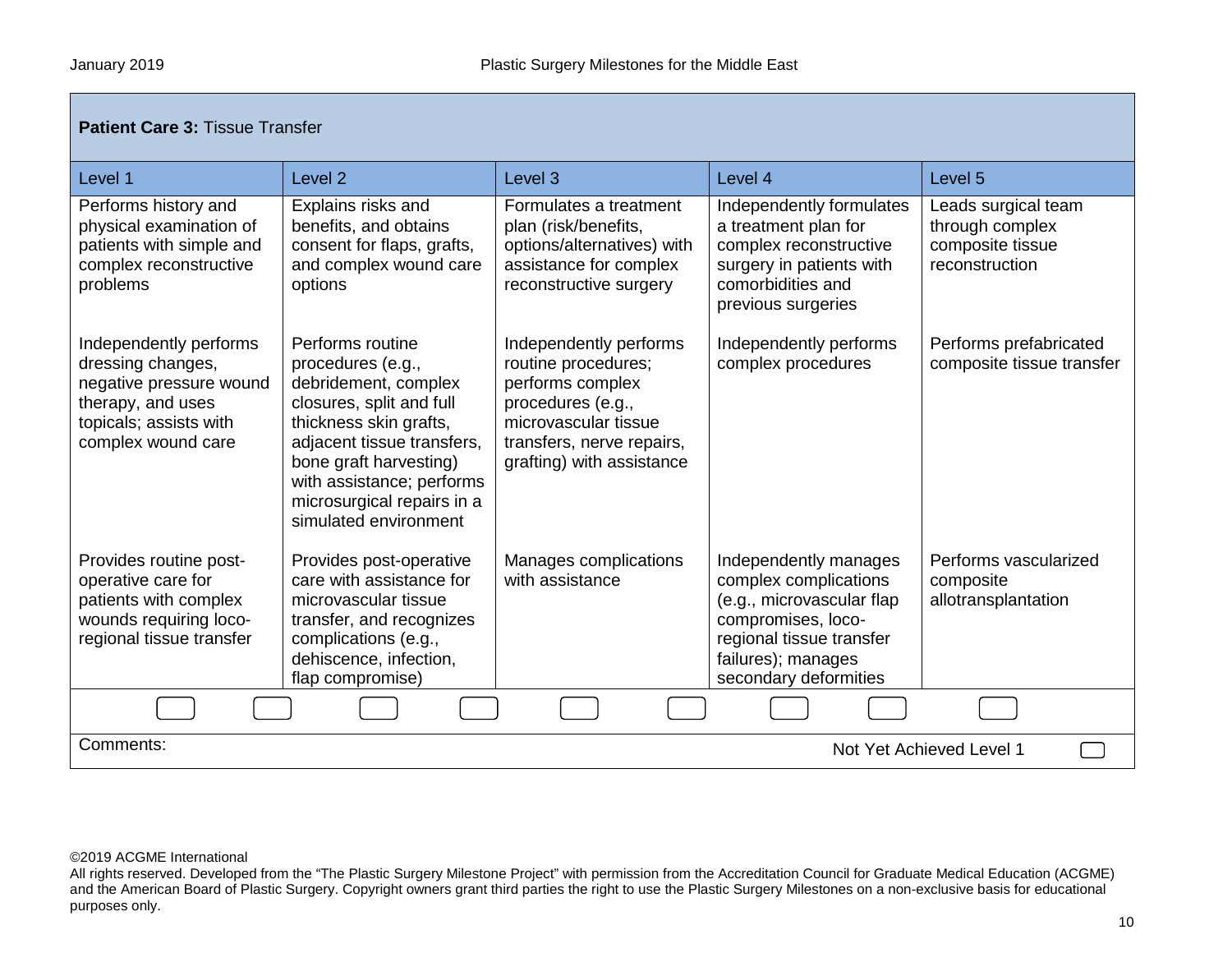| <b>Patient Care 3: Tissue Transfer</b>                                                                                                      |                                                                                                                                                                                                                                                                 |                                                                                                                                                                          |                                                                                                                                                                              |                                                                              |
|---------------------------------------------------------------------------------------------------------------------------------------------|-----------------------------------------------------------------------------------------------------------------------------------------------------------------------------------------------------------------------------------------------------------------|--------------------------------------------------------------------------------------------------------------------------------------------------------------------------|------------------------------------------------------------------------------------------------------------------------------------------------------------------------------|------------------------------------------------------------------------------|
| Level 1                                                                                                                                     | Level <sub>2</sub>                                                                                                                                                                                                                                              | Level <sub>3</sub>                                                                                                                                                       | Level 4                                                                                                                                                                      | Level <sub>5</sub>                                                           |
| Performs history and<br>physical examination of<br>patients with simple and<br>complex reconstructive<br>problems                           | Explains risks and<br>benefits, and obtains<br>consent for flaps, grafts,<br>and complex wound care<br>options                                                                                                                                                  | Formulates a treatment<br>plan (risk/benefits,<br>options/alternatives) with<br>assistance for complex<br>reconstructive surgery                                         | Independently formulates<br>a treatment plan for<br>complex reconstructive<br>surgery in patients with<br>comorbidities and<br>previous surgeries                            | Leads surgical team<br>through complex<br>composite tissue<br>reconstruction |
| Independently performs<br>dressing changes,<br>negative pressure wound<br>therapy, and uses<br>topicals; assists with<br>complex wound care | Performs routine<br>procedures (e.g.,<br>debridement, complex<br>closures, split and full<br>thickness skin grafts,<br>adjacent tissue transfers,<br>bone graft harvesting)<br>with assistance; performs<br>microsurgical repairs in a<br>simulated environment | Independently performs<br>routine procedures;<br>performs complex<br>procedures (e.g.,<br>microvascular tissue<br>transfers, nerve repairs,<br>grafting) with assistance | Independently performs<br>complex procedures                                                                                                                                 | Performs prefabricated<br>composite tissue transfer                          |
| Provides routine post-<br>operative care for<br>patients with complex<br>wounds requiring loco-<br>regional tissue transfer                 | Provides post-operative<br>care with assistance for<br>microvascular tissue<br>transfer, and recognizes<br>complications (e.g.,<br>dehiscence, infection,<br>flap compromise)                                                                                   | Manages complications<br>with assistance                                                                                                                                 | Independently manages<br>complex complications<br>(e.g., microvascular flap<br>compromises, loco-<br>regional tissue transfer<br>failures); manages<br>secondary deformities | Performs vascularized<br>composite<br>allotransplantation                    |
|                                                                                                                                             |                                                                                                                                                                                                                                                                 |                                                                                                                                                                          |                                                                                                                                                                              |                                                                              |
| Comments:<br>Not Yet Achieved Level 1                                                                                                       |                                                                                                                                                                                                                                                                 |                                                                                                                                                                          |                                                                                                                                                                              |                                                                              |

All rights reserved. Developed from the "The Plastic Surgery Milestone Project" with permission from the Accreditation Council for Graduate Medical Education (ACGME) and the American Board of Plastic Surgery. Copyright owners grant third parties the right to use the Plastic Surgery Milestones on a non-exclusive basis for educational purposes only.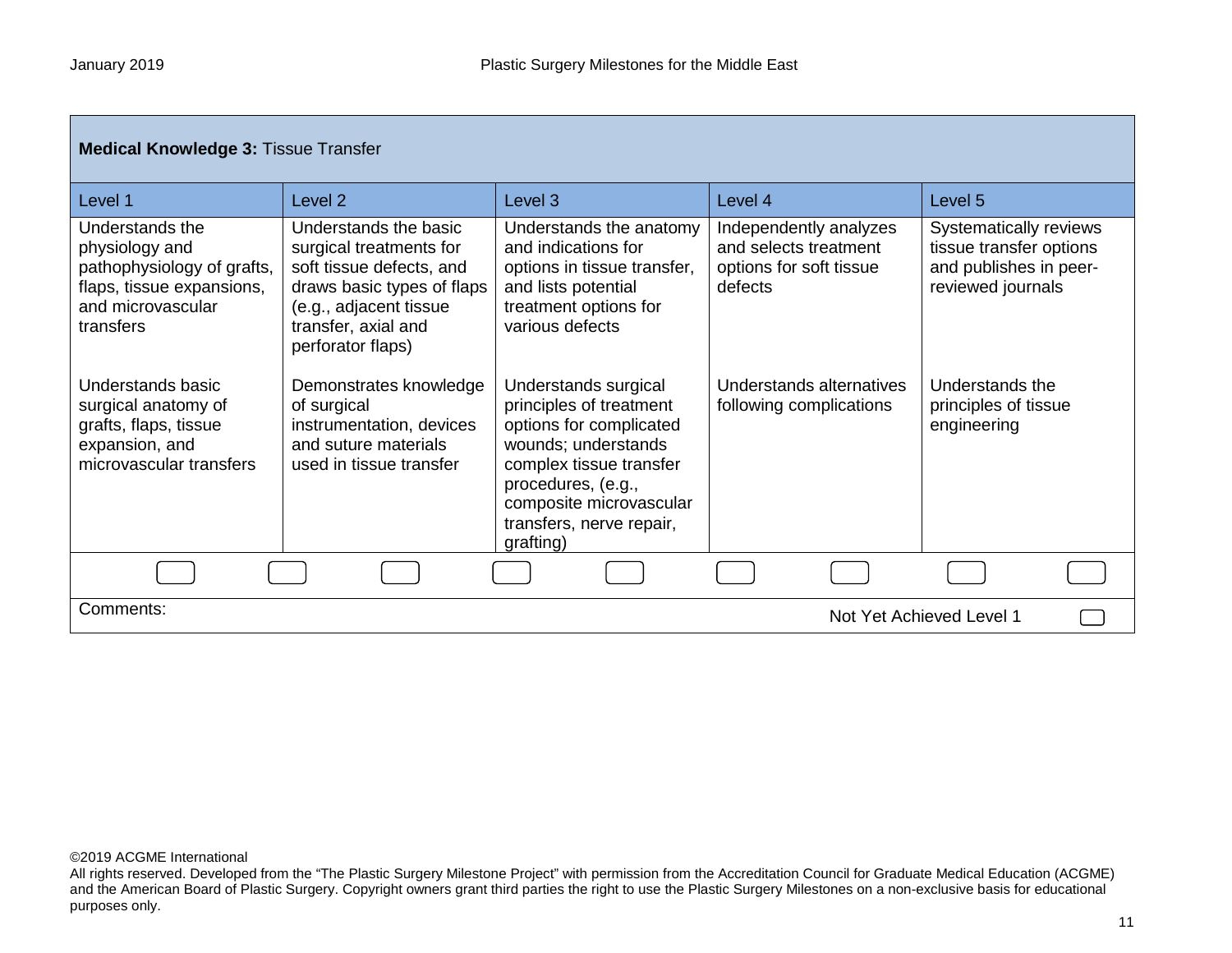г

| <b>Medical Knowledge 3: Tissue Transfer</b>                                                                                    |                                                                                                                                                                                  |                                                                                                                                                                                                                        |                                                                                       |                                                                                                  |
|--------------------------------------------------------------------------------------------------------------------------------|----------------------------------------------------------------------------------------------------------------------------------------------------------------------------------|------------------------------------------------------------------------------------------------------------------------------------------------------------------------------------------------------------------------|---------------------------------------------------------------------------------------|--------------------------------------------------------------------------------------------------|
| Level 1                                                                                                                        | Level <sub>2</sub>                                                                                                                                                               | Level 3                                                                                                                                                                                                                | Level 4                                                                               | Level 5                                                                                          |
| Understands the<br>physiology and<br>pathophysiology of grafts,<br>flaps, tissue expansions,<br>and microvascular<br>transfers | Understands the basic<br>surgical treatments for<br>soft tissue defects, and<br>draws basic types of flaps<br>(e.g., adjacent tissue<br>transfer, axial and<br>perforator flaps) | Understands the anatomy<br>and indications for<br>options in tissue transfer,<br>and lists potential<br>treatment options for<br>various defects                                                                       | Independently analyzes<br>and selects treatment<br>options for soft tissue<br>defects | Systematically reviews<br>tissue transfer options<br>and publishes in peer-<br>reviewed journals |
| Understands basic<br>surgical anatomy of<br>grafts, flaps, tissue<br>expansion, and<br>microvascular transfers                 | Demonstrates knowledge<br>of surgical<br>instrumentation, devices<br>and suture materials<br>used in tissue transfer                                                             | Understands surgical<br>principles of treatment<br>options for complicated<br>wounds; understands<br>complex tissue transfer<br>procedures, (e.g.,<br>composite microvascular<br>transfers, nerve repair,<br>grafting) | Understands alternatives<br>following complications                                   | Understands the<br>principles of tissue<br>engineering                                           |
|                                                                                                                                |                                                                                                                                                                                  |                                                                                                                                                                                                                        |                                                                                       |                                                                                                  |
| Comments:                                                                                                                      |                                                                                                                                                                                  |                                                                                                                                                                                                                        |                                                                                       | Not Yet Achieved Level 1                                                                         |

## ©2019 ACGME International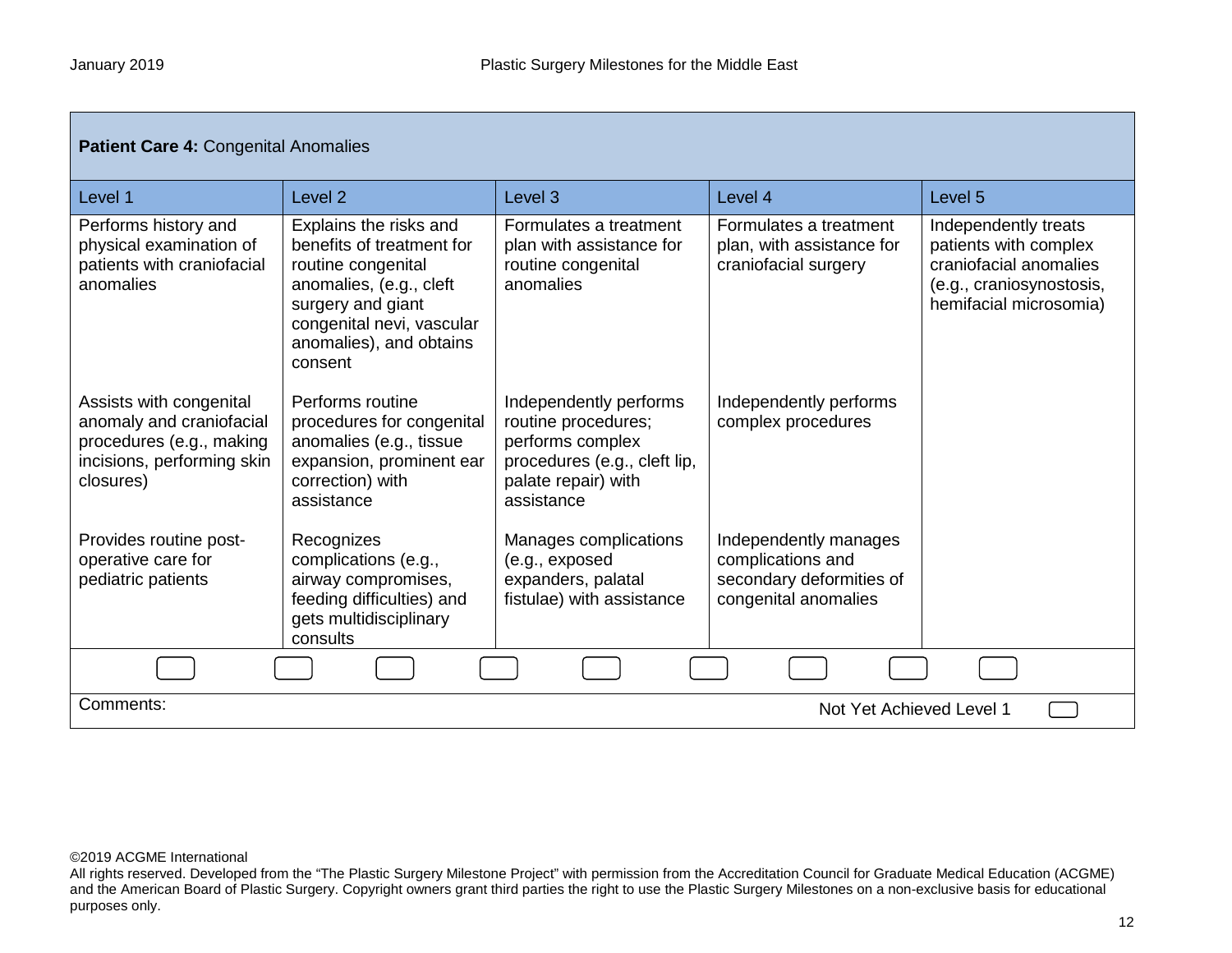| Patient Care 4: Congenital Anomalies                                                                                       |                                                                                                                                                                                              |                                                                                                                                        |                                                                                                |                                                                                                                               |
|----------------------------------------------------------------------------------------------------------------------------|----------------------------------------------------------------------------------------------------------------------------------------------------------------------------------------------|----------------------------------------------------------------------------------------------------------------------------------------|------------------------------------------------------------------------------------------------|-------------------------------------------------------------------------------------------------------------------------------|
| Level 1                                                                                                                    | Level <sub>2</sub>                                                                                                                                                                           | Level <sub>3</sub>                                                                                                                     | Level 4                                                                                        | Level <sub>5</sub>                                                                                                            |
| Performs history and<br>physical examination of<br>patients with craniofacial<br>anomalies                                 | Explains the risks and<br>benefits of treatment for<br>routine congenital<br>anomalies, (e.g., cleft<br>surgery and giant<br>congenital nevi, vascular<br>anomalies), and obtains<br>consent | Formulates a treatment<br>plan with assistance for<br>routine congenital<br>anomalies                                                  | Formulates a treatment<br>plan, with assistance for<br>craniofacial surgery                    | Independently treats<br>patients with complex<br>craniofacial anomalies<br>(e.g., craniosynostosis,<br>hemifacial microsomia) |
| Assists with congenital<br>anomaly and craniofacial<br>procedures (e.g., making<br>incisions, performing skin<br>closures) | Performs routine<br>procedures for congenital<br>anomalies (e.g., tissue<br>expansion, prominent ear<br>correction) with<br>assistance                                                       | Independently performs<br>routine procedures;<br>performs complex<br>procedures (e.g., cleft lip,<br>palate repair) with<br>assistance | Independently performs<br>complex procedures                                                   |                                                                                                                               |
| Provides routine post-<br>operative care for<br>pediatric patients                                                         | Recognizes<br>complications (e.g.,<br>airway compromises,<br>feeding difficulties) and<br>gets multidisciplinary<br>consults                                                                 | Manages complications<br>(e.g., exposed<br>expanders, palatal<br>fistulae) with assistance                                             | Independently manages<br>complications and<br>secondary deformities of<br>congenital anomalies |                                                                                                                               |
|                                                                                                                            |                                                                                                                                                                                              |                                                                                                                                        |                                                                                                |                                                                                                                               |
| Comments:<br>Not Yet Achieved Level 1                                                                                      |                                                                                                                                                                                              |                                                                                                                                        |                                                                                                |                                                                                                                               |

All rights reserved. Developed from the "The Plastic Surgery Milestone Project" with permission from the Accreditation Council for Graduate Medical Education (ACGME) and the American Board of Plastic Surgery. Copyright owners grant third parties the right to use the Plastic Surgery Milestones on a non-exclusive basis for educational purposes only.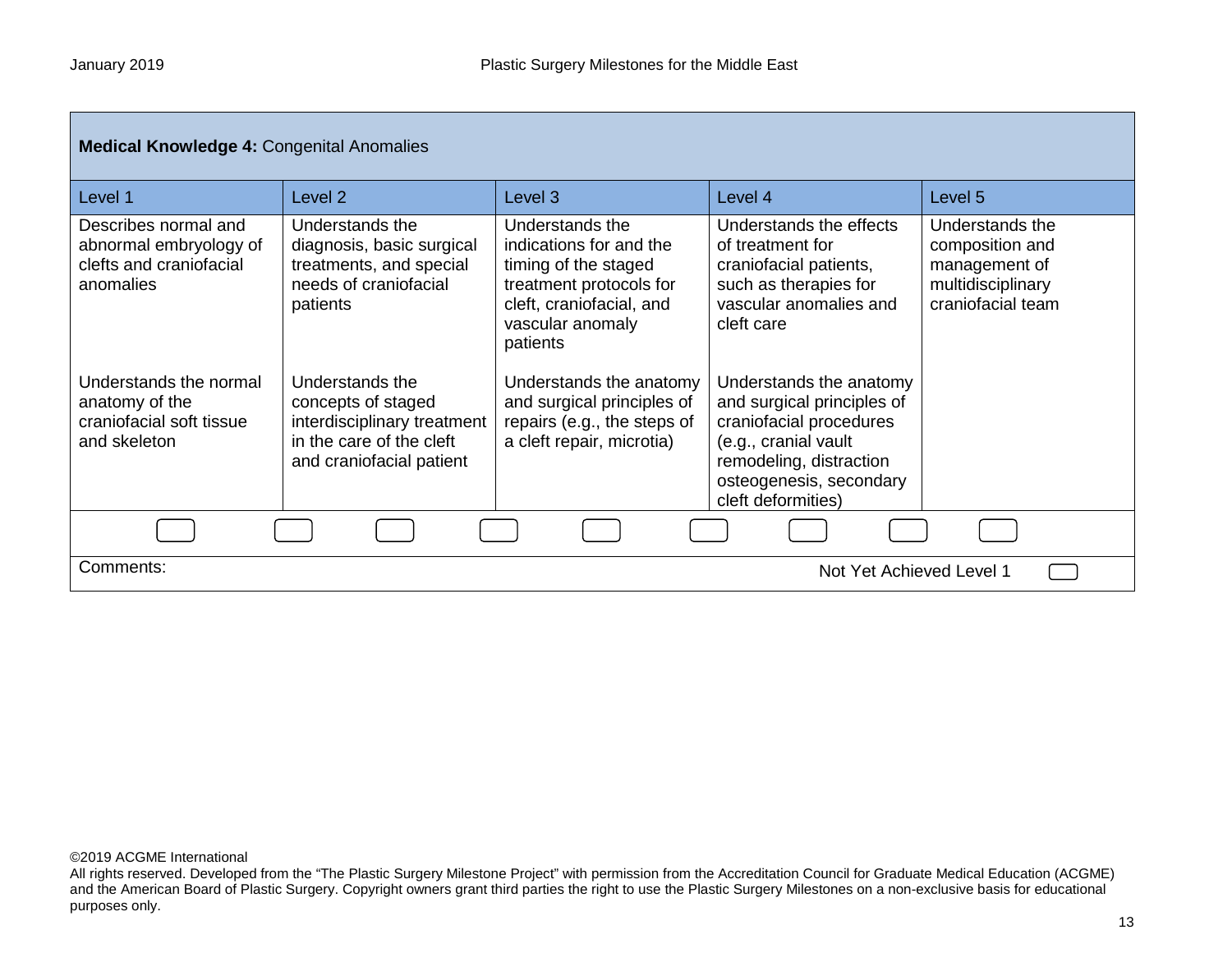| <b>Medical Knowledge 4: Congenital Anomalies</b>                                       |                                                                                                                              |                                                                                                                                                           |                                                                                                                                                                                      |                                                                                               |
|----------------------------------------------------------------------------------------|------------------------------------------------------------------------------------------------------------------------------|-----------------------------------------------------------------------------------------------------------------------------------------------------------|--------------------------------------------------------------------------------------------------------------------------------------------------------------------------------------|-----------------------------------------------------------------------------------------------|
| Level 1                                                                                | Level 2                                                                                                                      | Level <sub>3</sub>                                                                                                                                        | Level 4                                                                                                                                                                              | Level 5                                                                                       |
| Describes normal and<br>abnormal embryology of<br>clefts and craniofacial<br>anomalies | Understands the<br>diagnosis, basic surgical<br>treatments, and special<br>needs of craniofacial<br>patients                 | Understands the<br>indications for and the<br>timing of the staged<br>treatment protocols for<br>cleft, craniofacial, and<br>vascular anomaly<br>patients | Understands the effects<br>of treatment for<br>craniofacial patients,<br>such as therapies for<br>vascular anomalies and<br>cleft care                                               | Understands the<br>composition and<br>management of<br>multidisciplinary<br>craniofacial team |
| Understands the normal<br>anatomy of the<br>craniofacial soft tissue<br>and skeleton   | Understands the<br>concepts of staged<br>interdisciplinary treatment<br>in the care of the cleft<br>and craniofacial patient | Understands the anatomy<br>and surgical principles of<br>repairs (e.g., the steps of<br>a cleft repair, microtia)                                         | Understands the anatomy<br>and surgical principles of<br>craniofacial procedures<br>(e.g., cranial vault<br>remodeling, distraction<br>osteogenesis, secondary<br>cleft deformities) |                                                                                               |
|                                                                                        |                                                                                                                              |                                                                                                                                                           |                                                                                                                                                                                      |                                                                                               |
| Comments:                                                                              |                                                                                                                              |                                                                                                                                                           | Not Yet Achieved Level 1                                                                                                                                                             |                                                                                               |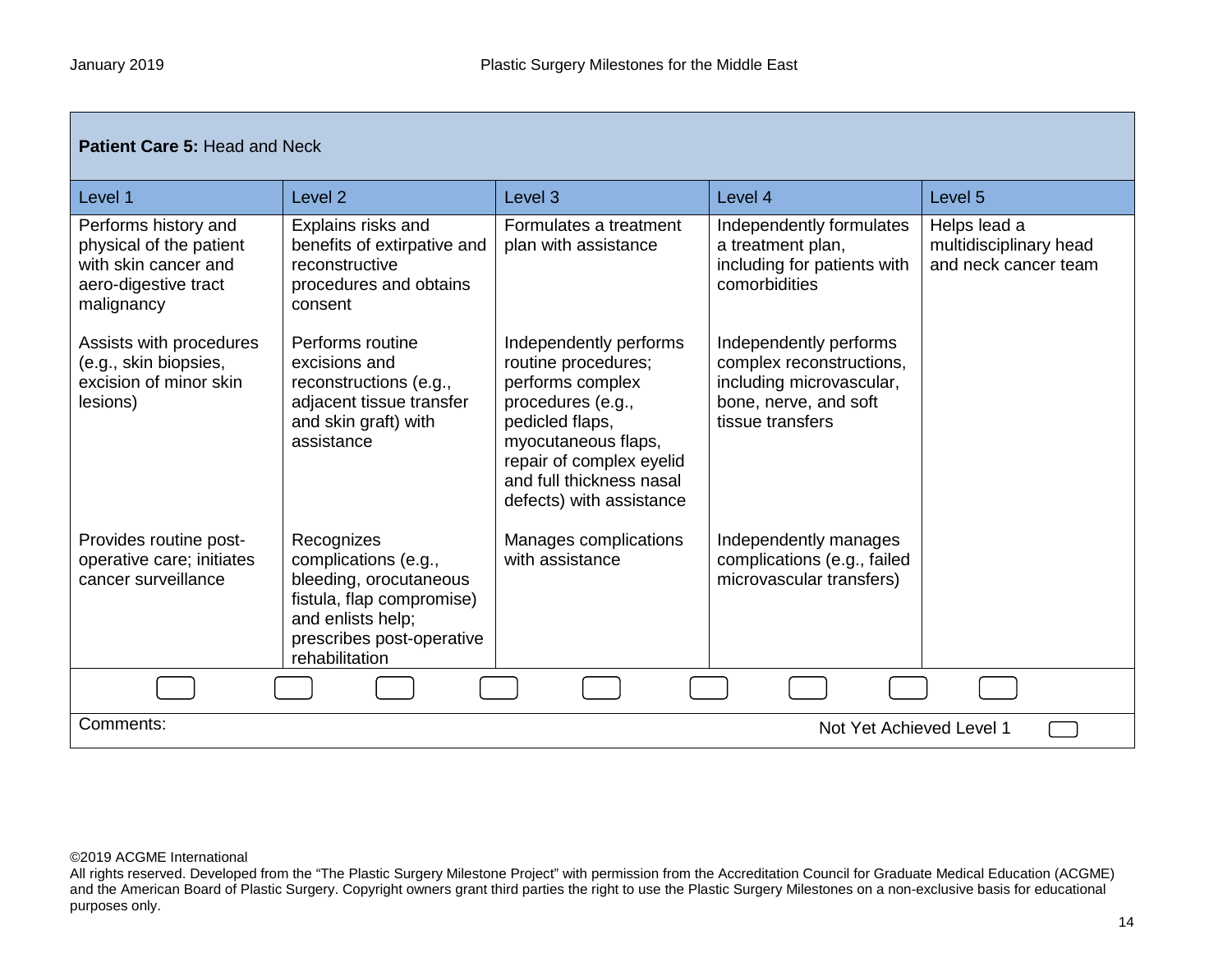| <b>Patient Care 5: Head and Neck</b>                                                                          |                                                                                                                                                               |                                                                                                                                                                                                                      |                                                                                                                             |                                                                |
|---------------------------------------------------------------------------------------------------------------|---------------------------------------------------------------------------------------------------------------------------------------------------------------|----------------------------------------------------------------------------------------------------------------------------------------------------------------------------------------------------------------------|-----------------------------------------------------------------------------------------------------------------------------|----------------------------------------------------------------|
| Level 1                                                                                                       | Level <sub>2</sub>                                                                                                                                            | Level <sub>3</sub>                                                                                                                                                                                                   | Level 4                                                                                                                     | Level 5                                                        |
| Performs history and<br>physical of the patient<br>with skin cancer and<br>aero-digestive tract<br>malignancy | Explains risks and<br>benefits of extirpative and<br>reconstructive<br>procedures and obtains<br>consent                                                      | Formulates a treatment<br>plan with assistance                                                                                                                                                                       | Independently formulates<br>a treatment plan,<br>including for patients with<br>comorbidities                               | Helps lead a<br>multidisciplinary head<br>and neck cancer team |
| Assists with procedures<br>(e.g., skin biopsies,<br>excision of minor skin<br>lesions)                        | Performs routine<br>excisions and<br>reconstructions (e.g.,<br>adjacent tissue transfer<br>and skin graft) with<br>assistance                                 | Independently performs<br>routine procedures;<br>performs complex<br>procedures (e.g.,<br>pedicled flaps,<br>myocutaneous flaps,<br>repair of complex eyelid<br>and full thickness nasal<br>defects) with assistance | Independently performs<br>complex reconstructions,<br>including microvascular,<br>bone, nerve, and soft<br>tissue transfers |                                                                |
| Provides routine post-<br>operative care; initiates<br>cancer surveillance                                    | Recognizes<br>complications (e.g.,<br>bleeding, orocutaneous<br>fistula, flap compromise)<br>and enlists help;<br>prescribes post-operative<br>rehabilitation | Manages complications<br>with assistance                                                                                                                                                                             | Independently manages<br>complications (e.g., failed<br>microvascular transfers)                                            |                                                                |
|                                                                                                               |                                                                                                                                                               |                                                                                                                                                                                                                      |                                                                                                                             |                                                                |
| Comments:<br>Not Yet Achieved Level 1                                                                         |                                                                                                                                                               |                                                                                                                                                                                                                      |                                                                                                                             |                                                                |

All rights reserved. Developed from the "The Plastic Surgery Milestone Project" with permission from the Accreditation Council for Graduate Medical Education (ACGME) and the American Board of Plastic Surgery. Copyright owners grant third parties the right to use the Plastic Surgery Milestones on a non-exclusive basis for educational purposes only.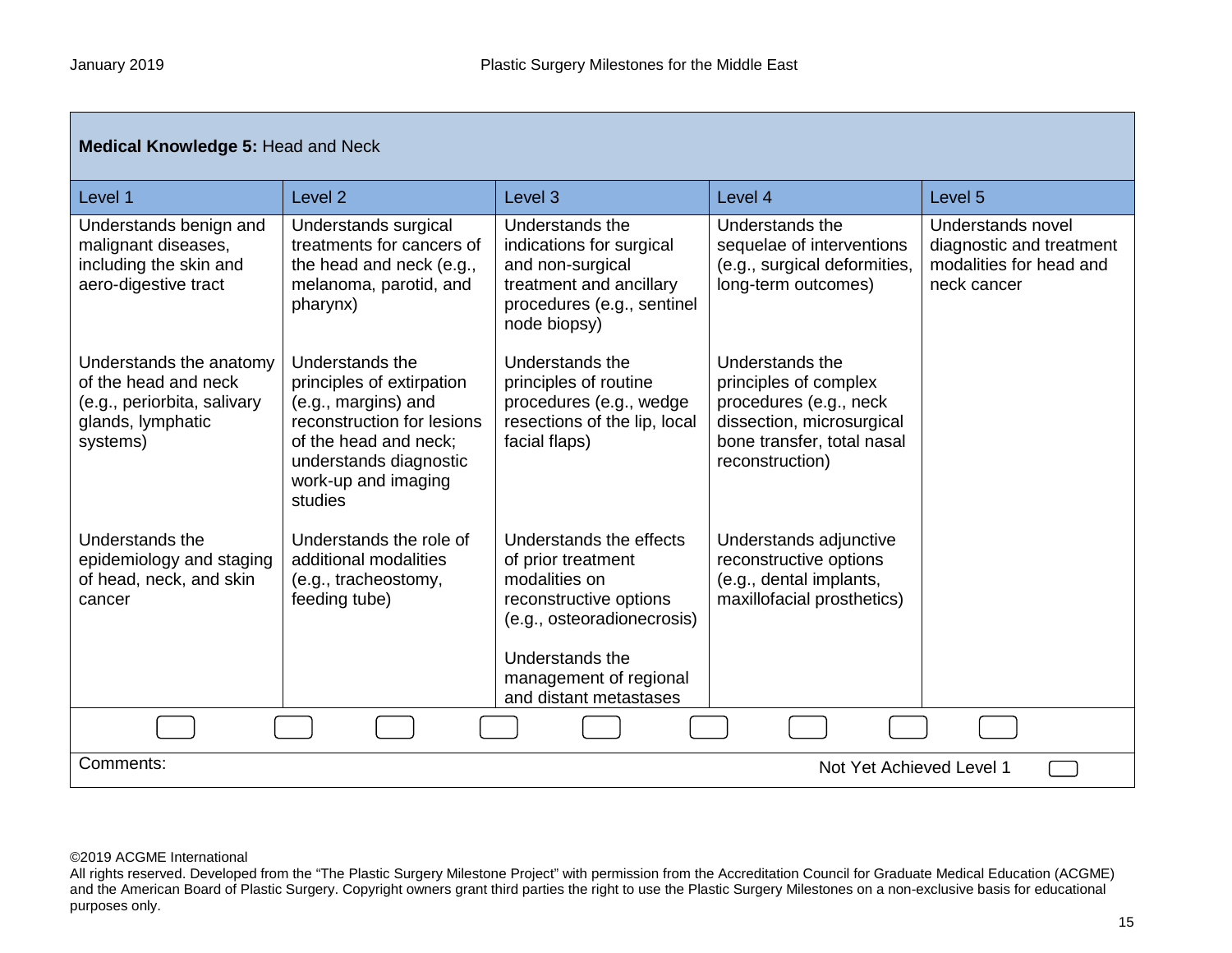| <b>Medical Knowledge 5: Head and Neck</b>                                                                       |                                                                                                                                                                                        |                                                                                                                                                                                               |                                                                                                                                                  |                                                                                         |
|-----------------------------------------------------------------------------------------------------------------|----------------------------------------------------------------------------------------------------------------------------------------------------------------------------------------|-----------------------------------------------------------------------------------------------------------------------------------------------------------------------------------------------|--------------------------------------------------------------------------------------------------------------------------------------------------|-----------------------------------------------------------------------------------------|
| Level 1                                                                                                         | Level <sub>2</sub>                                                                                                                                                                     | Level <sub>3</sub>                                                                                                                                                                            | Level 4                                                                                                                                          | Level 5                                                                                 |
| Understands benign and<br>malignant diseases,<br>including the skin and<br>aero-digestive tract                 | Understands surgical<br>treatments for cancers of<br>the head and neck (e.g.,<br>melanoma, parotid, and<br>pharynx)                                                                    | Understands the<br>indications for surgical<br>and non-surgical<br>treatment and ancillary<br>procedures (e.g., sentinel<br>node biopsy)                                                      | Understands the<br>sequelae of interventions<br>(e.g., surgical deformities,<br>long-term outcomes)                                              | Understands novel<br>diagnostic and treatment<br>modalities for head and<br>neck cancer |
| Understands the anatomy<br>of the head and neck<br>(e.g., periorbita, salivary<br>glands, lymphatic<br>systems) | Understands the<br>principles of extirpation<br>(e.g., margins) and<br>reconstruction for lesions<br>of the head and neck:<br>understands diagnostic<br>work-up and imaging<br>studies | Understands the<br>principles of routine<br>procedures (e.g., wedge<br>resections of the lip, local<br>facial flaps)                                                                          | Understands the<br>principles of complex<br>procedures (e.g., neck<br>dissection, microsurgical<br>bone transfer, total nasal<br>reconstruction) |                                                                                         |
| Understands the<br>epidemiology and staging<br>of head, neck, and skin<br>cancer                                | Understands the role of<br>additional modalities<br>(e.g., tracheostomy,<br>feeding tube)                                                                                              | Understands the effects<br>of prior treatment<br>modalities on<br>reconstructive options<br>(e.g., osteoradionecrosis)<br>Understands the<br>management of regional<br>and distant metastases | Understands adjunctive<br>reconstructive options<br>(e.g., dental implants,<br>maxillofacial prosthetics)                                        |                                                                                         |
|                                                                                                                 |                                                                                                                                                                                        |                                                                                                                                                                                               |                                                                                                                                                  |                                                                                         |
| Comments:                                                                                                       | Not Yet Achieved Level 1                                                                                                                                                               |                                                                                                                                                                                               |                                                                                                                                                  |                                                                                         |

All rights reserved. Developed from the "The Plastic Surgery Milestone Project" with permission from the Accreditation Council for Graduate Medical Education (ACGME) and the American Board of Plastic Surgery. Copyright owners grant third parties the right to use the Plastic Surgery Milestones on a non-exclusive basis for educational purposes only.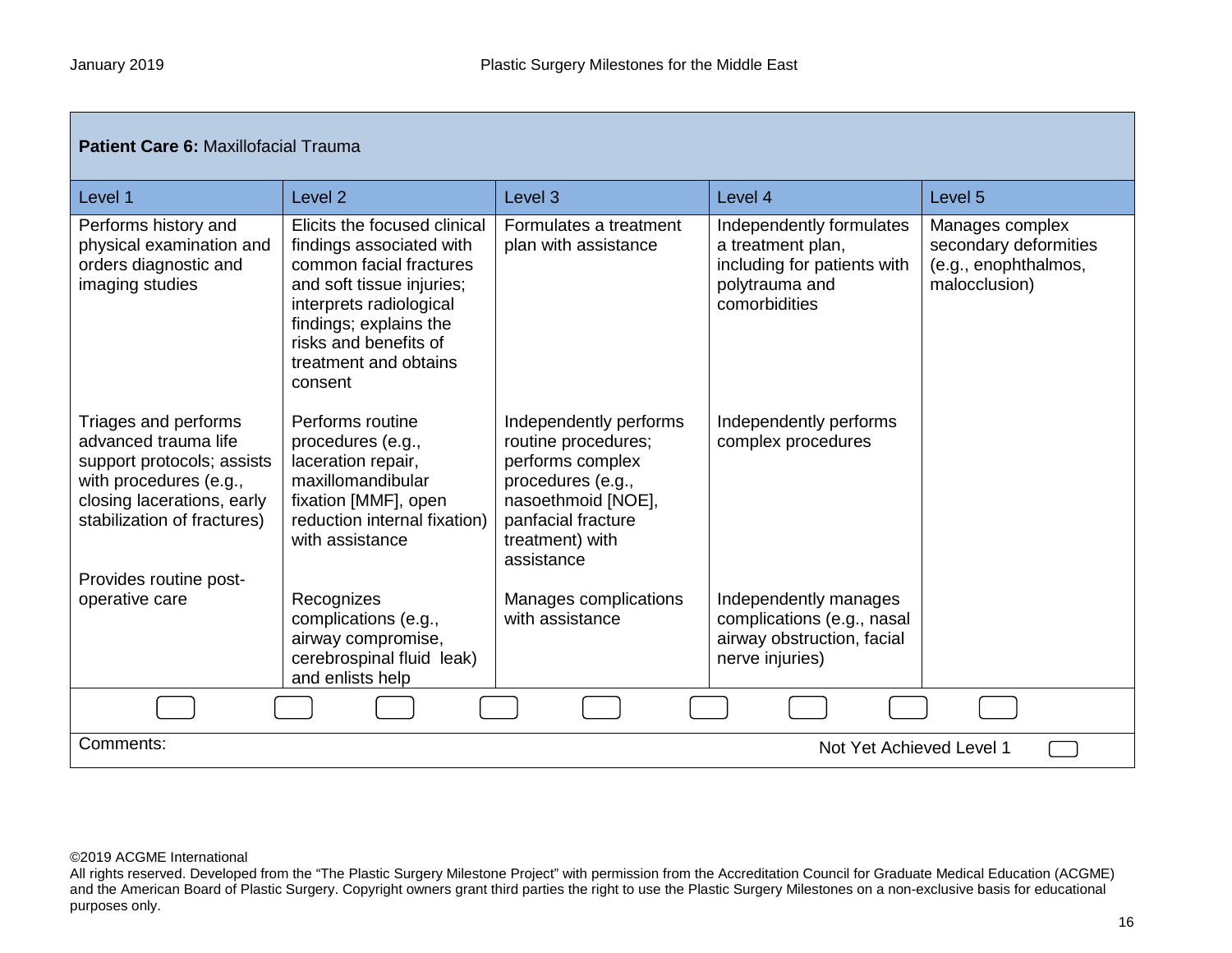г

| Patient Care 6: Maxillofacial Trauma                                                                                                                              |                                                                                                                                                                                                                                    |                                                                                                                                                                     |                                                                                                                 |                                                                                   |  |
|-------------------------------------------------------------------------------------------------------------------------------------------------------------------|------------------------------------------------------------------------------------------------------------------------------------------------------------------------------------------------------------------------------------|---------------------------------------------------------------------------------------------------------------------------------------------------------------------|-----------------------------------------------------------------------------------------------------------------|-----------------------------------------------------------------------------------|--|
| Level 1                                                                                                                                                           | Level <sub>2</sub>                                                                                                                                                                                                                 | Level <sub>3</sub>                                                                                                                                                  | Level 4                                                                                                         | Level <sub>5</sub>                                                                |  |
| Performs history and<br>physical examination and<br>orders diagnostic and<br>imaging studies                                                                      | Elicits the focused clinical<br>findings associated with<br>common facial fractures<br>and soft tissue injuries;<br>interprets radiological<br>findings; explains the<br>risks and benefits of<br>treatment and obtains<br>consent | Formulates a treatment<br>plan with assistance                                                                                                                      | Independently formulates<br>a treatment plan,<br>including for patients with<br>polytrauma and<br>comorbidities | Manages complex<br>secondary deformities<br>(e.g., enophthalmos,<br>malocclusion) |  |
| Triages and performs<br>advanced trauma life<br>support protocols; assists<br>with procedures (e.g.,<br>closing lacerations, early<br>stabilization of fractures) | Performs routine<br>procedures (e.g.,<br>laceration repair,<br>maxillomandibular<br>fixation [MMF], open<br>reduction internal fixation)<br>with assistance                                                                        | Independently performs<br>routine procedures;<br>performs complex<br>procedures (e.g.,<br>nasoethmoid [NOE],<br>panfacial fracture<br>treatment) with<br>assistance | Independently performs<br>complex procedures                                                                    |                                                                                   |  |
| Provides routine post-                                                                                                                                            |                                                                                                                                                                                                                                    |                                                                                                                                                                     |                                                                                                                 |                                                                                   |  |
| operative care                                                                                                                                                    | Recognizes<br>complications (e.g.,<br>airway compromise,<br>cerebrospinal fluid leak)<br>and enlists help                                                                                                                          | Manages complications<br>with assistance                                                                                                                            | Independently manages<br>complications (e.g., nasal<br>airway obstruction, facial<br>nerve injuries)            |                                                                                   |  |
|                                                                                                                                                                   |                                                                                                                                                                                                                                    |                                                                                                                                                                     |                                                                                                                 |                                                                                   |  |
| Comments:                                                                                                                                                         | Not Yet Achieved Level 1                                                                                                                                                                                                           |                                                                                                                                                                     |                                                                                                                 |                                                                                   |  |

All rights reserved. Developed from the "The Plastic Surgery Milestone Project" with permission from the Accreditation Council for Graduate Medical Education (ACGME) and the American Board of Plastic Surgery. Copyright owners grant third parties the right to use the Plastic Surgery Milestones on a non-exclusive basis for educational purposes only.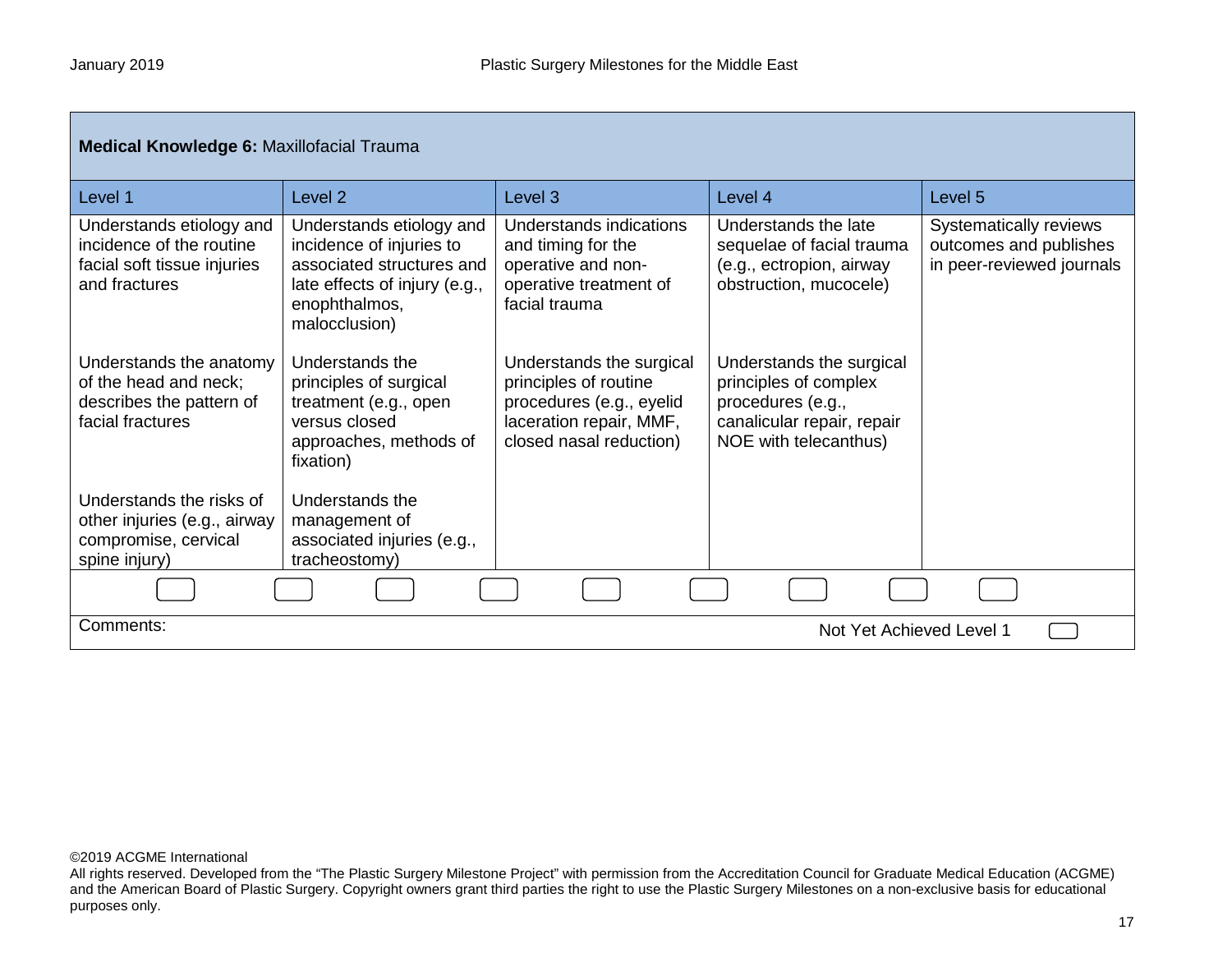| <b>Medical Knowledge 6: Maxillofacial Trauma</b>                                                     |                                                                                                                                                      |                                                                                                                                     |                                                                                                                               |                                                                               |
|------------------------------------------------------------------------------------------------------|------------------------------------------------------------------------------------------------------------------------------------------------------|-------------------------------------------------------------------------------------------------------------------------------------|-------------------------------------------------------------------------------------------------------------------------------|-------------------------------------------------------------------------------|
| Level 1                                                                                              | Level <sub>2</sub>                                                                                                                                   | Level 3                                                                                                                             | Level 4                                                                                                                       | Level 5                                                                       |
| Understands etiology and<br>incidence of the routine<br>facial soft tissue injuries<br>and fractures | Understands etiology and<br>incidence of injuries to<br>associated structures and<br>late effects of injury (e.g.,<br>enophthalmos,<br>malocclusion) | Understands indications<br>and timing for the<br>operative and non-<br>operative treatment of<br>facial trauma                      | Understands the late<br>sequelae of facial trauma<br>(e.g., ectropion, airway<br>obstruction, mucocele)                       | Systematically reviews<br>outcomes and publishes<br>in peer-reviewed journals |
| Understands the anatomy<br>of the head and neck;<br>describes the pattern of<br>facial fractures     | Understands the<br>principles of surgical<br>treatment (e.g., open<br>versus closed<br>approaches, methods of<br>fixation)                           | Understands the surgical<br>principles of routine<br>procedures (e.g., eyelid<br>laceration repair, MMF,<br>closed nasal reduction) | Understands the surgical<br>principles of complex<br>procedures (e.g.,<br>canalicular repair, repair<br>NOE with telecanthus) |                                                                               |
| Understands the risks of<br>other injuries (e.g., airway<br>compromise, cervical<br>spine injury)    | Understands the<br>management of<br>associated injuries (e.g.,<br>tracheostomy)                                                                      |                                                                                                                                     |                                                                                                                               |                                                                               |
|                                                                                                      |                                                                                                                                                      |                                                                                                                                     |                                                                                                                               |                                                                               |
| Comments:<br>Not Yet Achieved Level 1                                                                |                                                                                                                                                      |                                                                                                                                     |                                                                                                                               |                                                                               |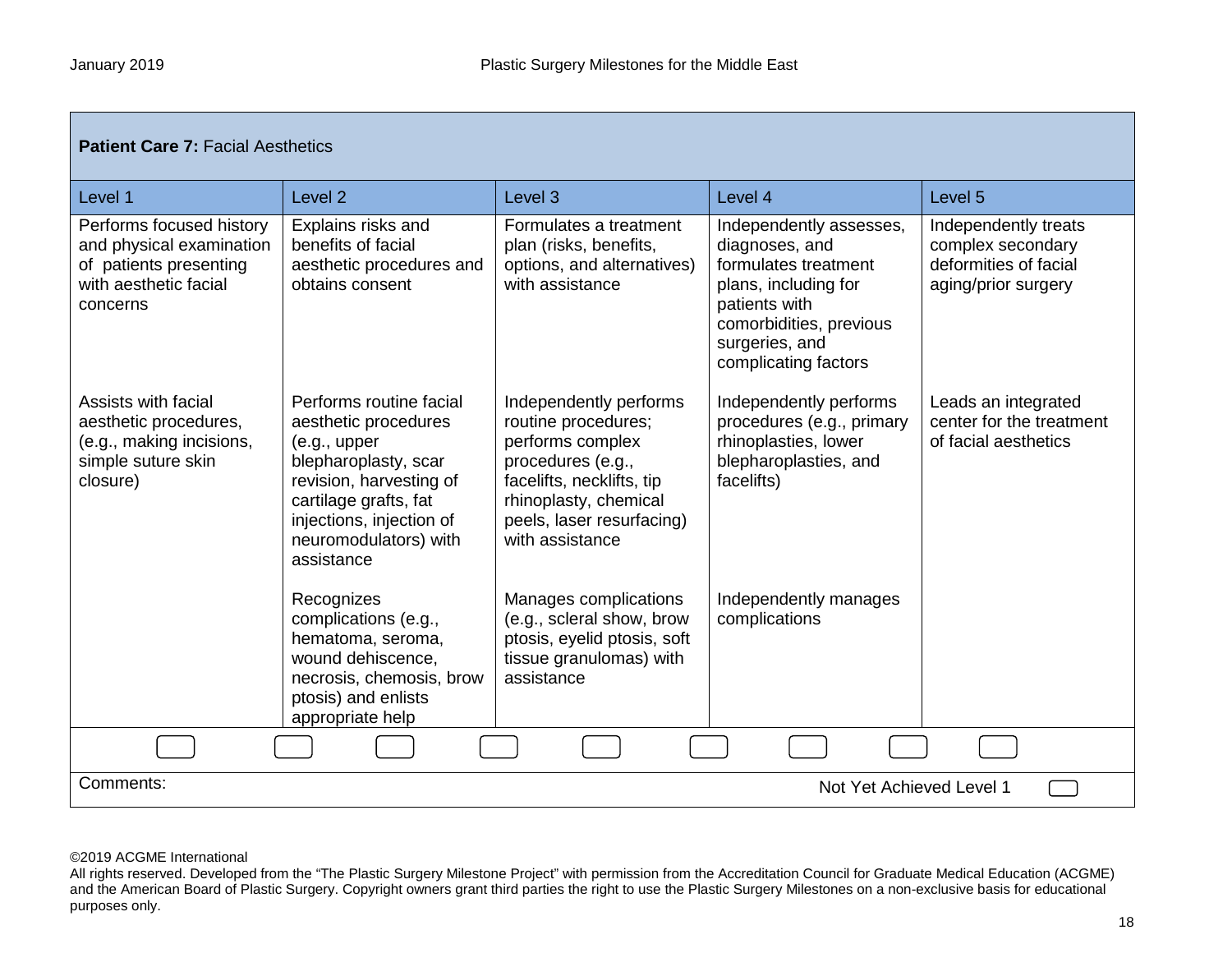| <b>Patient Care 7: Facial Aesthetics</b>                                                                            |                                                                                                                                                                                                                 |                                                                                                                                                                                              |                                                                                                                                                                                 |                                                                                           |  |
|---------------------------------------------------------------------------------------------------------------------|-----------------------------------------------------------------------------------------------------------------------------------------------------------------------------------------------------------------|----------------------------------------------------------------------------------------------------------------------------------------------------------------------------------------------|---------------------------------------------------------------------------------------------------------------------------------------------------------------------------------|-------------------------------------------------------------------------------------------|--|
| Level 1                                                                                                             | Level <sub>2</sub>                                                                                                                                                                                              | Level <sub>3</sub>                                                                                                                                                                           | Level 4                                                                                                                                                                         | Level 5                                                                                   |  |
| Performs focused history<br>and physical examination<br>of patients presenting<br>with aesthetic facial<br>concerns | Explains risks and<br>benefits of facial<br>aesthetic procedures and<br>obtains consent                                                                                                                         | Formulates a treatment<br>plan (risks, benefits,<br>options, and alternatives)<br>with assistance                                                                                            | Independently assesses,<br>diagnoses, and<br>formulates treatment<br>plans, including for<br>patients with<br>comorbidities, previous<br>surgeries, and<br>complicating factors | Independently treats<br>complex secondary<br>deformities of facial<br>aging/prior surgery |  |
| Assists with facial<br>aesthetic procedures,<br>(e.g., making incisions,<br>simple suture skin<br>closure)          | Performs routine facial<br>aesthetic procedures<br>(e.g., upper)<br>blepharoplasty, scar<br>revision, harvesting of<br>cartilage grafts, fat<br>injections, injection of<br>neuromodulators) with<br>assistance | Independently performs<br>routine procedures;<br>performs complex<br>procedures (e.g.,<br>facelifts, necklifts, tip<br>rhinoplasty, chemical<br>peels, laser resurfacing)<br>with assistance | Independently performs<br>procedures (e.g., primary<br>rhinoplasties, lower<br>blepharoplasties, and<br>facelifts)                                                              | Leads an integrated<br>center for the treatment<br>of facial aesthetics                   |  |
|                                                                                                                     | Recognizes<br>complications (e.g.,<br>hematoma, seroma,<br>wound dehiscence,<br>necrosis, chemosis, brow<br>ptosis) and enlists<br>appropriate help                                                             | Manages complications<br>(e.g., scleral show, brow<br>ptosis, eyelid ptosis, soft<br>tissue granulomas) with<br>assistance                                                                   | Independently manages<br>complications                                                                                                                                          |                                                                                           |  |
|                                                                                                                     |                                                                                                                                                                                                                 |                                                                                                                                                                                              |                                                                                                                                                                                 |                                                                                           |  |
| Comments:                                                                                                           | Not Yet Achieved Level 1                                                                                                                                                                                        |                                                                                                                                                                                              |                                                                                                                                                                                 |                                                                                           |  |

All rights reserved. Developed from the "The Plastic Surgery Milestone Project" with permission from the Accreditation Council for Graduate Medical Education (ACGME) and the American Board of Plastic Surgery. Copyright owners grant third parties the right to use the Plastic Surgery Milestones on a non-exclusive basis for educational purposes only.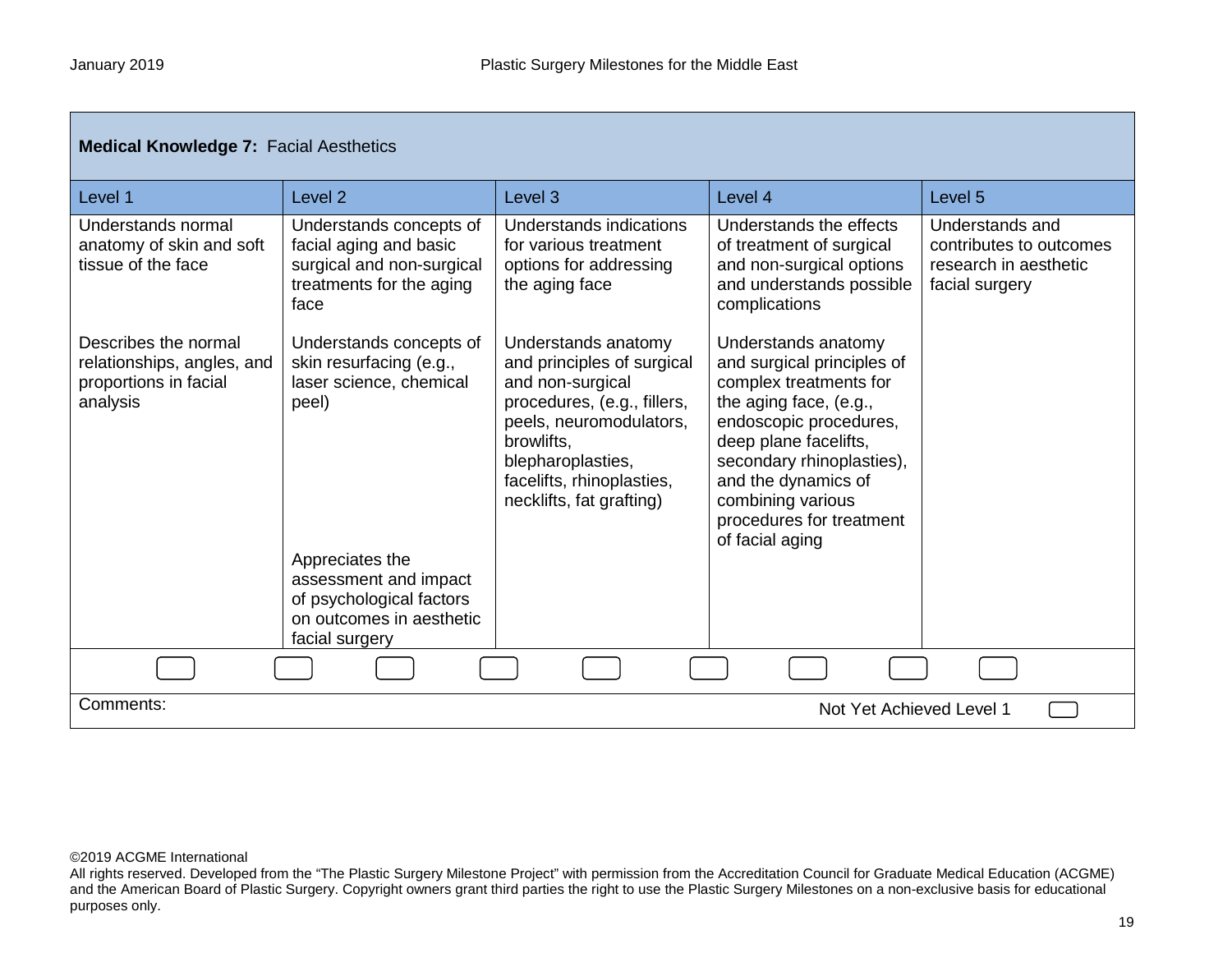| <b>Medical Knowledge 7: Facial Aesthetics</b>                                           |                                                                                                                                                                |                                                                                                                                                                                                                             |                                                                                                                                                                                                                                                                                  |                                                                                       |
|-----------------------------------------------------------------------------------------|----------------------------------------------------------------------------------------------------------------------------------------------------------------|-----------------------------------------------------------------------------------------------------------------------------------------------------------------------------------------------------------------------------|----------------------------------------------------------------------------------------------------------------------------------------------------------------------------------------------------------------------------------------------------------------------------------|---------------------------------------------------------------------------------------|
| Level 1                                                                                 | Level <sub>2</sub>                                                                                                                                             | Level 3                                                                                                                                                                                                                     | Level 4                                                                                                                                                                                                                                                                          | Level 5                                                                               |
| Understands normal<br>anatomy of skin and soft<br>tissue of the face                    | Understands concepts of<br>facial aging and basic<br>surgical and non-surgical<br>treatments for the aging<br>face                                             | Understands indications<br>for various treatment<br>options for addressing<br>the aging face                                                                                                                                | Understands the effects<br>of treatment of surgical<br>and non-surgical options<br>and understands possible<br>complications                                                                                                                                                     | Understands and<br>contributes to outcomes<br>research in aesthetic<br>facial surgery |
| Describes the normal<br>relationships, angles, and<br>proportions in facial<br>analysis | Understands concepts of<br>skin resurfacing (e.g.,<br>laser science, chemical<br>peel)<br>Appreciates the<br>assessment and impact<br>of psychological factors | Understands anatomy<br>and principles of surgical<br>and non-surgical<br>procedures, (e.g., fillers,<br>peels, neuromodulators,<br>browlifts,<br>blepharoplasties,<br>facelifts, rhinoplasties,<br>necklifts, fat grafting) | Understands anatomy<br>and surgical principles of<br>complex treatments for<br>the aging face, (e.g.,<br>endoscopic procedures,<br>deep plane facelifts,<br>secondary rhinoplasties),<br>and the dynamics of<br>combining various<br>procedures for treatment<br>of facial aging |                                                                                       |
|                                                                                         | on outcomes in aesthetic<br>facial surgery                                                                                                                     |                                                                                                                                                                                                                             |                                                                                                                                                                                                                                                                                  |                                                                                       |
|                                                                                         |                                                                                                                                                                |                                                                                                                                                                                                                             |                                                                                                                                                                                                                                                                                  |                                                                                       |
| Comments:<br>Not Yet Achieved Level 1                                                   |                                                                                                                                                                |                                                                                                                                                                                                                             |                                                                                                                                                                                                                                                                                  |                                                                                       |

All rights reserved. Developed from the "The Plastic Surgery Milestone Project" with permission from the Accreditation Council for Graduate Medical Education (ACGME) and the American Board of Plastic Surgery. Copyright owners grant third parties the right to use the Plastic Surgery Milestones on a non-exclusive basis for educational purposes only.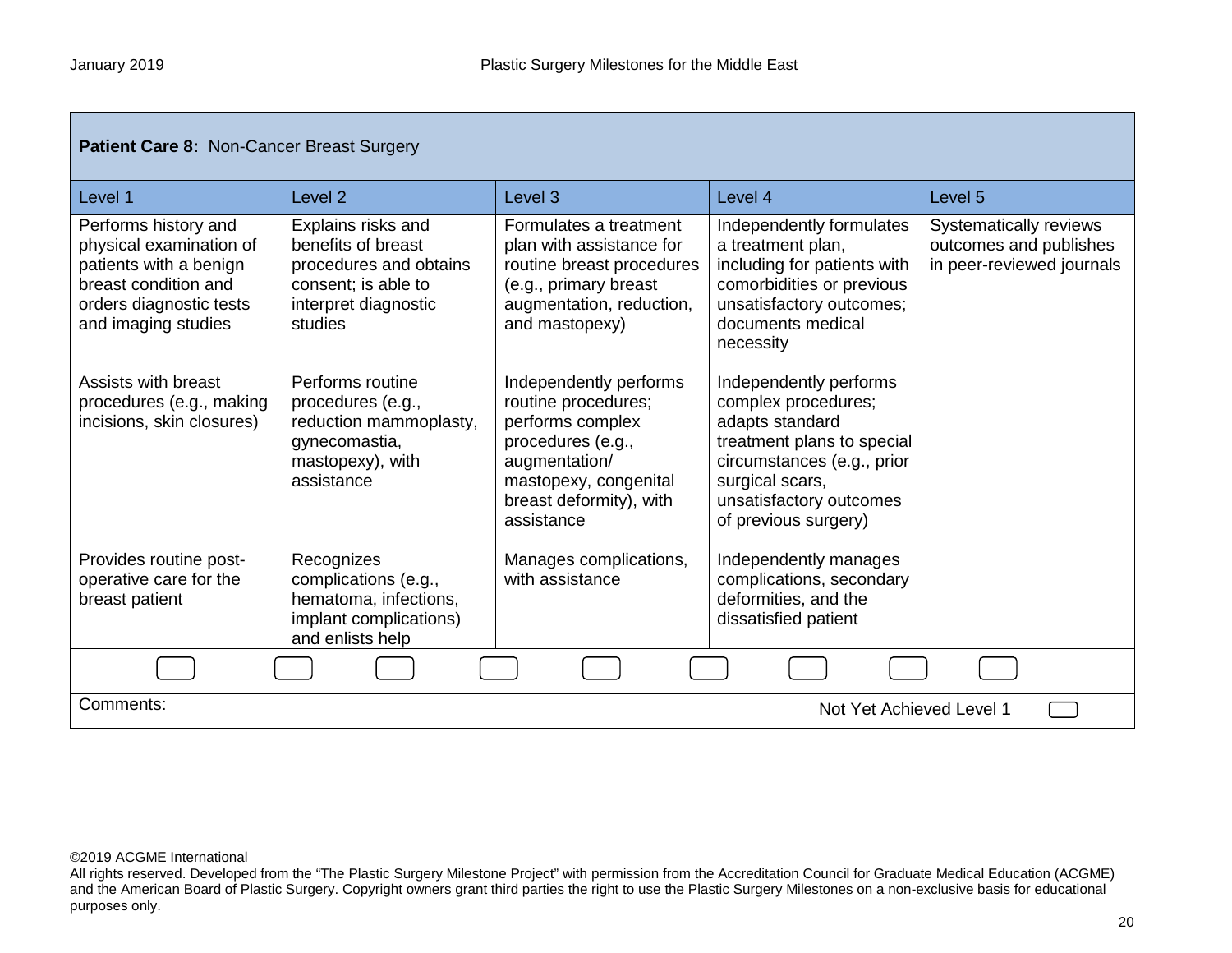| <b>Patient Care 8: Non-Cancer Breast Surgery</b>                                                                                                    |                                                                                                                              |                                                                                                                                                                           |                                                                                                                                                                                                    |                                                                               |
|-----------------------------------------------------------------------------------------------------------------------------------------------------|------------------------------------------------------------------------------------------------------------------------------|---------------------------------------------------------------------------------------------------------------------------------------------------------------------------|----------------------------------------------------------------------------------------------------------------------------------------------------------------------------------------------------|-------------------------------------------------------------------------------|
| Level 1                                                                                                                                             | Level <sub>2</sub>                                                                                                           | Level <sub>3</sub>                                                                                                                                                        | Level 4                                                                                                                                                                                            | Level <sub>5</sub>                                                            |
| Performs history and<br>physical examination of<br>patients with a benign<br>breast condition and<br>orders diagnostic tests<br>and imaging studies | Explains risks and<br>benefits of breast<br>procedures and obtains<br>consent; is able to<br>interpret diagnostic<br>studies | Formulates a treatment<br>plan with assistance for<br>routine breast procedures<br>(e.g., primary breast<br>augmentation, reduction,<br>and mastopexy)                    | Independently formulates<br>a treatment plan,<br>including for patients with<br>comorbidities or previous<br>unsatisfactory outcomes;<br>documents medical<br>necessity                            | Systematically reviews<br>outcomes and publishes<br>in peer-reviewed journals |
| Assists with breast<br>procedures (e.g., making<br>incisions, skin closures)                                                                        | Performs routine<br>procedures (e.g.,<br>reduction mammoplasty,<br>gynecomastia,<br>mastopexy), with<br>assistance           | Independently performs<br>routine procedures;<br>performs complex<br>procedures (e.g.,<br>augmentation/<br>mastopexy, congenital<br>breast deformity), with<br>assistance | Independently performs<br>complex procedures;<br>adapts standard<br>treatment plans to special<br>circumstances (e.g., prior<br>surgical scars,<br>unsatisfactory outcomes<br>of previous surgery) |                                                                               |
| Provides routine post-<br>operative care for the<br>breast patient                                                                                  | Recognizes<br>complications (e.g.,<br>hematoma, infections,<br>implant complications)<br>and enlists help                    | Manages complications,<br>with assistance                                                                                                                                 | Independently manages<br>complications, secondary<br>deformities, and the<br>dissatisfied patient                                                                                                  |                                                                               |
|                                                                                                                                                     |                                                                                                                              |                                                                                                                                                                           |                                                                                                                                                                                                    |                                                                               |
| Comments:<br>Not Yet Achieved Level 1                                                                                                               |                                                                                                                              |                                                                                                                                                                           |                                                                                                                                                                                                    |                                                                               |

All rights reserved. Developed from the "The Plastic Surgery Milestone Project" with permission from the Accreditation Council for Graduate Medical Education (ACGME) and the American Board of Plastic Surgery. Copyright owners grant third parties the right to use the Plastic Surgery Milestones on a non-exclusive basis for educational purposes only.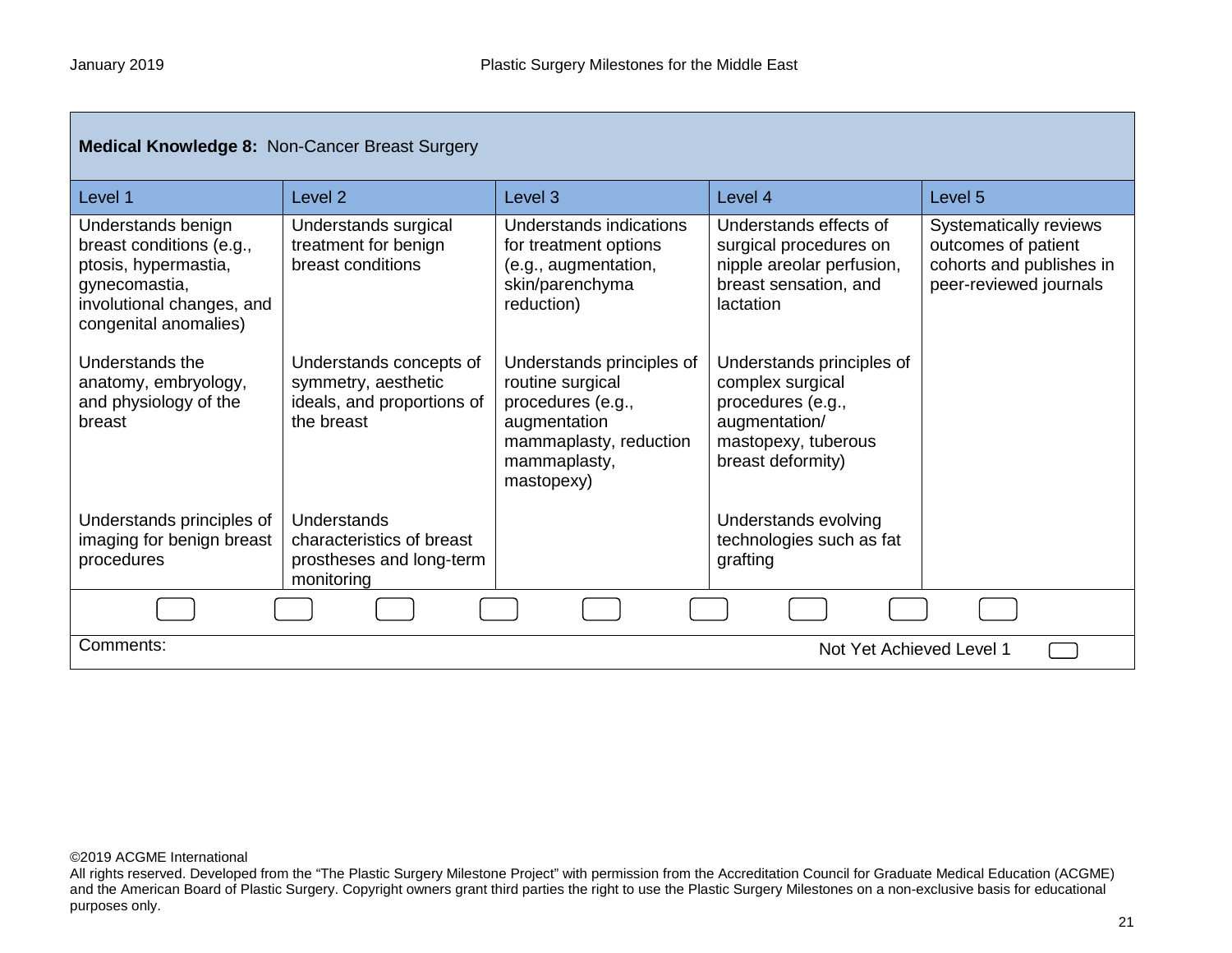| Medical Knowledge 8: Non-Cancer Breast Surgery                                                                                                |                                                                                            |                                                                                                                                            |                                                                                                                                 |                                                                                                     |  |
|-----------------------------------------------------------------------------------------------------------------------------------------------|--------------------------------------------------------------------------------------------|--------------------------------------------------------------------------------------------------------------------------------------------|---------------------------------------------------------------------------------------------------------------------------------|-----------------------------------------------------------------------------------------------------|--|
| Level 1                                                                                                                                       | Level <sub>2</sub>                                                                         | Level <sub>3</sub>                                                                                                                         | Level 4                                                                                                                         | Level 5                                                                                             |  |
| Understands benign<br>breast conditions (e.g.,<br>ptosis, hypermastia,<br>gynecomastia,<br>involutional changes, and<br>congenital anomalies) | Understands surgical<br>treatment for benign<br>breast conditions                          | Understands indications<br>for treatment options<br>(e.g., augmentation,<br>skin/parenchyma<br>reduction)                                  | Understands effects of<br>surgical procedures on<br>nipple areolar perfusion,<br>breast sensation, and<br>lactation             | Systematically reviews<br>outcomes of patient<br>cohorts and publishes in<br>peer-reviewed journals |  |
| Understands the<br>anatomy, embryology,<br>and physiology of the<br>breast                                                                    | Understands concepts of<br>symmetry, aesthetic<br>ideals, and proportions of<br>the breast | Understands principles of<br>routine surgical<br>procedures (e.g.,<br>augmentation<br>mammaplasty, reduction<br>mammaplasty,<br>mastopexy) | Understands principles of<br>complex surgical<br>procedures (e.g.,<br>augmentation/<br>mastopexy, tuberous<br>breast deformity) |                                                                                                     |  |
| Understands principles of<br>imaging for benign breast<br>procedures                                                                          | Understands<br>characteristics of breast<br>prostheses and long-term<br>monitoring         |                                                                                                                                            | Understands evolving<br>technologies such as fat<br>grafting                                                                    |                                                                                                     |  |
|                                                                                                                                               |                                                                                            |                                                                                                                                            |                                                                                                                                 |                                                                                                     |  |
| Comments:<br>Not Yet Achieved Level 1                                                                                                         |                                                                                            |                                                                                                                                            |                                                                                                                                 |                                                                                                     |  |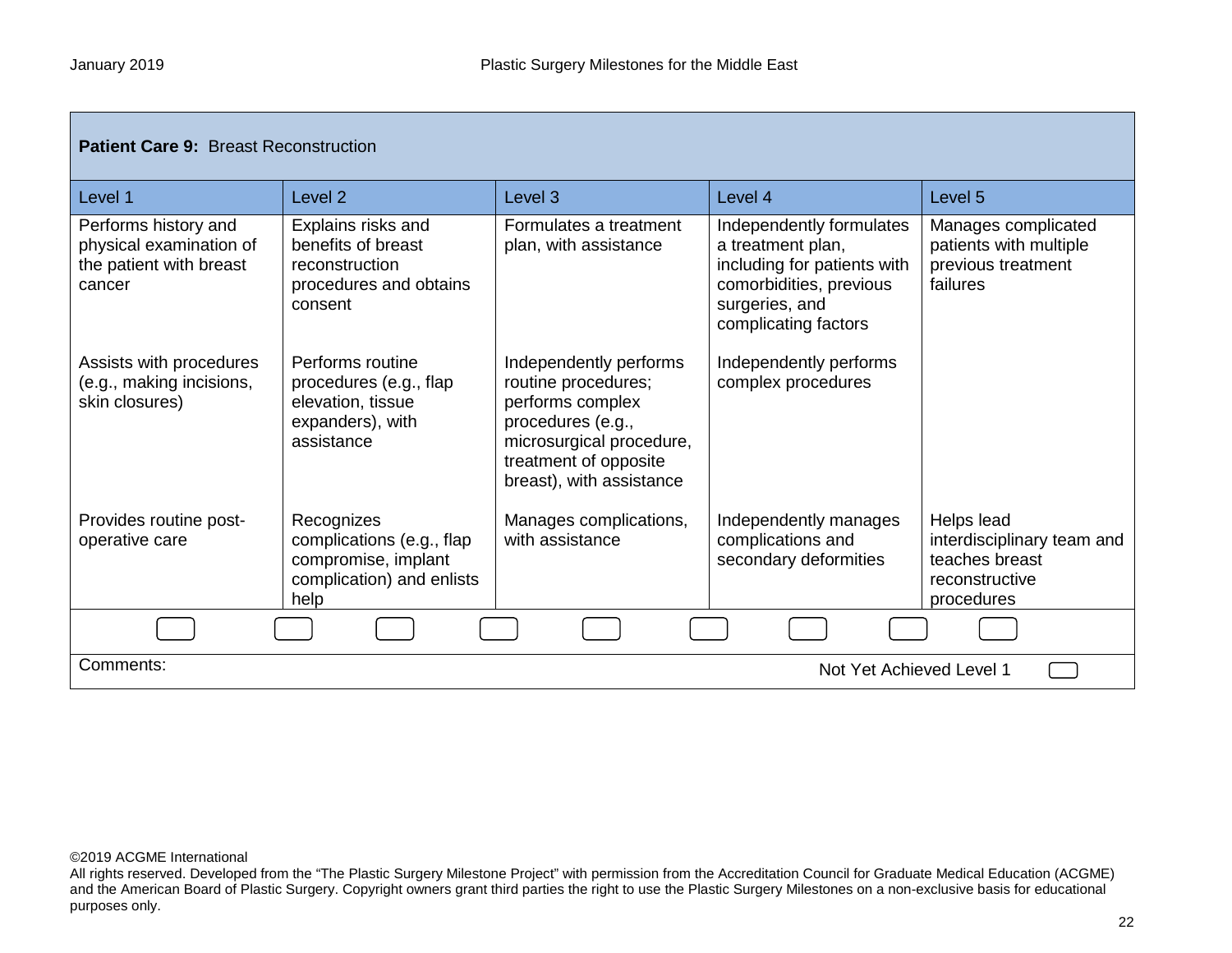| <b>Patient Care 9: Breast Reconstruction</b>                                         |                                                                                                     |                                                                                                                                                                         |                                                                                                                                                   |                                                                                            |
|--------------------------------------------------------------------------------------|-----------------------------------------------------------------------------------------------------|-------------------------------------------------------------------------------------------------------------------------------------------------------------------------|---------------------------------------------------------------------------------------------------------------------------------------------------|--------------------------------------------------------------------------------------------|
| Level 1                                                                              | Level <sub>2</sub>                                                                                  | Level <sub>3</sub>                                                                                                                                                      | Level 4                                                                                                                                           | Level <sub>5</sub>                                                                         |
| Performs history and<br>physical examination of<br>the patient with breast<br>cancer | Explains risks and<br>benefits of breast<br>reconstruction<br>procedures and obtains<br>consent     | Formulates a treatment<br>plan, with assistance                                                                                                                         | Independently formulates<br>a treatment plan,<br>including for patients with<br>comorbidities, previous<br>surgeries, and<br>complicating factors | Manages complicated<br>patients with multiple<br>previous treatment<br>failures            |
| Assists with procedures<br>(e.g., making incisions,<br>skin closures)                | Performs routine<br>procedures (e.g., flap<br>elevation, tissue<br>expanders), with<br>assistance   | Independently performs<br>routine procedures;<br>performs complex<br>procedures (e.g.,<br>microsurgical procedure,<br>treatment of opposite<br>breast), with assistance | Independently performs<br>complex procedures                                                                                                      |                                                                                            |
| Provides routine post-<br>operative care                                             | Recognizes<br>complications (e.g., flap<br>compromise, implant<br>complication) and enlists<br>help | Manages complications,<br>with assistance                                                                                                                               | Independently manages<br>complications and<br>secondary deformities                                                                               | Helps lead<br>interdisciplinary team and<br>teaches breast<br>reconstructive<br>procedures |
|                                                                                      |                                                                                                     |                                                                                                                                                                         |                                                                                                                                                   |                                                                                            |
| Comments:<br>Not Yet Achieved Level 1                                                |                                                                                                     |                                                                                                                                                                         |                                                                                                                                                   |                                                                                            |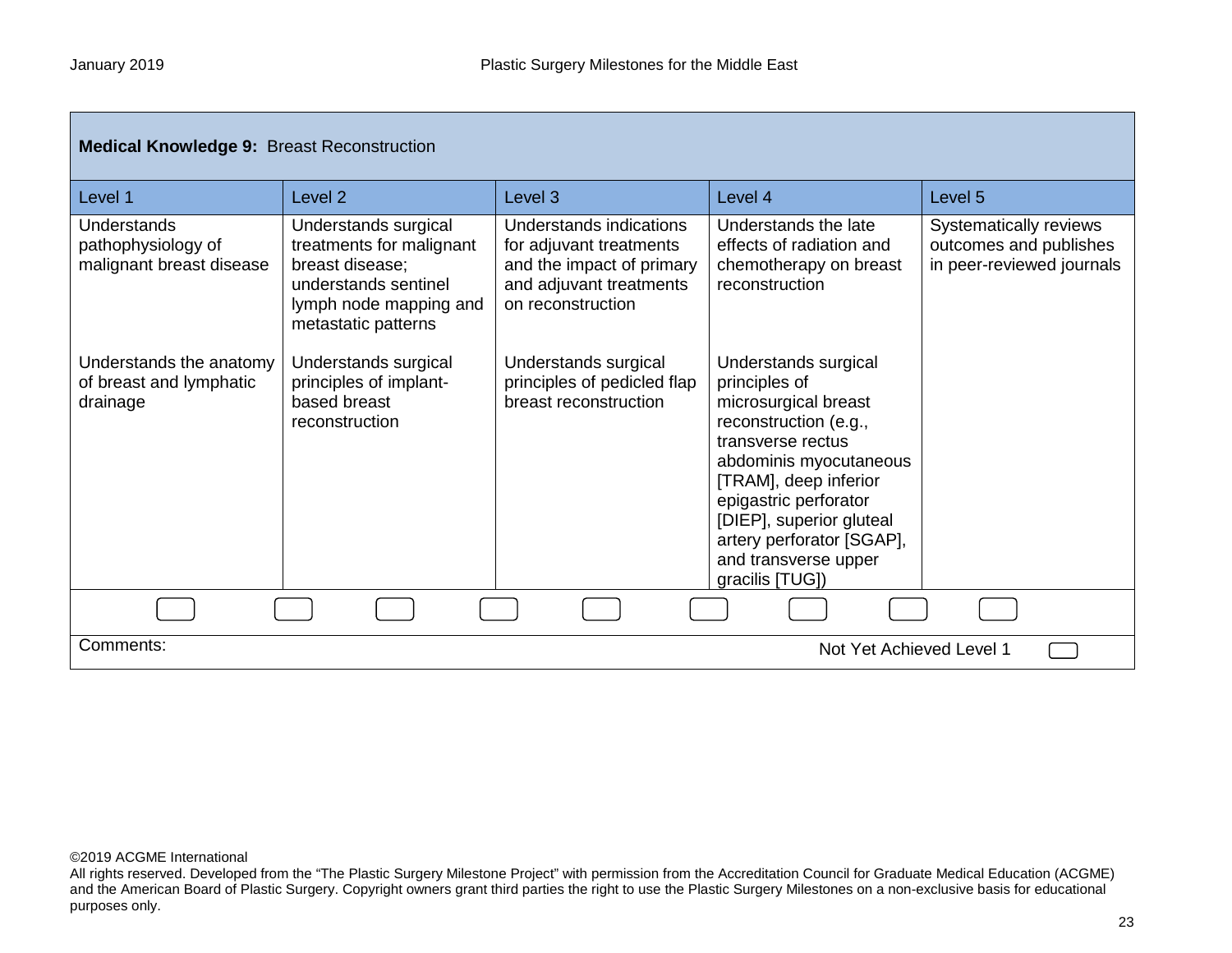| <b>Medical Knowledge 9: Breast Reconstruction</b>              |                                                                                                                                              |                                                                                                                                 |                                                                                                                                                                                                                                                                                             |                                                                               |
|----------------------------------------------------------------|----------------------------------------------------------------------------------------------------------------------------------------------|---------------------------------------------------------------------------------------------------------------------------------|---------------------------------------------------------------------------------------------------------------------------------------------------------------------------------------------------------------------------------------------------------------------------------------------|-------------------------------------------------------------------------------|
| Level 1                                                        | Level <sub>2</sub>                                                                                                                           | Level 3                                                                                                                         | Level 4                                                                                                                                                                                                                                                                                     | Level 5                                                                       |
| Understands<br>pathophysiology of<br>malignant breast disease  | Understands surgical<br>treatments for malignant<br>breast disease;<br>understands sentinel<br>lymph node mapping and<br>metastatic patterns | Understands indications<br>for adjuvant treatments<br>and the impact of primary<br>and adjuvant treatments<br>on reconstruction | Understands the late<br>effects of radiation and<br>chemotherapy on breast<br>reconstruction                                                                                                                                                                                                | Systematically reviews<br>outcomes and publishes<br>in peer-reviewed journals |
| Understands the anatomy<br>of breast and lymphatic<br>drainage | Understands surgical<br>principles of implant-<br>based breast<br>reconstruction                                                             | Understands surgical<br>principles of pedicled flap<br>breast reconstruction                                                    | Understands surgical<br>principles of<br>microsurgical breast<br>reconstruction (e.g.,<br>transverse rectus<br>abdominis myocutaneous<br>[TRAM], deep inferior<br>epigastric perforator<br>[DIEP], superior gluteal<br>artery perforator [SGAP],<br>and transverse upper<br>gracilis [TUG]) |                                                                               |
|                                                                |                                                                                                                                              |                                                                                                                                 |                                                                                                                                                                                                                                                                                             |                                                                               |
| Comments:<br>Not Yet Achieved Level 1                          |                                                                                                                                              |                                                                                                                                 |                                                                                                                                                                                                                                                                                             |                                                                               |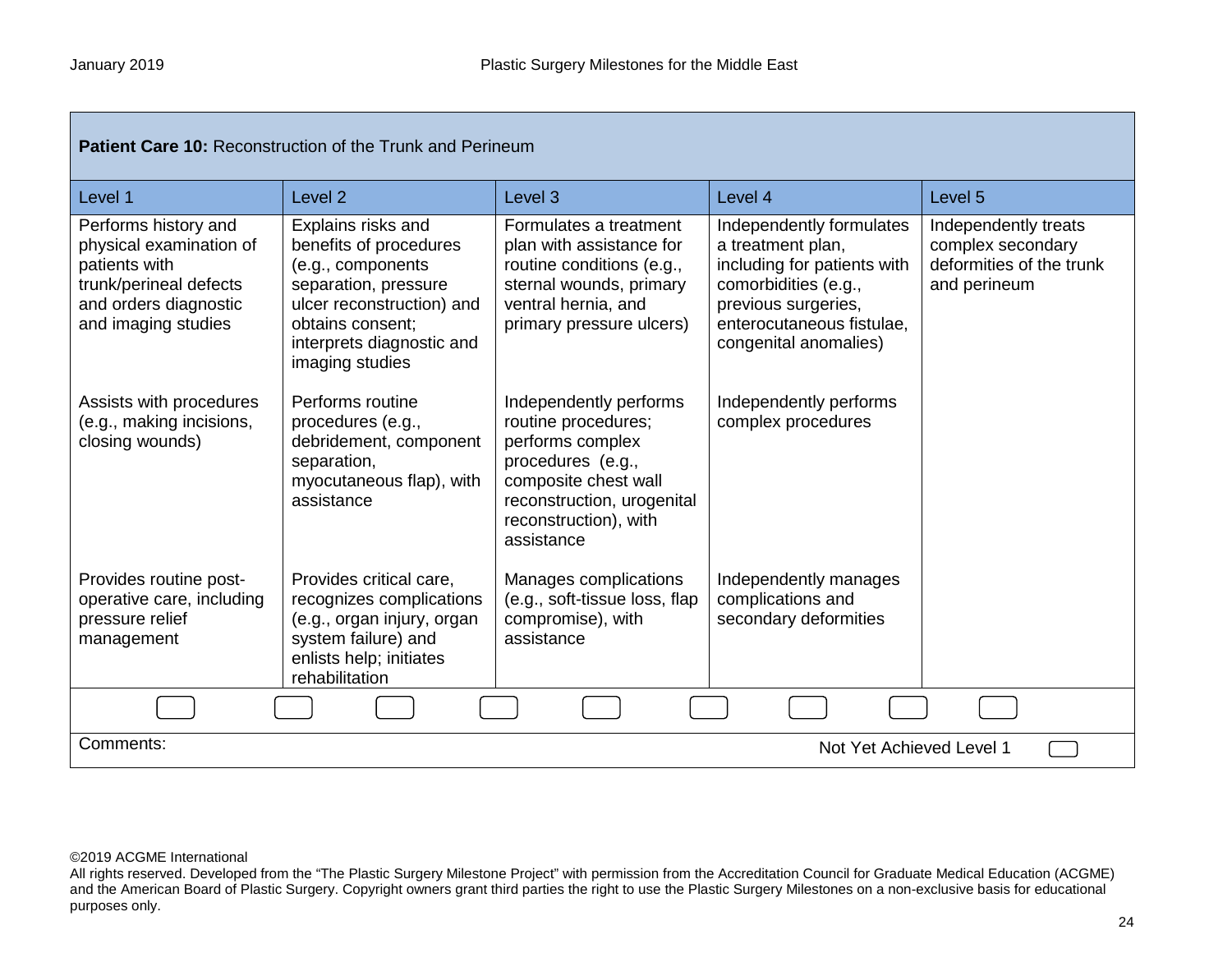г

| <b>Patient Care 10: Reconstruction of the Trunk and Perineum</b>                                                                           |                                                                                                                                                                                            |                                                                                                                                                                                     |                                                                                                                                                                                   |                                                                                       |
|--------------------------------------------------------------------------------------------------------------------------------------------|--------------------------------------------------------------------------------------------------------------------------------------------------------------------------------------------|-------------------------------------------------------------------------------------------------------------------------------------------------------------------------------------|-----------------------------------------------------------------------------------------------------------------------------------------------------------------------------------|---------------------------------------------------------------------------------------|
| Level 1                                                                                                                                    | Level <sub>2</sub>                                                                                                                                                                         | Level <sub>3</sub>                                                                                                                                                                  | Level 4                                                                                                                                                                           | Level 5                                                                               |
| Performs history and<br>physical examination of<br>patients with<br>trunk/perineal defects<br>and orders diagnostic<br>and imaging studies | Explains risks and<br>benefits of procedures<br>(e.g., components<br>separation, pressure<br>ulcer reconstruction) and<br>obtains consent:<br>interprets diagnostic and<br>imaging studies | Formulates a treatment<br>plan with assistance for<br>routine conditions (e.g.,<br>sternal wounds, primary<br>ventral hernia, and<br>primary pressure ulcers)                       | Independently formulates<br>a treatment plan,<br>including for patients with<br>comorbidities (e.g.,<br>previous surgeries,<br>enterocutaneous fistulae,<br>congenital anomalies) | Independently treats<br>complex secondary<br>deformities of the trunk<br>and perineum |
| Assists with procedures<br>(e.g., making incisions,<br>closing wounds)                                                                     | Performs routine<br>procedures (e.g.,<br>debridement, component<br>separation,<br>myocutaneous flap), with<br>assistance                                                                   | Independently performs<br>routine procedures;<br>performs complex<br>procedures (e.g.,<br>composite chest wall<br>reconstruction, urogenital<br>reconstruction), with<br>assistance | Independently performs<br>complex procedures                                                                                                                                      |                                                                                       |
| Provides routine post-<br>operative care, including<br>pressure relief<br>management                                                       | Provides critical care,<br>recognizes complications<br>(e.g., organ injury, organ<br>system failure) and<br>enlists help; initiates<br>rehabilitation                                      | Manages complications<br>(e.g., soft-tissue loss, flap<br>compromise), with<br>assistance                                                                                           | Independently manages<br>complications and<br>secondary deformities                                                                                                               |                                                                                       |
|                                                                                                                                            |                                                                                                                                                                                            |                                                                                                                                                                                     |                                                                                                                                                                                   |                                                                                       |
| Comments:<br>Not Yet Achieved Level 1                                                                                                      |                                                                                                                                                                                            |                                                                                                                                                                                     |                                                                                                                                                                                   |                                                                                       |

All rights reserved. Developed from the "The Plastic Surgery Milestone Project" with permission from the Accreditation Council for Graduate Medical Education (ACGME) and the American Board of Plastic Surgery. Copyright owners grant third parties the right to use the Plastic Surgery Milestones on a non-exclusive basis for educational purposes only.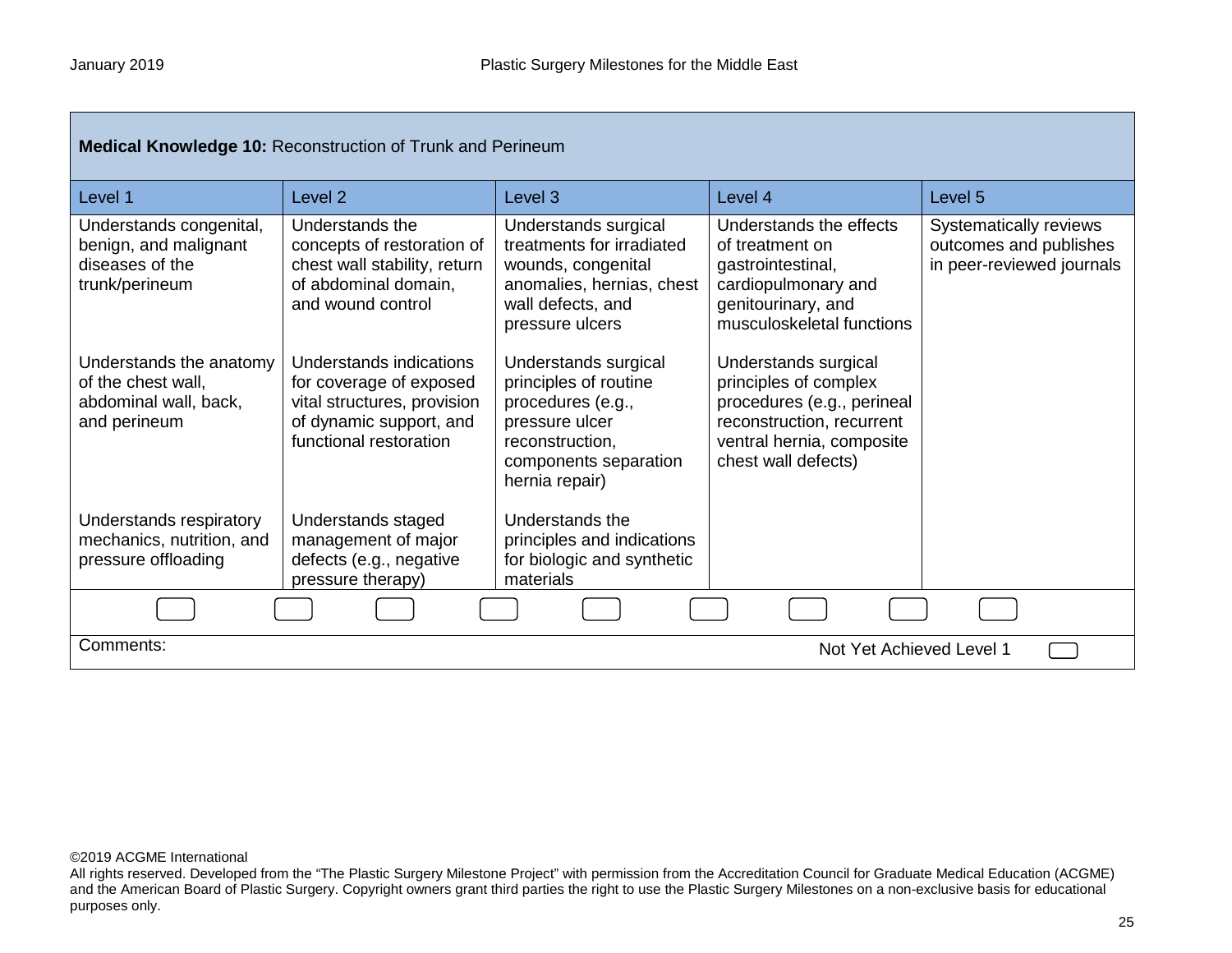| <b>Medical Knowledge 10: Reconstruction of Trunk and Perineum</b>                      |                                                                                                                                        |                                                                                                                                                    |                                                                                                                                                              |                                                                               |  |
|----------------------------------------------------------------------------------------|----------------------------------------------------------------------------------------------------------------------------------------|----------------------------------------------------------------------------------------------------------------------------------------------------|--------------------------------------------------------------------------------------------------------------------------------------------------------------|-------------------------------------------------------------------------------|--|
| Level 1                                                                                | Level <sub>2</sub>                                                                                                                     | Level <sub>3</sub>                                                                                                                                 | Level 4                                                                                                                                                      | Level <sub>5</sub>                                                            |  |
| Understands congenital,<br>benign, and malignant<br>diseases of the<br>trunk/perineum  | Understands the<br>concepts of restoration of<br>chest wall stability, return<br>of abdominal domain,<br>and wound control             | Understands surgical<br>treatments for irradiated<br>wounds, congenital<br>anomalies, hernias, chest<br>wall defects, and<br>pressure ulcers       | Understands the effects<br>of treatment on<br>gastrointestinal,<br>cardiopulmonary and<br>genitourinary, and<br>musculoskeletal functions                    | Systematically reviews<br>outcomes and publishes<br>in peer-reviewed journals |  |
| Understands the anatomy<br>of the chest wall,<br>abdominal wall, back,<br>and perineum | Understands indications<br>for coverage of exposed<br>vital structures, provision<br>of dynamic support, and<br>functional restoration | Understands surgical<br>principles of routine<br>procedures (e.g.,<br>pressure ulcer<br>reconstruction,<br>components separation<br>hernia repair) | Understands surgical<br>principles of complex<br>procedures (e.g., perineal<br>reconstruction, recurrent<br>ventral hernia, composite<br>chest wall defects) |                                                                               |  |
| Understands respiratory<br>mechanics, nutrition, and<br>pressure offloading            | Understands staged<br>management of major<br>defects (e.g., negative<br>pressure therapy)                                              | Understands the<br>principles and indications<br>for biologic and synthetic<br>materials                                                           |                                                                                                                                                              |                                                                               |  |
|                                                                                        |                                                                                                                                        |                                                                                                                                                    |                                                                                                                                                              |                                                                               |  |
| Comments:                                                                              | Not Yet Achieved Level 1                                                                                                               |                                                                                                                                                    |                                                                                                                                                              |                                                                               |  |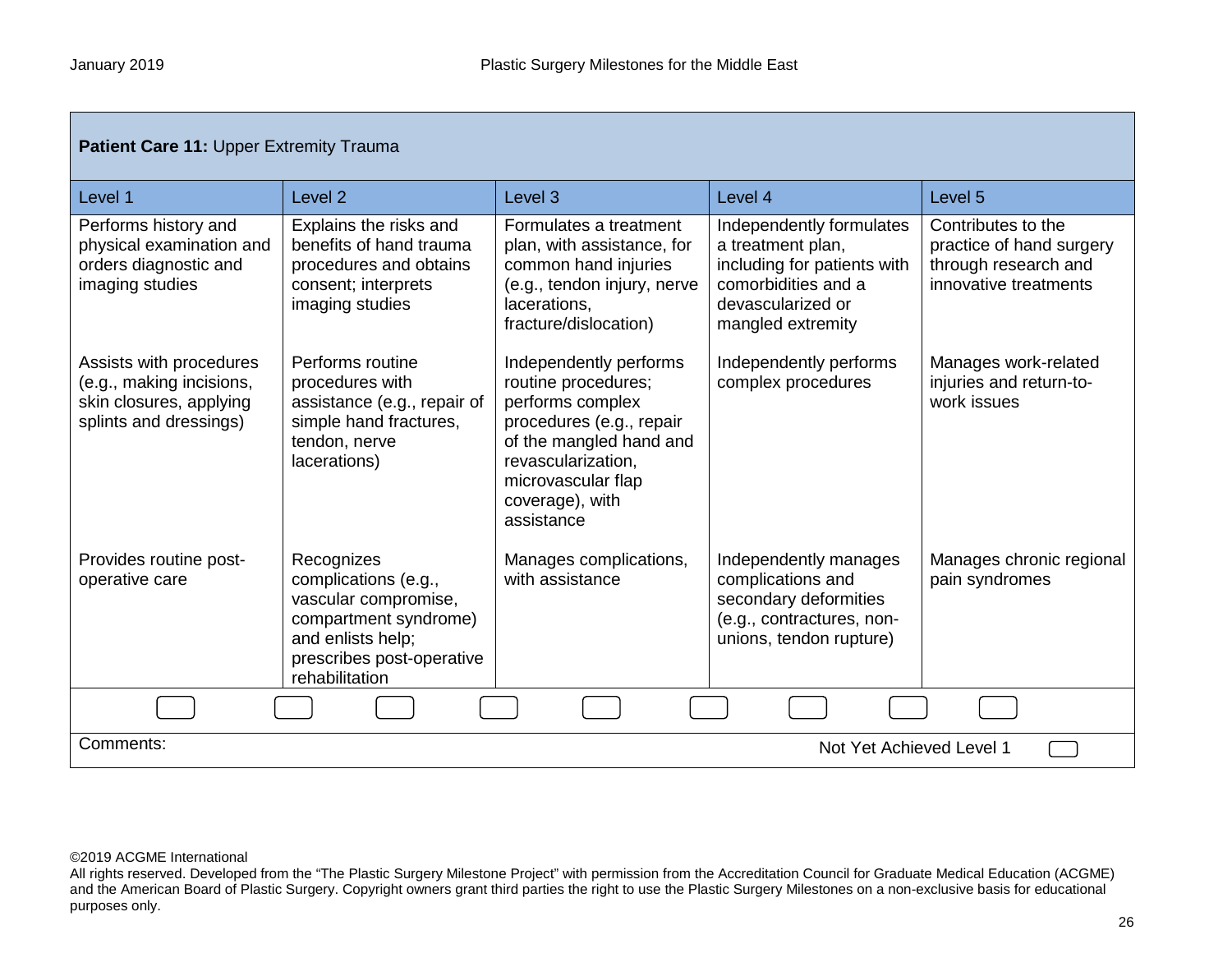| <b>Patient Care 11: Upper Extremity Trauma</b>                                                           |                                                                                                                                                         |                                                                                                                                                                                                       |                                                                                                                                               |                                                                                                 |
|----------------------------------------------------------------------------------------------------------|---------------------------------------------------------------------------------------------------------------------------------------------------------|-------------------------------------------------------------------------------------------------------------------------------------------------------------------------------------------------------|-----------------------------------------------------------------------------------------------------------------------------------------------|-------------------------------------------------------------------------------------------------|
| Level 1                                                                                                  | Level <sub>2</sub>                                                                                                                                      | Level <sub>3</sub>                                                                                                                                                                                    | Level 4                                                                                                                                       | Level <sub>5</sub>                                                                              |
| Performs history and<br>physical examination and<br>orders diagnostic and<br>imaging studies             | Explains the risks and<br>benefits of hand trauma<br>procedures and obtains<br>consent; interprets<br>imaging studies                                   | Formulates a treatment<br>plan, with assistance, for<br>common hand injuries<br>(e.g., tendon injury, nerve<br>lacerations,<br>fracture/dislocation)                                                  | Independently formulates<br>a treatment plan,<br>including for patients with<br>comorbidities and a<br>devascularized or<br>mangled extremity | Contributes to the<br>practice of hand surgery<br>through research and<br>innovative treatments |
| Assists with procedures<br>(e.g., making incisions,<br>skin closures, applying<br>splints and dressings) | Performs routine<br>procedures with<br>assistance (e.g., repair of<br>simple hand fractures,<br>tendon, nerve<br>lacerations)                           | Independently performs<br>routine procedures;<br>performs complex<br>procedures (e.g., repair<br>of the mangled hand and<br>revascularization,<br>microvascular flap<br>coverage), with<br>assistance | Independently performs<br>complex procedures                                                                                                  | Manages work-related<br>injuries and return-to-<br>work issues                                  |
| Provides routine post-<br>operative care                                                                 | Recognizes<br>complications (e.g.,<br>vascular compromise,<br>compartment syndrome)<br>and enlists help;<br>prescribes post-operative<br>rehabilitation | Manages complications,<br>with assistance                                                                                                                                                             | Independently manages<br>complications and<br>secondary deformities<br>(e.g., contractures, non-<br>unions, tendon rupture)                   | Manages chronic regional<br>pain syndromes                                                      |
|                                                                                                          |                                                                                                                                                         |                                                                                                                                                                                                       |                                                                                                                                               |                                                                                                 |
| Comments:<br>Not Yet Achieved Level 1                                                                    |                                                                                                                                                         |                                                                                                                                                                                                       |                                                                                                                                               |                                                                                                 |

All rights reserved. Developed from the "The Plastic Surgery Milestone Project" with permission from the Accreditation Council for Graduate Medical Education (ACGME) and the American Board of Plastic Surgery. Copyright owners grant third parties the right to use the Plastic Surgery Milestones on a non-exclusive basis for educational purposes only.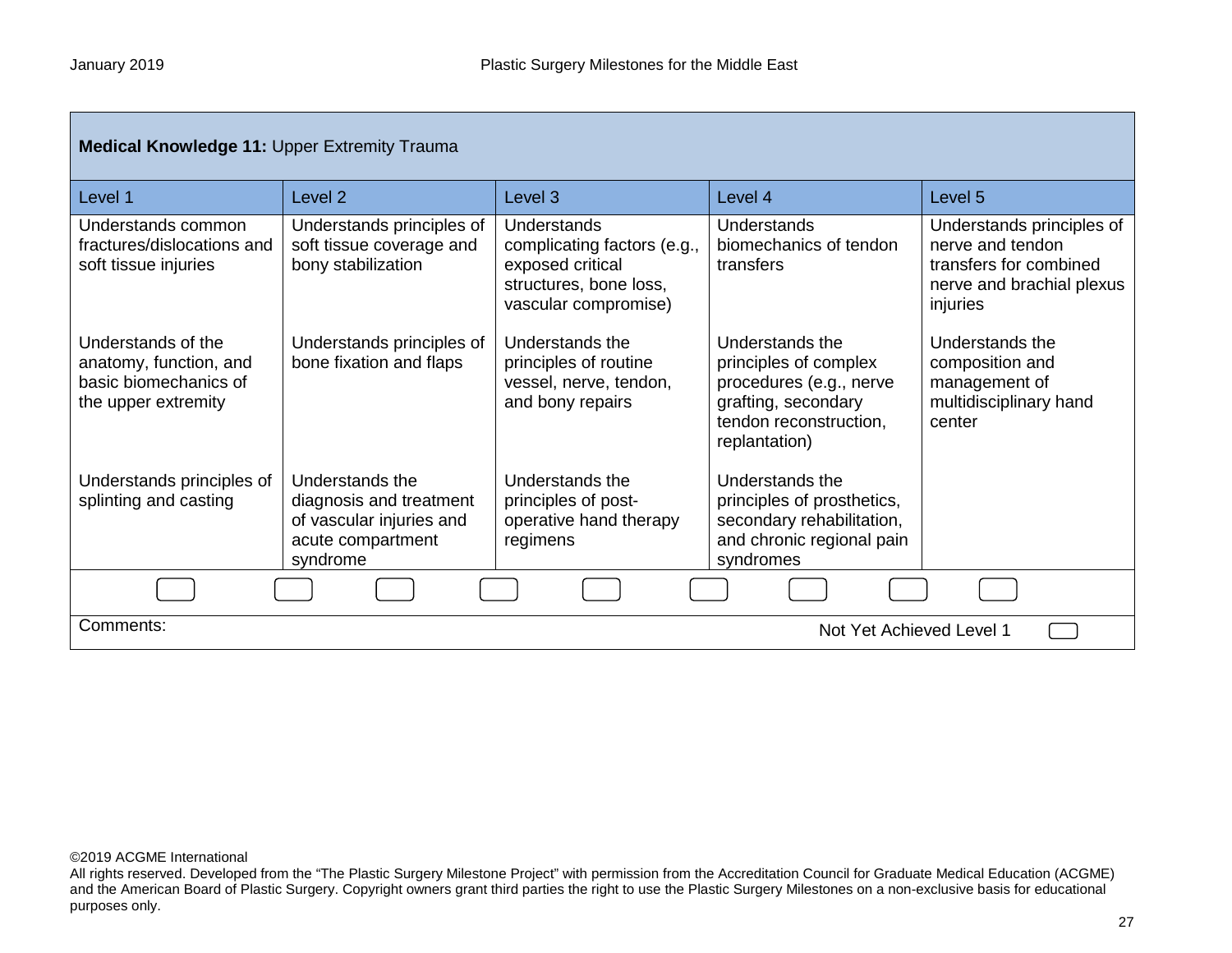| <b>Medical Knowledge 11: Upper Extremity Trauma</b>                                          |                                                                                                         |                                                                                                                  |                                                                                                                                       |                                                                                                                  |
|----------------------------------------------------------------------------------------------|---------------------------------------------------------------------------------------------------------|------------------------------------------------------------------------------------------------------------------|---------------------------------------------------------------------------------------------------------------------------------------|------------------------------------------------------------------------------------------------------------------|
| Level 1                                                                                      | Level <sub>2</sub>                                                                                      | Level 3                                                                                                          | Level 4                                                                                                                               | Level 5                                                                                                          |
| Understands common<br>fractures/dislocations and<br>soft tissue injuries                     | Understands principles of<br>soft tissue coverage and<br>bony stabilization                             | Understands<br>complicating factors (e.g.,<br>exposed critical<br>structures, bone loss,<br>vascular compromise) | Understands<br>biomechanics of tendon<br>transfers                                                                                    | Understands principles of<br>nerve and tendon<br>transfers for combined<br>nerve and brachial plexus<br>injuries |
| Understands of the<br>anatomy, function, and<br>basic biomechanics of<br>the upper extremity | Understands principles of<br>bone fixation and flaps                                                    | Understands the<br>principles of routine<br>vessel, nerve, tendon,<br>and bony repairs                           | Understands the<br>principles of complex<br>procedures (e.g., nerve<br>grafting, secondary<br>tendon reconstruction,<br>replantation) | Understands the<br>composition and<br>management of<br>multidisciplinary hand<br>center                          |
| Understands principles of<br>splinting and casting                                           | Understands the<br>diagnosis and treatment<br>of vascular injuries and<br>acute compartment<br>syndrome | Understands the<br>principles of post-<br>operative hand therapy<br>regimens                                     | Understands the<br>principles of prosthetics,<br>secondary rehabilitation,<br>and chronic regional pain<br>syndromes                  |                                                                                                                  |
|                                                                                              |                                                                                                         |                                                                                                                  |                                                                                                                                       |                                                                                                                  |
| Comments:<br>Not Yet Achieved Level 1                                                        |                                                                                                         |                                                                                                                  |                                                                                                                                       |                                                                                                                  |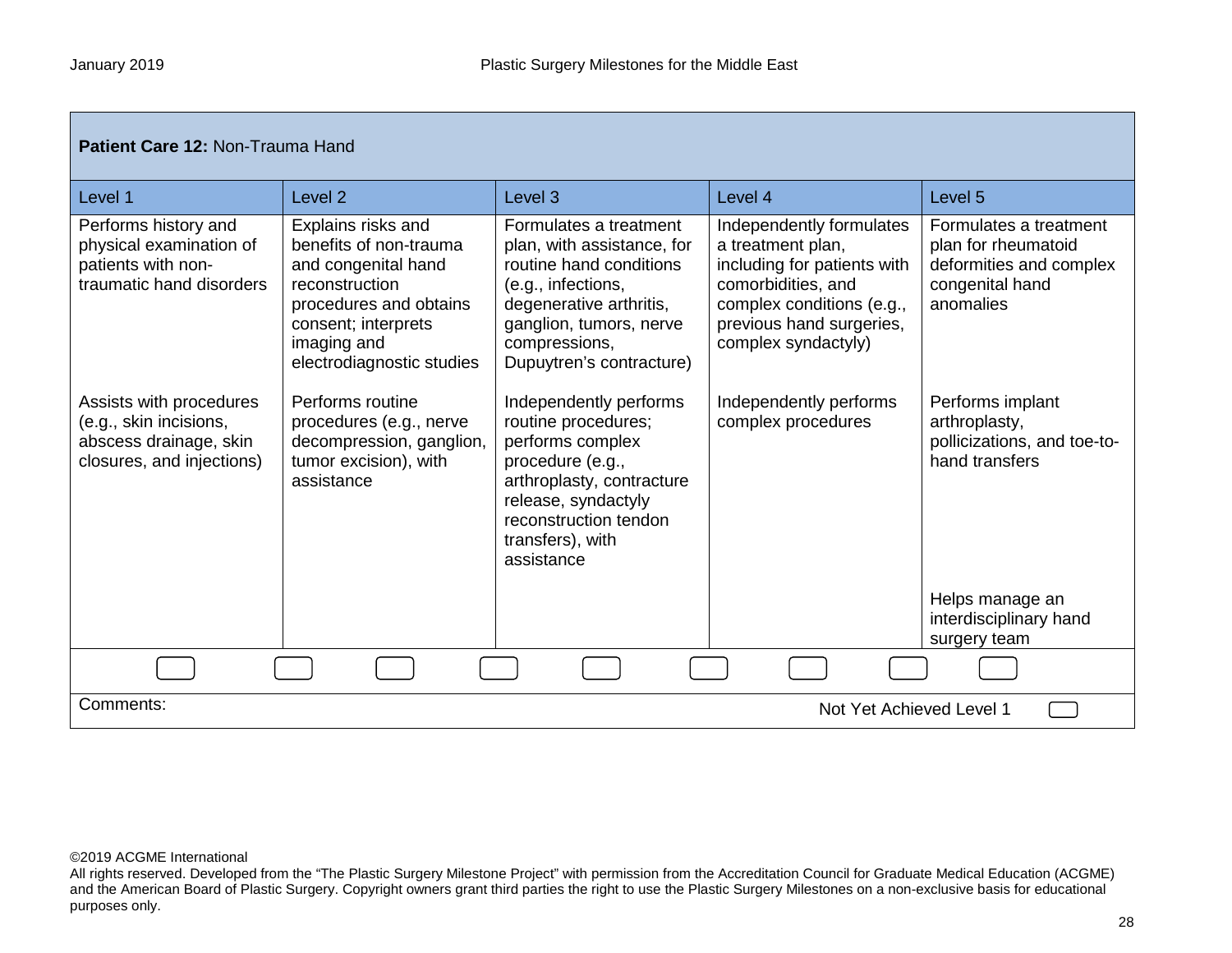| Patient Care 12: Non-Trauma Hand                                                                         |                                                                                                                                                                                    |                                                                                                                                                                                                          |                                                                                                                                                                                    |                                                                                                          |
|----------------------------------------------------------------------------------------------------------|------------------------------------------------------------------------------------------------------------------------------------------------------------------------------------|----------------------------------------------------------------------------------------------------------------------------------------------------------------------------------------------------------|------------------------------------------------------------------------------------------------------------------------------------------------------------------------------------|----------------------------------------------------------------------------------------------------------|
| Level 1                                                                                                  | Level <sub>2</sub>                                                                                                                                                                 | Level <sub>3</sub>                                                                                                                                                                                       | Level 4                                                                                                                                                                            | Level 5                                                                                                  |
| Performs history and<br>physical examination of<br>patients with non-<br>traumatic hand disorders        | Explains risks and<br>benefits of non-trauma<br>and congenital hand<br>reconstruction<br>procedures and obtains<br>consent; interprets<br>imaging and<br>electrodiagnostic studies | Formulates a treatment<br>plan, with assistance, for<br>routine hand conditions<br>(e.g., infections,<br>degenerative arthritis,<br>ganglion, tumors, nerve<br>compressions,<br>Dupuytren's contracture) | Independently formulates<br>a treatment plan,<br>including for patients with<br>comorbidities, and<br>complex conditions (e.g.,<br>previous hand surgeries,<br>complex syndactyly) | Formulates a treatment<br>plan for rheumatoid<br>deformities and complex<br>congenital hand<br>anomalies |
| Assists with procedures<br>(e.g., skin incisions,<br>abscess drainage, skin<br>closures, and injections) | Performs routine<br>procedures (e.g., nerve<br>decompression, ganglion,<br>tumor excision), with<br>assistance                                                                     | Independently performs<br>routine procedures;<br>performs complex<br>procedure (e.g.,<br>arthroplasty, contracture<br>release, syndactyly<br>reconstruction tendon<br>transfers), with<br>assistance     | Independently performs<br>complex procedures                                                                                                                                       | Performs implant<br>arthroplasty,<br>pollicizations, and toe-to-<br>hand transfers                       |
|                                                                                                          |                                                                                                                                                                                    |                                                                                                                                                                                                          |                                                                                                                                                                                    | Helps manage an<br>interdisciplinary hand<br>surgery team                                                |
|                                                                                                          |                                                                                                                                                                                    |                                                                                                                                                                                                          |                                                                                                                                                                                    |                                                                                                          |
| Comments:                                                                                                |                                                                                                                                                                                    |                                                                                                                                                                                                          | Not Yet Achieved Level 1                                                                                                                                                           |                                                                                                          |

All rights reserved. Developed from the "The Plastic Surgery Milestone Project" with permission from the Accreditation Council for Graduate Medical Education (ACGME) and the American Board of Plastic Surgery. Copyright owners grant third parties the right to use the Plastic Surgery Milestones on a non-exclusive basis for educational purposes only.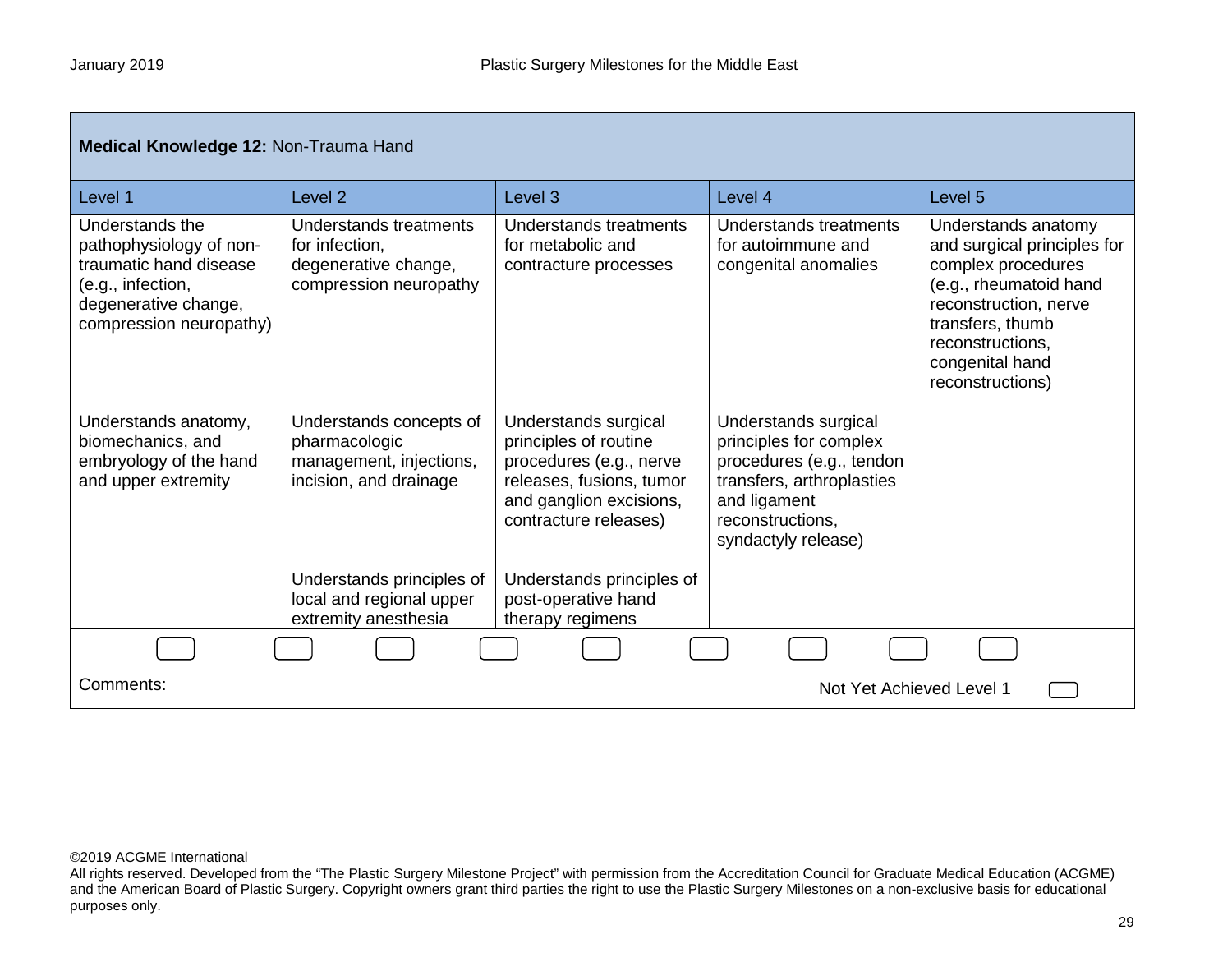| Medical Knowledge 12: Non-Trauma Hand                                                                                                        |                                                                                               |                                                                                                                                                          |                                                                                                                                                                    |                                                                                                                                                                                                            |  |
|----------------------------------------------------------------------------------------------------------------------------------------------|-----------------------------------------------------------------------------------------------|----------------------------------------------------------------------------------------------------------------------------------------------------------|--------------------------------------------------------------------------------------------------------------------------------------------------------------------|------------------------------------------------------------------------------------------------------------------------------------------------------------------------------------------------------------|--|
| Level 1                                                                                                                                      | Level <sub>2</sub>                                                                            | Level <sub>3</sub>                                                                                                                                       | Level 4                                                                                                                                                            | Level <sub>5</sub>                                                                                                                                                                                         |  |
| Understands the<br>pathophysiology of non-<br>traumatic hand disease<br>(e.g., infection,<br>degenerative change,<br>compression neuropathy) | Understands treatments<br>for infection,<br>degenerative change,<br>compression neuropathy    | Understands treatments<br>for metabolic and<br>contracture processes                                                                                     | Understands treatments<br>for autoimmune and<br>congenital anomalies                                                                                               | Understands anatomy<br>and surgical principles for<br>complex procedures<br>(e.g., rheumatoid hand<br>reconstruction, nerve<br>transfers, thumb<br>reconstructions,<br>congenital hand<br>reconstructions) |  |
| Understands anatomy,<br>biomechanics, and<br>embryology of the hand<br>and upper extremity                                                   | Understands concepts of<br>pharmacologic<br>management, injections,<br>incision, and drainage | Understands surgical<br>principles of routine<br>procedures (e.g., nerve<br>releases, fusions, tumor<br>and ganglion excisions,<br>contracture releases) | Understands surgical<br>principles for complex<br>procedures (e.g., tendon<br>transfers, arthroplasties<br>and ligament<br>reconstructions.<br>syndactyly release) |                                                                                                                                                                                                            |  |
|                                                                                                                                              | Understands principles of<br>local and regional upper<br>extremity anesthesia                 | Understands principles of<br>post-operative hand<br>therapy regimens                                                                                     |                                                                                                                                                                    |                                                                                                                                                                                                            |  |
|                                                                                                                                              |                                                                                               |                                                                                                                                                          |                                                                                                                                                                    |                                                                                                                                                                                                            |  |
| Comments:                                                                                                                                    |                                                                                               |                                                                                                                                                          | Not Yet Achieved Level 1                                                                                                                                           |                                                                                                                                                                                                            |  |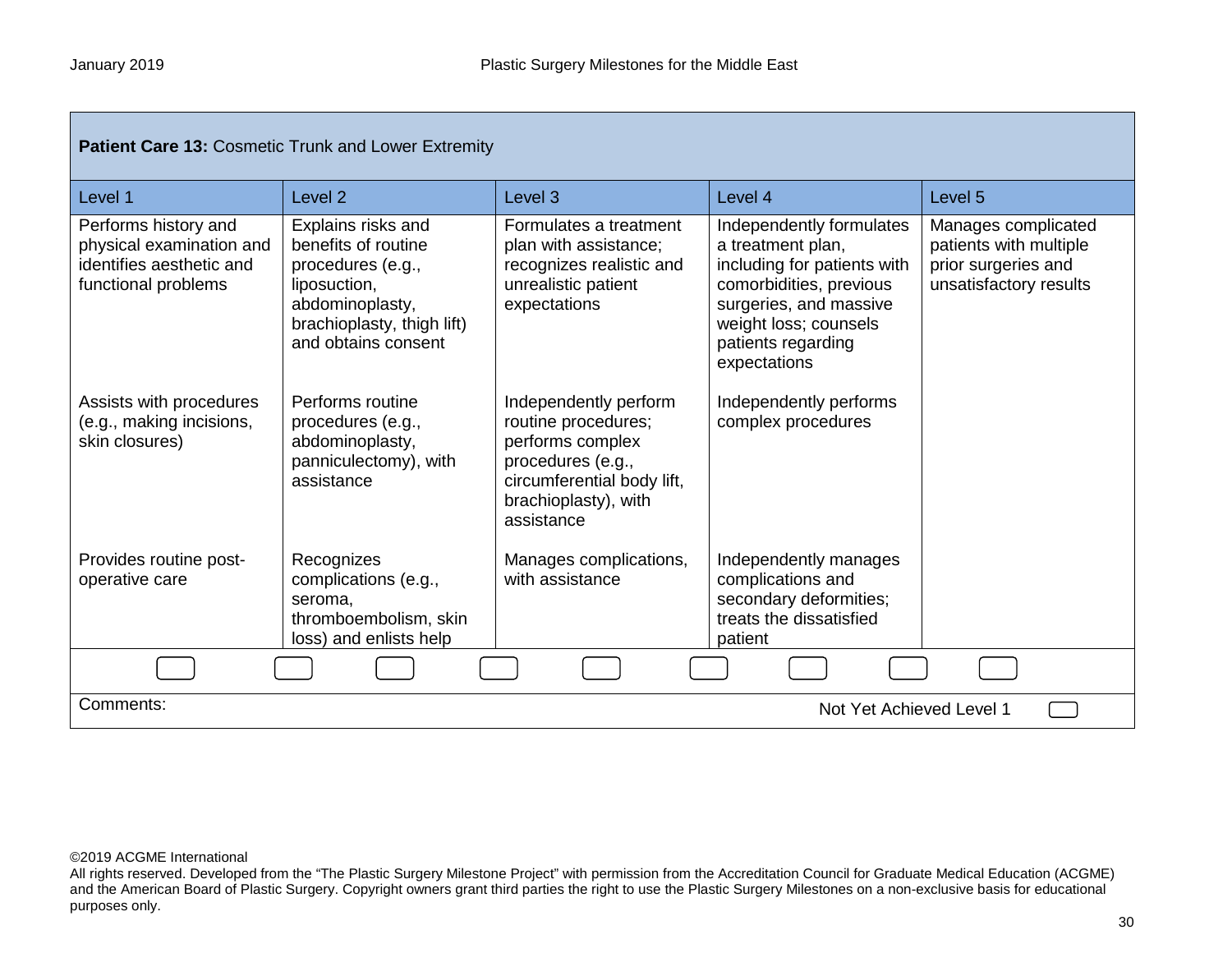| Patient Care 13: Cosmetic Trunk and Lower Extremity                                                 |                                                                                                                                                        |                                                                                                                                                           |                                                                                                                                                                                                  |                                                                                                |  |
|-----------------------------------------------------------------------------------------------------|--------------------------------------------------------------------------------------------------------------------------------------------------------|-----------------------------------------------------------------------------------------------------------------------------------------------------------|--------------------------------------------------------------------------------------------------------------------------------------------------------------------------------------------------|------------------------------------------------------------------------------------------------|--|
| Level 1                                                                                             | Level 2                                                                                                                                                | Level 3                                                                                                                                                   | Level 4                                                                                                                                                                                          | Level 5                                                                                        |  |
| Performs history and<br>physical examination and<br>identifies aesthetic and<br>functional problems | Explains risks and<br>benefits of routine<br>procedures (e.g.,<br>liposuction,<br>abdominoplasty,<br>brachioplasty, thigh lift)<br>and obtains consent | Formulates a treatment<br>plan with assistance;<br>recognizes realistic and<br>unrealistic patient<br>expectations                                        | Independently formulates<br>a treatment plan,<br>including for patients with<br>comorbidities, previous<br>surgeries, and massive<br>weight loss; counsels<br>patients regarding<br>expectations | Manages complicated<br>patients with multiple<br>prior surgeries and<br>unsatisfactory results |  |
| Assists with procedures<br>(e.g., making incisions,<br>skin closures)                               | Performs routine<br>procedures (e.g.,<br>abdominoplasty,<br>panniculectomy), with<br>assistance                                                        | Independently perform<br>routine procedures;<br>performs complex<br>procedures (e.g.,<br>circumferential body lift,<br>brachioplasty), with<br>assistance | Independently performs<br>complex procedures                                                                                                                                                     |                                                                                                |  |
| Provides routine post-<br>operative care                                                            | Recognizes<br>complications (e.g.,<br>seroma,<br>thromboembolism, skin<br>loss) and enlists help                                                       | Manages complications,<br>with assistance                                                                                                                 | Independently manages<br>complications and<br>secondary deformities;<br>treats the dissatisfied<br>patient                                                                                       |                                                                                                |  |
|                                                                                                     |                                                                                                                                                        |                                                                                                                                                           |                                                                                                                                                                                                  |                                                                                                |  |
| Comments:                                                                                           |                                                                                                                                                        |                                                                                                                                                           | Not Yet Achieved Level 1                                                                                                                                                                         |                                                                                                |  |

All rights reserved. Developed from the "The Plastic Surgery Milestone Project" with permission from the Accreditation Council for Graduate Medical Education (ACGME) and the American Board of Plastic Surgery. Copyright owners grant third parties the right to use the Plastic Surgery Milestones on a non-exclusive basis for educational purposes only.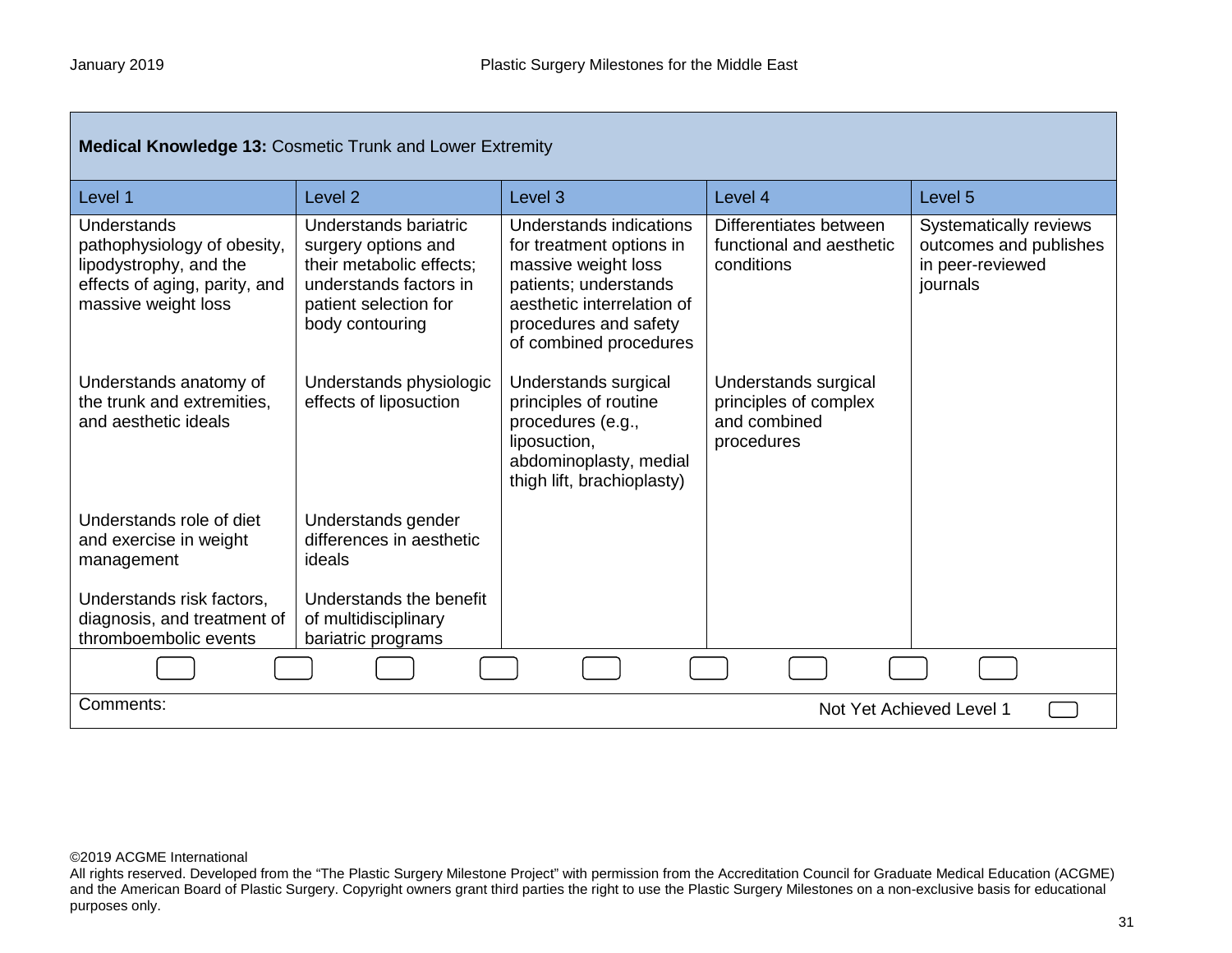| <b>Medical Knowledge 13: Cosmetic Trunk and Lower Extremity</b>                                                                     |                                                                                                                                                |                                                                                                                                                                                      |                                                                             |                                                                                  |
|-------------------------------------------------------------------------------------------------------------------------------------|------------------------------------------------------------------------------------------------------------------------------------------------|--------------------------------------------------------------------------------------------------------------------------------------------------------------------------------------|-----------------------------------------------------------------------------|----------------------------------------------------------------------------------|
| Level 1                                                                                                                             | Level <sub>2</sub>                                                                                                                             | Level <sub>3</sub>                                                                                                                                                                   | Level 4                                                                     | Level <sub>5</sub>                                                               |
| <b>Understands</b><br>pathophysiology of obesity,<br>lipodystrophy, and the<br>effects of aging, parity, and<br>massive weight loss | Understands bariatric<br>surgery options and<br>their metabolic effects;<br>understands factors in<br>patient selection for<br>body contouring | Understands indications<br>for treatment options in<br>massive weight loss<br>patients; understands<br>aesthetic interrelation of<br>procedures and safety<br>of combined procedures | Differentiates between<br>functional and aesthetic<br>conditions            | Systematically reviews<br>outcomes and publishes<br>in peer-reviewed<br>journals |
| Understands anatomy of<br>the trunk and extremities,<br>and aesthetic ideals                                                        | Understands physiologic<br>effects of liposuction                                                                                              | Understands surgical<br>principles of routine<br>procedures (e.g.,<br>liposuction,<br>abdominoplasty, medial<br>thigh lift, brachioplasty)                                           | Understands surgical<br>principles of complex<br>and combined<br>procedures |                                                                                  |
| Understands role of diet<br>and exercise in weight<br>management                                                                    | Understands gender<br>differences in aesthetic<br>ideals                                                                                       |                                                                                                                                                                                      |                                                                             |                                                                                  |
| Understands risk factors,<br>diagnosis, and treatment of                                                                            | Understands the benefit<br>of multidisciplinary                                                                                                |                                                                                                                                                                                      |                                                                             |                                                                                  |
| thromboembolic events                                                                                                               | bariatric programs                                                                                                                             |                                                                                                                                                                                      |                                                                             |                                                                                  |
|                                                                                                                                     |                                                                                                                                                |                                                                                                                                                                                      |                                                                             |                                                                                  |
| Comments:<br>Not Yet Achieved Level 1                                                                                               |                                                                                                                                                |                                                                                                                                                                                      |                                                                             |                                                                                  |

All rights reserved. Developed from the "The Plastic Surgery Milestone Project" with permission from the Accreditation Council for Graduate Medical Education (ACGME) and the American Board of Plastic Surgery. Copyright owners grant third parties the right to use the Plastic Surgery Milestones on a non-exclusive basis for educational purposes only.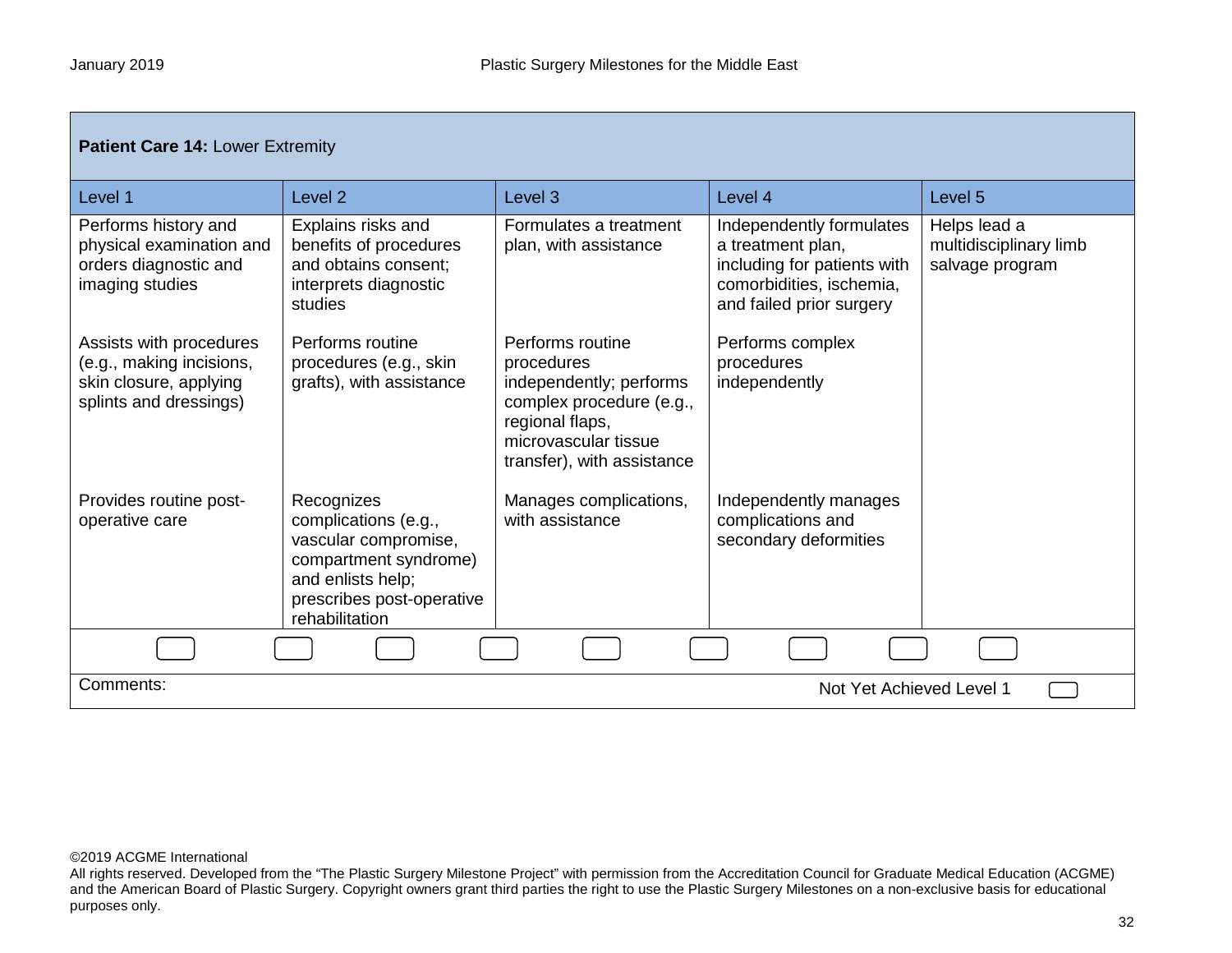| <b>Patient Care 14: Lower Extremity</b>                                                                 |                                                                                                                                                         |                                                                                                                                                                |                                                                                                                                      |                                                           |  |
|---------------------------------------------------------------------------------------------------------|---------------------------------------------------------------------------------------------------------------------------------------------------------|----------------------------------------------------------------------------------------------------------------------------------------------------------------|--------------------------------------------------------------------------------------------------------------------------------------|-----------------------------------------------------------|--|
| Level 1                                                                                                 | Level <sub>2</sub>                                                                                                                                      | Level <sub>3</sub>                                                                                                                                             | Level 4                                                                                                                              | Level 5                                                   |  |
| Performs history and<br>physical examination and<br>orders diagnostic and<br>imaging studies            | Explains risks and<br>benefits of procedures<br>and obtains consent;<br>interprets diagnostic<br>studies                                                | Formulates a treatment<br>plan, with assistance                                                                                                                | Independently formulates<br>a treatment plan,<br>including for patients with<br>comorbidities, ischemia,<br>and failed prior surgery | Helps lead a<br>multidisciplinary limb<br>salvage program |  |
| Assists with procedures<br>(e.g., making incisions,<br>skin closure, applying<br>splints and dressings) | Performs routine<br>procedures (e.g., skin<br>grafts), with assistance                                                                                  | Performs routine<br>procedures<br>independently; performs<br>complex procedure (e.g.,<br>regional flaps,<br>microvascular tissue<br>transfer), with assistance | Performs complex<br>procedures<br>independently                                                                                      |                                                           |  |
| Provides routine post-<br>operative care                                                                | Recognizes<br>complications (e.g.,<br>vascular compromise,<br>compartment syndrome)<br>and enlists help;<br>prescribes post-operative<br>rehabilitation | Manages complications,<br>with assistance                                                                                                                      | Independently manages<br>complications and<br>secondary deformities                                                                  |                                                           |  |
|                                                                                                         |                                                                                                                                                         |                                                                                                                                                                |                                                                                                                                      |                                                           |  |
| Comments:                                                                                               | Not Yet Achieved Level 1                                                                                                                                |                                                                                                                                                                |                                                                                                                                      |                                                           |  |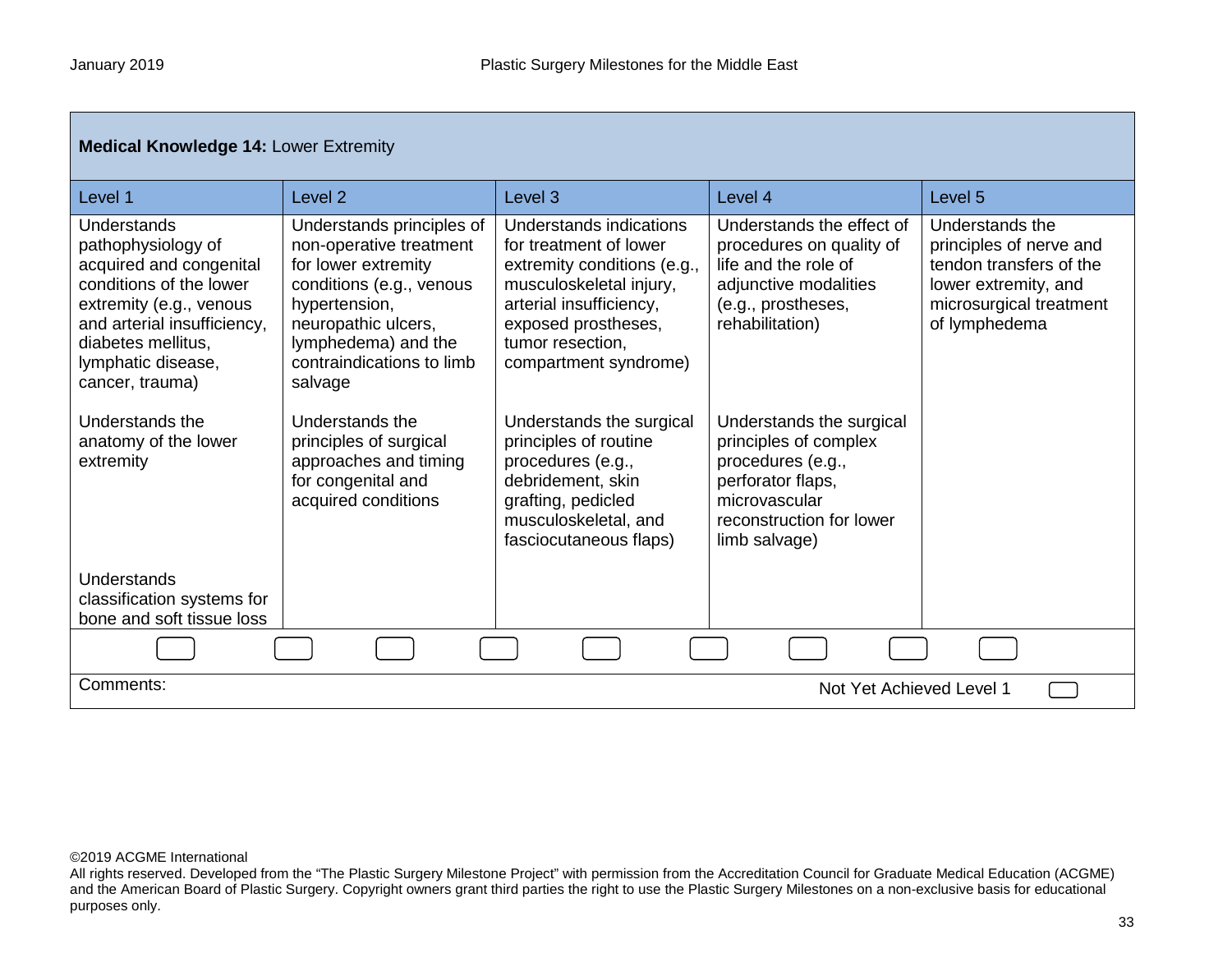| <b>Medical Knowledge 14: Lower Extremity</b>                                                                                                                                                                     |                                                                                                                                                                                                                |                                                                                                                                                                                                            |                                                                                                                                                           |                                                                                                                                           |
|------------------------------------------------------------------------------------------------------------------------------------------------------------------------------------------------------------------|----------------------------------------------------------------------------------------------------------------------------------------------------------------------------------------------------------------|------------------------------------------------------------------------------------------------------------------------------------------------------------------------------------------------------------|-----------------------------------------------------------------------------------------------------------------------------------------------------------|-------------------------------------------------------------------------------------------------------------------------------------------|
| Level 1                                                                                                                                                                                                          | Level <sub>2</sub>                                                                                                                                                                                             | Level <sub>3</sub>                                                                                                                                                                                         | Level 4                                                                                                                                                   | Level <sub>5</sub>                                                                                                                        |
| Understands<br>pathophysiology of<br>acquired and congenital<br>conditions of the lower<br>extremity (e.g., venous<br>and arterial insufficiency,<br>diabetes mellitus.<br>lymphatic disease,<br>cancer, trauma) | Understands principles of<br>non-operative treatment<br>for lower extremity<br>conditions (e.g., venous<br>hypertension,<br>neuropathic ulcers,<br>lymphedema) and the<br>contraindications to limb<br>salvage | Understands indications<br>for treatment of lower<br>extremity conditions (e.g.,<br>musculoskeletal injury,<br>arterial insufficiency,<br>exposed prostheses,<br>tumor resection,<br>compartment syndrome) | Understands the effect of<br>procedures on quality of<br>life and the role of<br>adjunctive modalities<br>(e.g., prostheses,<br>rehabilitation)           | Understands the<br>principles of nerve and<br>tendon transfers of the<br>lower extremity, and<br>microsurgical treatment<br>of lymphedema |
| Understands the<br>anatomy of the lower<br>extremity                                                                                                                                                             | Understands the<br>principles of surgical<br>approaches and timing<br>for congenital and<br>acquired conditions                                                                                                | Understands the surgical<br>principles of routine<br>procedures (e.g.,<br>debridement, skin<br>grafting, pedicled<br>musculoskeletal, and<br>fasciocutaneous flaps)                                        | Understands the surgical<br>principles of complex<br>procedures (e.g.,<br>perforator flaps,<br>microvascular<br>reconstruction for lower<br>limb salvage) |                                                                                                                                           |
| Understands<br>classification systems for<br>bone and soft tissue loss                                                                                                                                           |                                                                                                                                                                                                                |                                                                                                                                                                                                            |                                                                                                                                                           |                                                                                                                                           |
|                                                                                                                                                                                                                  |                                                                                                                                                                                                                |                                                                                                                                                                                                            |                                                                                                                                                           |                                                                                                                                           |
| Comments:<br>Not Yet Achieved Level 1                                                                                                                                                                            |                                                                                                                                                                                                                |                                                                                                                                                                                                            |                                                                                                                                                           |                                                                                                                                           |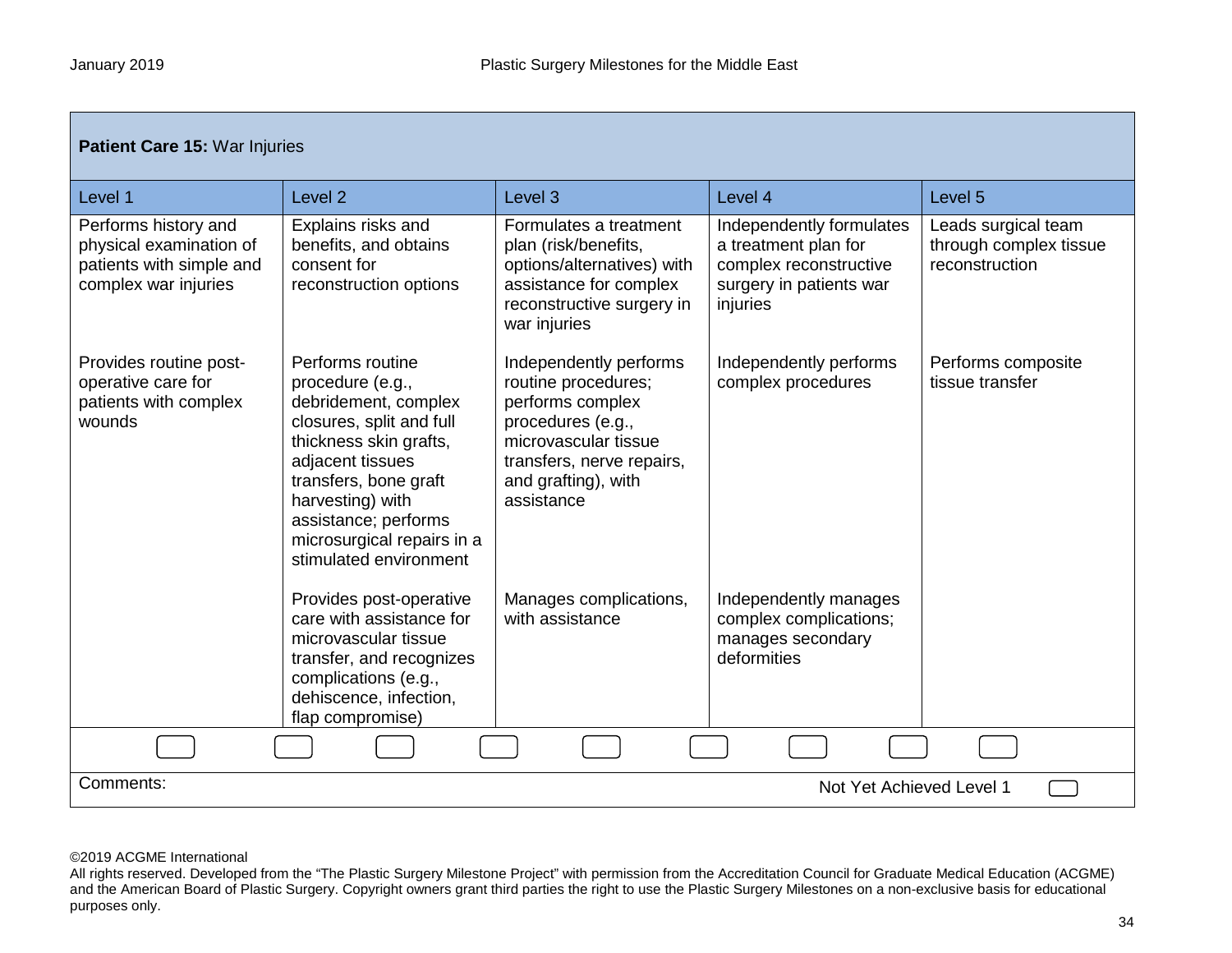г

| Patient Care 15: War Injuries                                                                       |                                                                                                                                                                                                                                                                     |                                                                                                                                                                                  |                                                                                                                   |                                                                 |  |
|-----------------------------------------------------------------------------------------------------|---------------------------------------------------------------------------------------------------------------------------------------------------------------------------------------------------------------------------------------------------------------------|----------------------------------------------------------------------------------------------------------------------------------------------------------------------------------|-------------------------------------------------------------------------------------------------------------------|-----------------------------------------------------------------|--|
| Level 1                                                                                             | Level <sub>2</sub>                                                                                                                                                                                                                                                  | Level <sub>3</sub>                                                                                                                                                               | Level 4                                                                                                           | Level <sub>5</sub>                                              |  |
| Performs history and<br>physical examination of<br>patients with simple and<br>complex war injuries | Explains risks and<br>benefits, and obtains<br>consent for<br>reconstruction options                                                                                                                                                                                | Formulates a treatment<br>plan (risk/benefits,<br>options/alternatives) with<br>assistance for complex<br>reconstructive surgery in<br>war injuries                              | Independently formulates<br>a treatment plan for<br>complex reconstructive<br>surgery in patients war<br>injuries | Leads surgical team<br>through complex tissue<br>reconstruction |  |
| Provides routine post-<br>operative care for<br>patients with complex<br>wounds                     | Performs routine<br>procedure (e.g.,<br>debridement, complex<br>closures, split and full<br>thickness skin grafts,<br>adjacent tissues<br>transfers, bone graft<br>harvesting) with<br>assistance; performs<br>microsurgical repairs in a<br>stimulated environment | Independently performs<br>routine procedures;<br>performs complex<br>procedures (e.g.,<br>microvascular tissue<br>transfers, nerve repairs,<br>and grafting), with<br>assistance | Independently performs<br>complex procedures                                                                      | Performs composite<br>tissue transfer                           |  |
|                                                                                                     | Provides post-operative<br>care with assistance for<br>microvascular tissue<br>transfer, and recognizes<br>complications (e.g.,<br>dehiscence, infection,<br>flap compromise)                                                                                       | Manages complications,<br>with assistance                                                                                                                                        | Independently manages<br>complex complications;<br>manages secondary<br>deformities                               |                                                                 |  |
|                                                                                                     |                                                                                                                                                                                                                                                                     |                                                                                                                                                                                  |                                                                                                                   |                                                                 |  |
| Comments:                                                                                           | Not Yet Achieved Level 1                                                                                                                                                                                                                                            |                                                                                                                                                                                  |                                                                                                                   |                                                                 |  |

# ©2019 ACGME International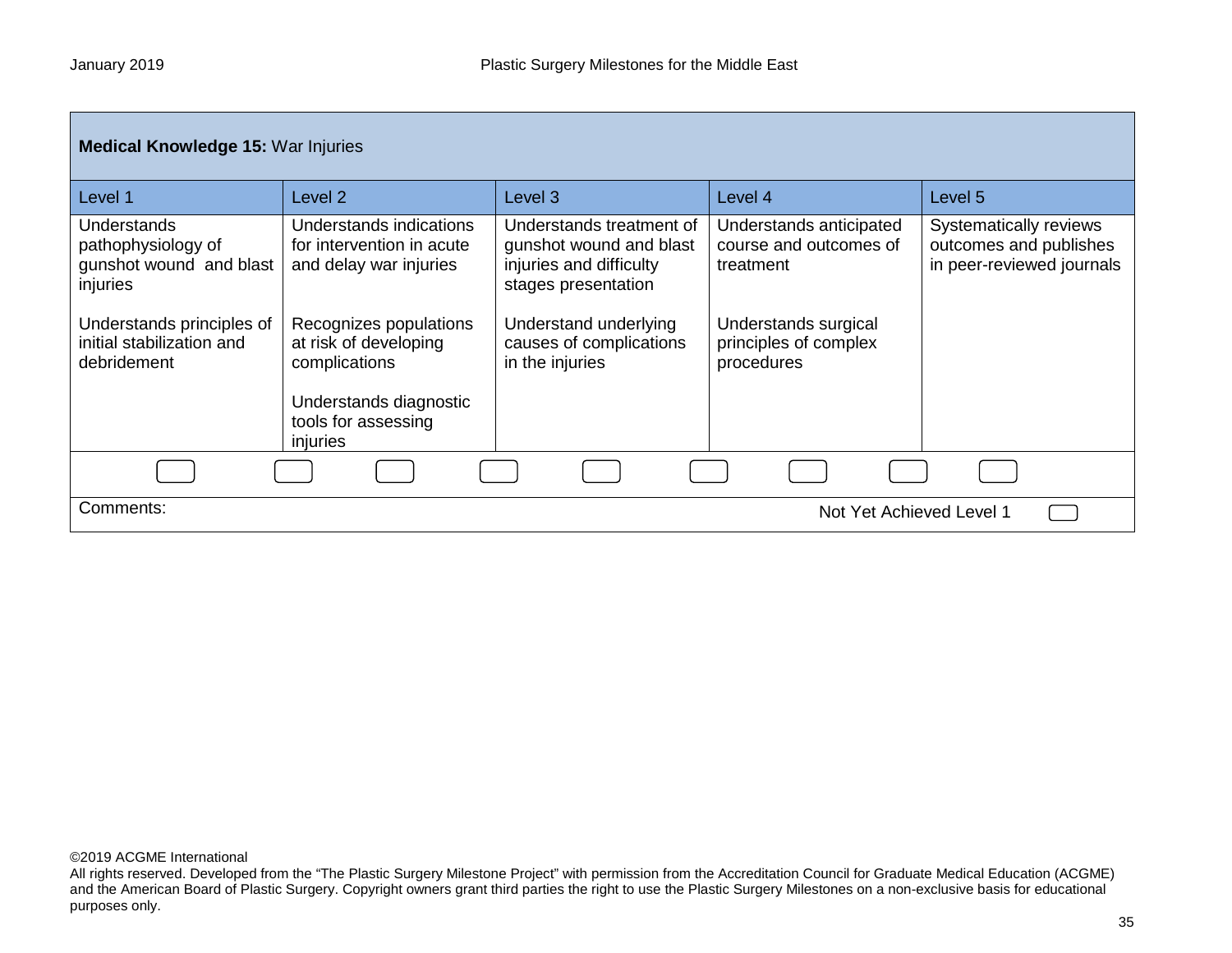| <b>Medical Knowledge 15: War Injuries</b>                                       |                                                                                |                                                                                                       |                                                                |                                                                               |
|---------------------------------------------------------------------------------|--------------------------------------------------------------------------------|-------------------------------------------------------------------------------------------------------|----------------------------------------------------------------|-------------------------------------------------------------------------------|
| Level 1                                                                         | Level 2                                                                        | Level <sub>3</sub>                                                                                    | Level 4                                                        | Level 5                                                                       |
| <b>Understands</b><br>pathophysiology of<br>gunshot wound and blast<br>injuries | Understands indications<br>for intervention in acute<br>and delay war injuries | Understands treatment of<br>gunshot wound and blast<br>injuries and difficulty<br>stages presentation | Understands anticipated<br>course and outcomes of<br>treatment | Systematically reviews<br>outcomes and publishes<br>in peer-reviewed journals |
| Understands principles of<br>initial stabilization and<br>debridement           | Recognizes populations<br>at risk of developing<br>complications               | Understand underlying<br>causes of complications<br>in the injuries                                   | Understands surgical<br>principles of complex<br>procedures    |                                                                               |
|                                                                                 | Understands diagnostic<br>tools for assessing<br>injuries                      |                                                                                                       |                                                                |                                                                               |
|                                                                                 |                                                                                |                                                                                                       |                                                                |                                                                               |
| Comments:<br>Not Yet Achieved Level 1                                           |                                                                                |                                                                                                       |                                                                |                                                                               |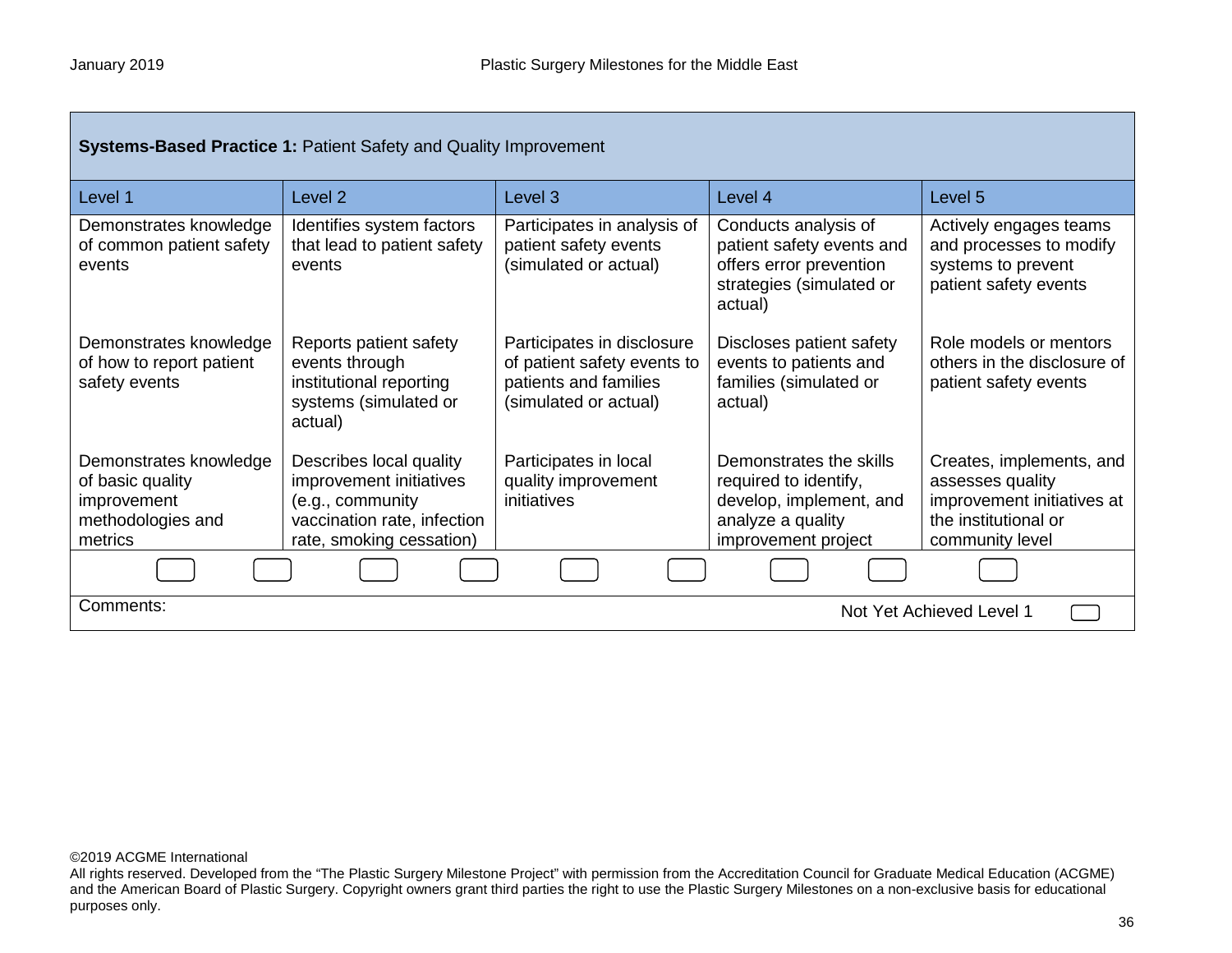г

| <b>Systems-Based Practice 1: Patient Safety and Quality Improvement</b>                   |                                                                                                                                   |                                                                                                             |                                                                                                                         |                                                                                                                       |
|-------------------------------------------------------------------------------------------|-----------------------------------------------------------------------------------------------------------------------------------|-------------------------------------------------------------------------------------------------------------|-------------------------------------------------------------------------------------------------------------------------|-----------------------------------------------------------------------------------------------------------------------|
| Level 1                                                                                   | Level <sub>2</sub>                                                                                                                | Level 3                                                                                                     | Level 4                                                                                                                 | Level 5                                                                                                               |
| Demonstrates knowledge<br>of common patient safety<br>events                              | Identifies system factors<br>that lead to patient safety<br>events                                                                | Participates in analysis of<br>patient safety events<br>(simulated or actual)                               | Conducts analysis of<br>patient safety events and<br>offers error prevention<br>strategies (simulated or<br>actual)     | Actively engages teams<br>and processes to modify<br>systems to prevent<br>patient safety events                      |
| Demonstrates knowledge<br>of how to report patient<br>safety events                       | Reports patient safety<br>events through<br>institutional reporting<br>systems (simulated or<br>actual)                           | Participates in disclosure<br>of patient safety events to<br>patients and families<br>(simulated or actual) | Discloses patient safety<br>events to patients and<br>families (simulated or<br>actual)                                 | Role models or mentors<br>others in the disclosure of<br>patient safety events                                        |
| Demonstrates knowledge<br>of basic quality<br>improvement<br>methodologies and<br>metrics | Describes local quality<br>improvement initiatives<br>(e.g., community<br>vaccination rate, infection<br>rate, smoking cessation) | Participates in local<br>quality improvement<br>initiatives                                                 | Demonstrates the skills<br>required to identify,<br>develop, implement, and<br>analyze a quality<br>improvement project | Creates, implements, and<br>assesses quality<br>improvement initiatives at<br>the institutional or<br>community level |
|                                                                                           |                                                                                                                                   |                                                                                                             |                                                                                                                         |                                                                                                                       |
| Comments:<br>Not Yet Achieved Level 1                                                     |                                                                                                                                   |                                                                                                             |                                                                                                                         |                                                                                                                       |

©2019 ACGME International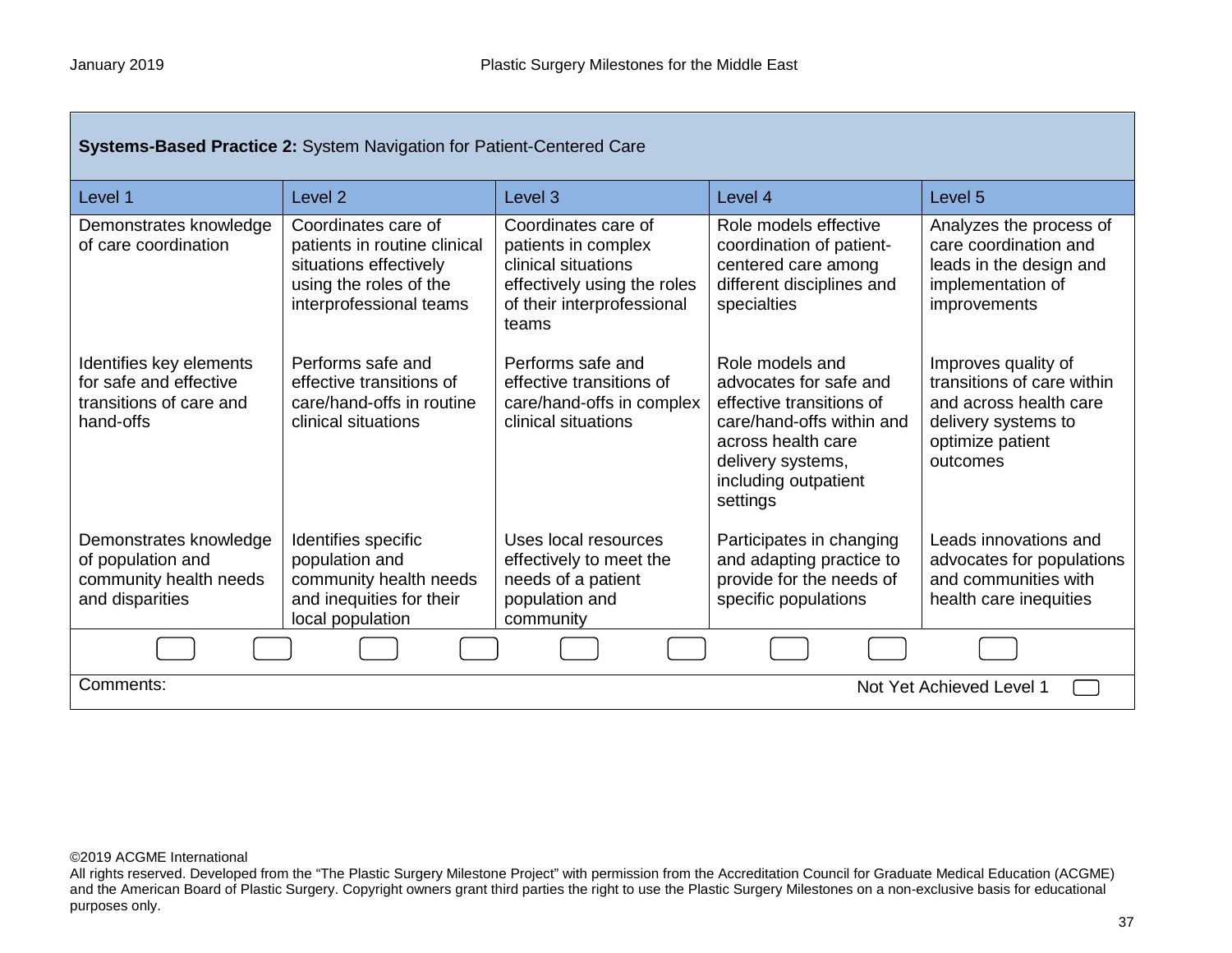| Systems-Based Practice 2: System Navigation for Patient-Centered Care                     |                                                                                                                                    |                                                                                                                                         |                                                                                                                                                                                   |                                                                                                                                    |  |
|-------------------------------------------------------------------------------------------|------------------------------------------------------------------------------------------------------------------------------------|-----------------------------------------------------------------------------------------------------------------------------------------|-----------------------------------------------------------------------------------------------------------------------------------------------------------------------------------|------------------------------------------------------------------------------------------------------------------------------------|--|
| Level 1                                                                                   | Level <sub>2</sub>                                                                                                                 | Level <sub>3</sub>                                                                                                                      | Level 4                                                                                                                                                                           | Level 5                                                                                                                            |  |
| Demonstrates knowledge<br>of care coordination                                            | Coordinates care of<br>patients in routine clinical<br>situations effectively<br>using the roles of the<br>interprofessional teams | Coordinates care of<br>patients in complex<br>clinical situations<br>effectively using the roles<br>of their interprofessional<br>teams | Role models effective<br>coordination of patient-<br>centered care among<br>different disciplines and<br>specialties                                                              | Analyzes the process of<br>care coordination and<br>leads in the design and<br>implementation of<br>improvements                   |  |
| Identifies key elements<br>for safe and effective<br>transitions of care and<br>hand-offs | Performs safe and<br>effective transitions of<br>care/hand-offs in routine<br>clinical situations                                  | Performs safe and<br>effective transitions of<br>care/hand-offs in complex<br>clinical situations                                       | Role models and<br>advocates for safe and<br>effective transitions of<br>care/hand-offs within and<br>across health care<br>delivery systems,<br>including outpatient<br>settings | Improves quality of<br>transitions of care within<br>and across health care<br>delivery systems to<br>optimize patient<br>outcomes |  |
| Demonstrates knowledge<br>of population and<br>community health needs<br>and disparities  | Identifies specific<br>population and<br>community health needs<br>and inequities for their<br>local population                    | Uses local resources<br>effectively to meet the<br>needs of a patient<br>population and<br>community                                    | Participates in changing<br>and adapting practice to<br>provide for the needs of<br>specific populations                                                                          | Leads innovations and<br>advocates for populations<br>and communities with<br>health care inequities                               |  |
|                                                                                           |                                                                                                                                    |                                                                                                                                         |                                                                                                                                                                                   |                                                                                                                                    |  |
| Comments:                                                                                 | Not Yet Achieved Level 1                                                                                                           |                                                                                                                                         |                                                                                                                                                                                   |                                                                                                                                    |  |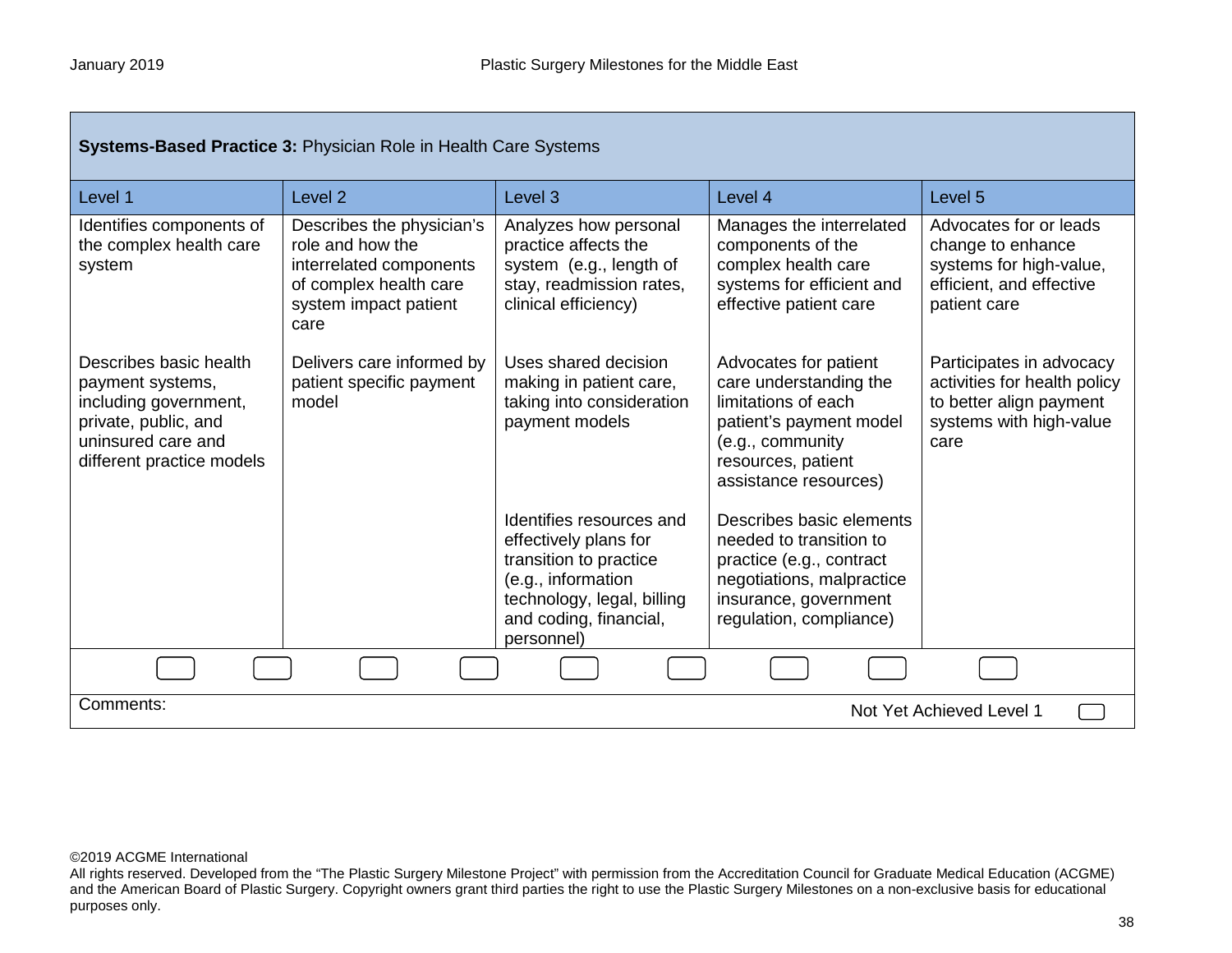г

| <b>Systems-Based Practice 3: Physician Role in Health Care Systems</b>                                                                         |                                                                                                                                     |                                                                                                                                                                         |                                                                                                                                                                      |                                                                                                                        |
|------------------------------------------------------------------------------------------------------------------------------------------------|-------------------------------------------------------------------------------------------------------------------------------------|-------------------------------------------------------------------------------------------------------------------------------------------------------------------------|----------------------------------------------------------------------------------------------------------------------------------------------------------------------|------------------------------------------------------------------------------------------------------------------------|
| Level 1                                                                                                                                        | Level <sub>2</sub>                                                                                                                  | Level 3                                                                                                                                                                 | Level 4                                                                                                                                                              | Level 5                                                                                                                |
| Identifies components of<br>the complex health care<br>system                                                                                  | Describes the physician's<br>role and how the<br>interrelated components<br>of complex health care<br>system impact patient<br>care | Analyzes how personal<br>practice affects the<br>system (e.g., length of<br>stay, readmission rates,<br>clinical efficiency)                                            | Manages the interrelated<br>components of the<br>complex health care<br>systems for efficient and<br>effective patient care                                          | Advocates for or leads<br>change to enhance<br>systems for high-value,<br>efficient, and effective<br>patient care     |
| Describes basic health<br>payment systems,<br>including government,<br>private, public, and<br>uninsured care and<br>different practice models | Delivers care informed by<br>patient specific payment<br>model                                                                      | Uses shared decision<br>making in patient care,<br>taking into consideration<br>payment models                                                                          | Advocates for patient<br>care understanding the<br>limitations of each<br>patient's payment model<br>(e.g., community<br>resources, patient<br>assistance resources) | Participates in advocacy<br>activities for health policy<br>to better align payment<br>systems with high-value<br>care |
|                                                                                                                                                |                                                                                                                                     | Identifies resources and<br>effectively plans for<br>transition to practice<br>(e.g., information<br>technology, legal, billing<br>and coding, financial,<br>personnel) | Describes basic elements<br>needed to transition to<br>practice (e.g., contract<br>negotiations, malpractice<br>insurance, government<br>regulation, compliance)     |                                                                                                                        |
|                                                                                                                                                |                                                                                                                                     |                                                                                                                                                                         |                                                                                                                                                                      |                                                                                                                        |
| Comments:<br>Not Yet Achieved Level 1                                                                                                          |                                                                                                                                     |                                                                                                                                                                         |                                                                                                                                                                      |                                                                                                                        |

All rights reserved. Developed from the "The Plastic Surgery Milestone Project" with permission from the Accreditation Council for Graduate Medical Education (ACGME) and the American Board of Plastic Surgery. Copyright owners grant third parties the right to use the Plastic Surgery Milestones on a non-exclusive basis for educational purposes only.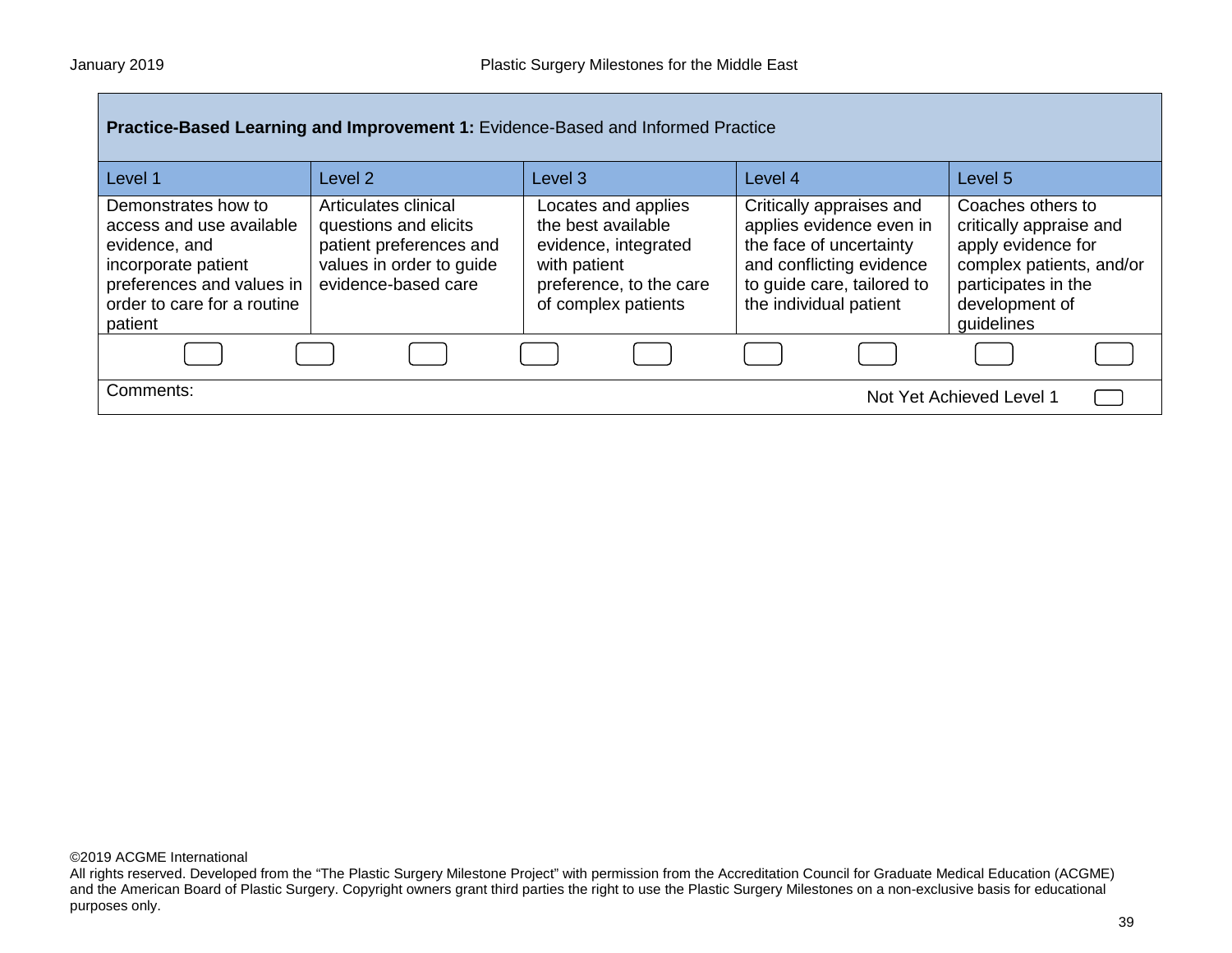| <b>Practice-Based Learning and Improvement 1: Evidence-Based and Informed Practice</b>                                                                         |                                                                                                                             |                                                                                                                                     |                                                                                                                                                                     |                                                                                                                                                       |  |
|----------------------------------------------------------------------------------------------------------------------------------------------------------------|-----------------------------------------------------------------------------------------------------------------------------|-------------------------------------------------------------------------------------------------------------------------------------|---------------------------------------------------------------------------------------------------------------------------------------------------------------------|-------------------------------------------------------------------------------------------------------------------------------------------------------|--|
| Level 1                                                                                                                                                        | Level <sub>2</sub>                                                                                                          | Level <sub>3</sub>                                                                                                                  | Level 4                                                                                                                                                             | Level 5                                                                                                                                               |  |
| Demonstrates how to<br>access and use available<br>evidence, and<br>incorporate patient<br>preferences and values in<br>order to care for a routine<br>patient | Articulates clinical<br>questions and elicits<br>patient preferences and<br>values in order to guide<br>evidence-based care | Locates and applies<br>the best available<br>evidence, integrated<br>with patient<br>preference, to the care<br>of complex patients | Critically appraises and<br>applies evidence even in<br>the face of uncertainty<br>and conflicting evidence<br>to guide care, tailored to<br>the individual patient | Coaches others to<br>critically appraise and<br>apply evidence for<br>complex patients, and/or<br>participates in the<br>development of<br>guidelines |  |
|                                                                                                                                                                |                                                                                                                             |                                                                                                                                     |                                                                                                                                                                     |                                                                                                                                                       |  |
| Comments:                                                                                                                                                      |                                                                                                                             |                                                                                                                                     |                                                                                                                                                                     | Not Yet Achieved Level 1                                                                                                                              |  |

All rights reserved. Developed from the "The Plastic Surgery Milestone Project" with permission from the Accreditation Council for Graduate Medical Education (ACGME) and the American Board of Plastic Surgery. Copyright owners grant third parties the right to use the Plastic Surgery Milestones on a non-exclusive basis for educational purposes only.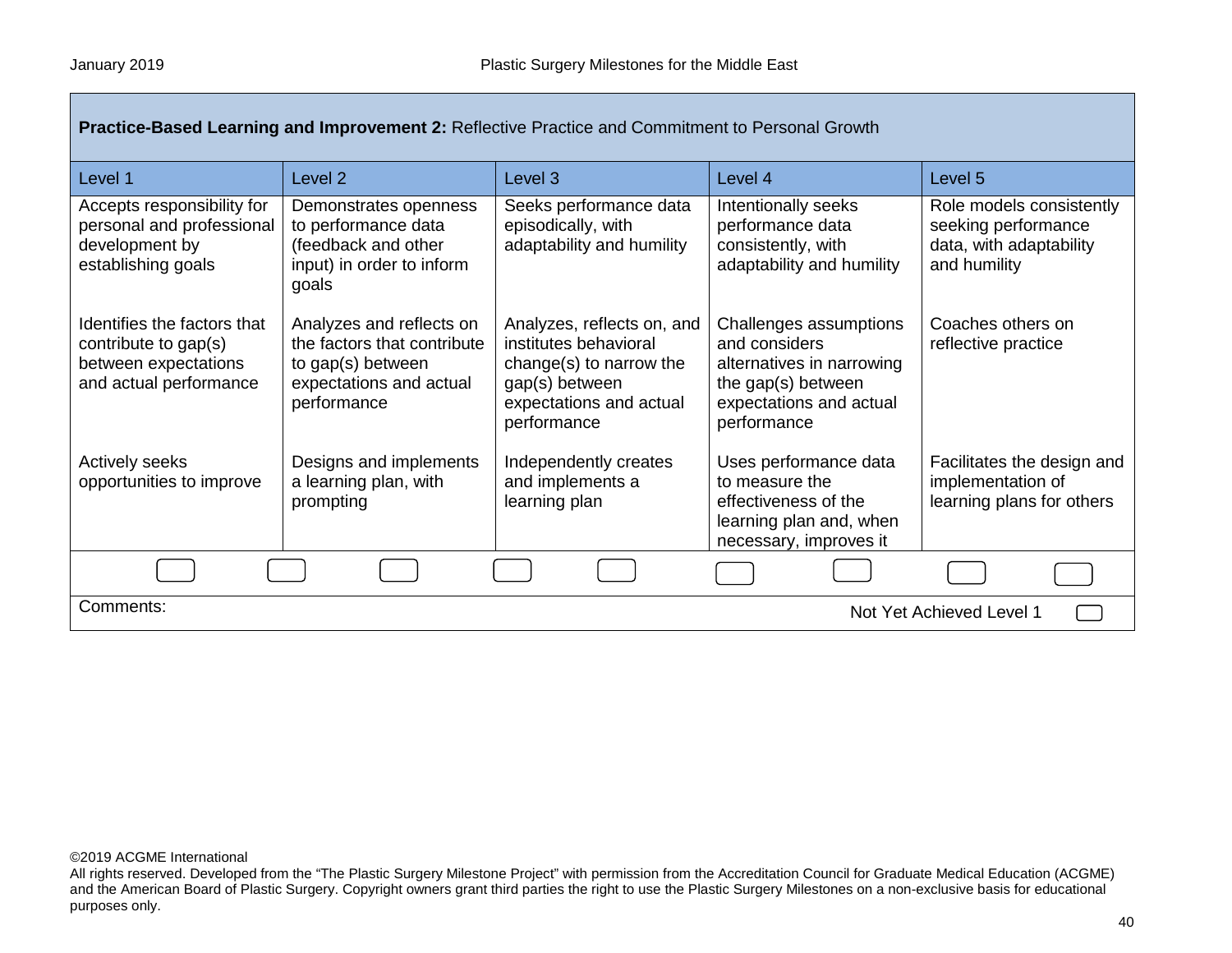Г

| Practice-Based Learning and Improvement 2: Reflective Practice and Commitment to Personal Growth      |                                                                                                                        |                                                                                                                                            |                                                                                                                                      |                                                                                            |
|-------------------------------------------------------------------------------------------------------|------------------------------------------------------------------------------------------------------------------------|--------------------------------------------------------------------------------------------------------------------------------------------|--------------------------------------------------------------------------------------------------------------------------------------|--------------------------------------------------------------------------------------------|
| Level 1                                                                                               | Level <sub>2</sub>                                                                                                     | Level 3                                                                                                                                    | Level 4                                                                                                                              | Level 5                                                                                    |
| Accepts responsibility for<br>personal and professional<br>development by<br>establishing goals       | Demonstrates openness<br>to performance data<br>(feedback and other<br>input) in order to inform<br>goals              | Seeks performance data<br>episodically, with<br>adaptability and humility                                                                  | Intentionally seeks<br>performance data<br>consistently, with<br>adaptability and humility                                           | Role models consistently<br>seeking performance<br>data, with adaptability<br>and humility |
| Identifies the factors that<br>contribute to gap(s)<br>between expectations<br>and actual performance | Analyzes and reflects on<br>the factors that contribute<br>to gap(s) between<br>expectations and actual<br>performance | Analyzes, reflects on, and<br>institutes behavioral<br>change(s) to narrow the<br>gap(s) between<br>expectations and actual<br>performance | Challenges assumptions<br>and considers<br>alternatives in narrowing<br>the gap(s) between<br>expectations and actual<br>performance | Coaches others on<br>reflective practice                                                   |
| Actively seeks<br>opportunities to improve                                                            | Designs and implements<br>a learning plan, with<br>prompting                                                           | Independently creates<br>and implements a<br>learning plan                                                                                 | Uses performance data<br>to measure the<br>effectiveness of the<br>learning plan and, when<br>necessary, improves it                 | Facilitates the design and<br>implementation of<br>learning plans for others               |
|                                                                                                       |                                                                                                                        |                                                                                                                                            |                                                                                                                                      |                                                                                            |
| Comments:<br>Not Yet Achieved Level 1                                                                 |                                                                                                                        |                                                                                                                                            |                                                                                                                                      |                                                                                            |

## ©2019 ACGME International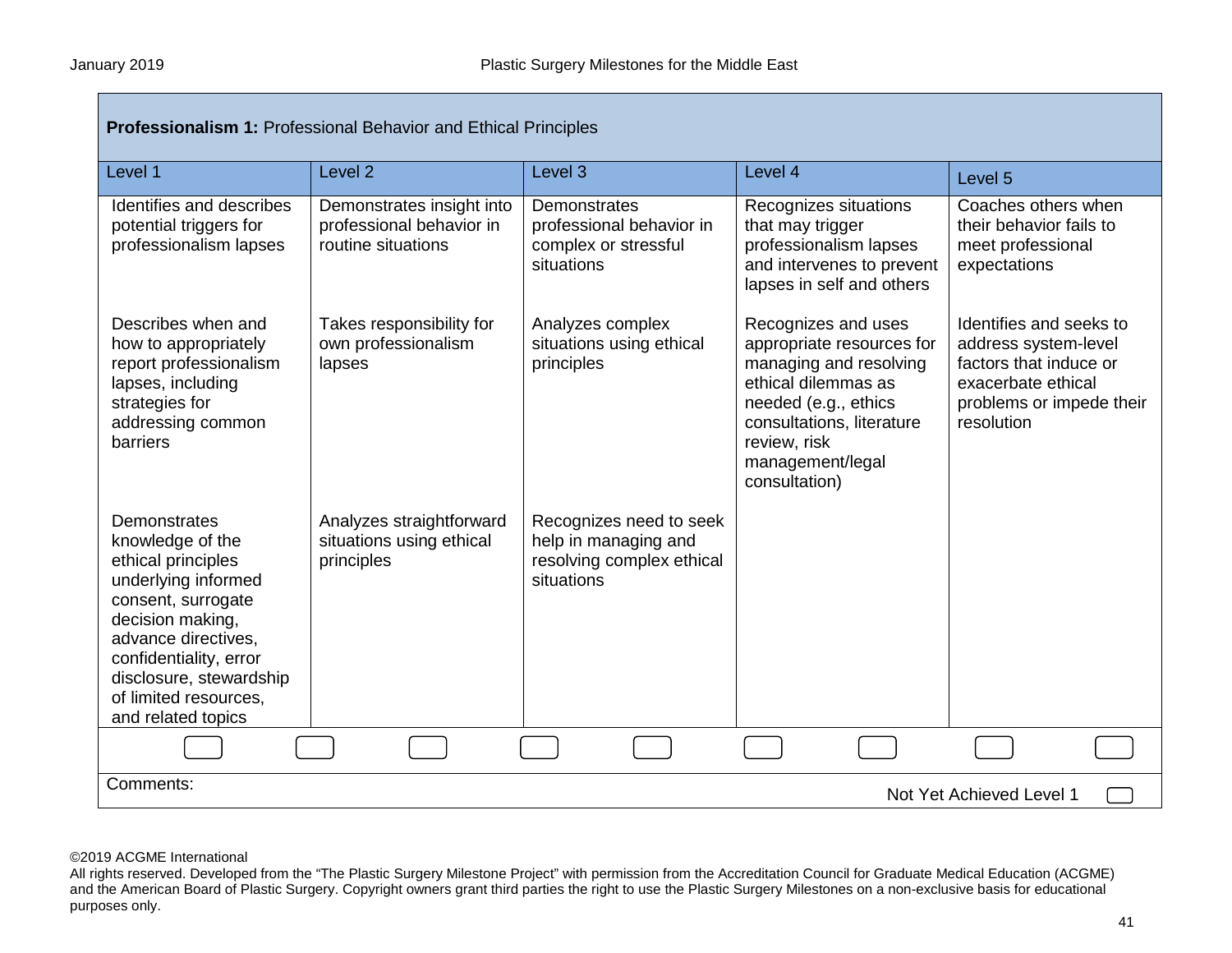| <b>Professionalism 1: Professional Behavior and Ethical Principles</b>                                                                                                                                                                             |                                                                             |                                                                                            |                                                                                                                                                                                                             |                                                                                                                                           |  |
|----------------------------------------------------------------------------------------------------------------------------------------------------------------------------------------------------------------------------------------------------|-----------------------------------------------------------------------------|--------------------------------------------------------------------------------------------|-------------------------------------------------------------------------------------------------------------------------------------------------------------------------------------------------------------|-------------------------------------------------------------------------------------------------------------------------------------------|--|
| Level 1                                                                                                                                                                                                                                            | Level <sub>2</sub>                                                          | Level 3                                                                                    | Level 4                                                                                                                                                                                                     | Level 5                                                                                                                                   |  |
| Identifies and describes<br>potential triggers for<br>professionalism lapses                                                                                                                                                                       | Demonstrates insight into<br>professional behavior in<br>routine situations | Demonstrates<br>professional behavior in<br>complex or stressful<br>situations             | Recognizes situations<br>that may trigger<br>professionalism lapses<br>and intervenes to prevent<br>lapses in self and others                                                                               | Coaches others when<br>their behavior fails to<br>meet professional<br>expectations                                                       |  |
| Describes when and<br>how to appropriately<br>report professionalism<br>lapses, including<br>strategies for<br>addressing common<br>barriers                                                                                                       | Takes responsibility for<br>own professionalism<br>lapses                   | Analyzes complex<br>situations using ethical<br>principles                                 | Recognizes and uses<br>appropriate resources for<br>managing and resolving<br>ethical dilemmas as<br>needed (e.g., ethics<br>consultations, literature<br>review, risk<br>management/legal<br>consultation) | Identifies and seeks to<br>address system-level<br>factors that induce or<br>exacerbate ethical<br>problems or impede their<br>resolution |  |
| Demonstrates<br>knowledge of the<br>ethical principles<br>underlying informed<br>consent, surrogate<br>decision making,<br>advance directives,<br>confidentiality, error<br>disclosure, stewardship<br>of limited resources,<br>and related topics | Analyzes straightforward<br>situations using ethical<br>principles          | Recognizes need to seek<br>help in managing and<br>resolving complex ethical<br>situations |                                                                                                                                                                                                             |                                                                                                                                           |  |
|                                                                                                                                                                                                                                                    |                                                                             |                                                                                            |                                                                                                                                                                                                             |                                                                                                                                           |  |
| Comments:<br>Not Yet Achieved Level 1                                                                                                                                                                                                              |                                                                             |                                                                                            |                                                                                                                                                                                                             |                                                                                                                                           |  |

All rights reserved. Developed from the "The Plastic Surgery Milestone Project" with permission from the Accreditation Council for Graduate Medical Education (ACGME) and the American Board of Plastic Surgery. Copyright owners grant third parties the right to use the Plastic Surgery Milestones on a non-exclusive basis for educational purposes only.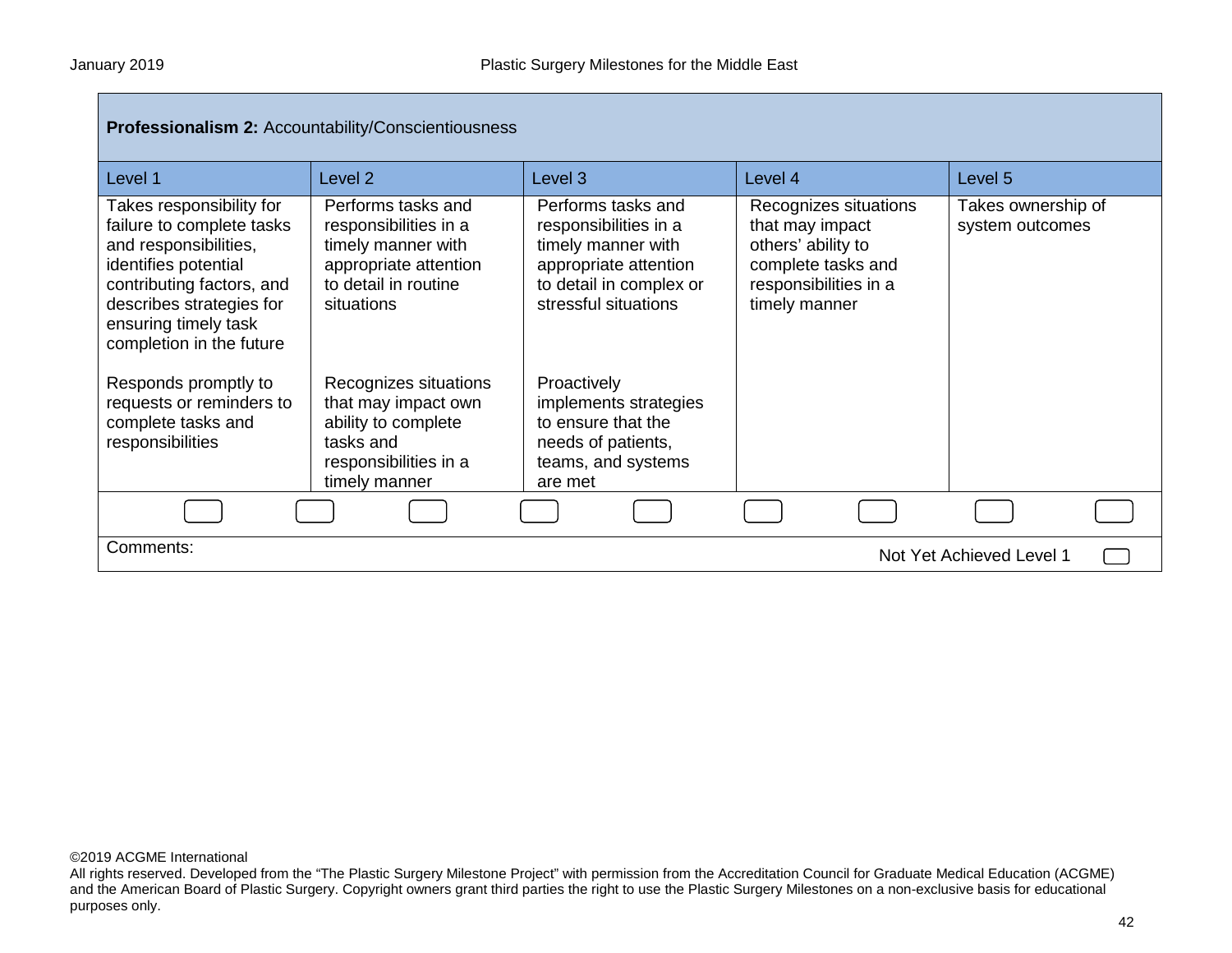| <b>Professionalism 2: Accountability/Conscientiousness</b>                                                                                                                                                                                                                                                        |                                                                                                                                                                                                                                                                |                                                                                                                                                                                                                                                                    |                                                                                                                                |                                       |  |
|-------------------------------------------------------------------------------------------------------------------------------------------------------------------------------------------------------------------------------------------------------------------------------------------------------------------|----------------------------------------------------------------------------------------------------------------------------------------------------------------------------------------------------------------------------------------------------------------|--------------------------------------------------------------------------------------------------------------------------------------------------------------------------------------------------------------------------------------------------------------------|--------------------------------------------------------------------------------------------------------------------------------|---------------------------------------|--|
| Level 1                                                                                                                                                                                                                                                                                                           | Level <sub>2</sub>                                                                                                                                                                                                                                             | Level <sub>3</sub>                                                                                                                                                                                                                                                 | Level 4                                                                                                                        | Level 5                               |  |
| Takes responsibility for<br>failure to complete tasks<br>and responsibilities,<br>identifies potential<br>contributing factors, and<br>describes strategies for<br>ensuring timely task<br>completion in the future<br>Responds promptly to<br>requests or reminders to<br>complete tasks and<br>responsibilities | Performs tasks and<br>responsibilities in a<br>timely manner with<br>appropriate attention<br>to detail in routine<br>situations<br>Recognizes situations<br>that may impact own<br>ability to complete<br>tasks and<br>responsibilities in a<br>timely manner | Performs tasks and<br>responsibilities in a<br>timely manner with<br>appropriate attention<br>to detail in complex or<br>stressful situations<br>Proactively<br>implements strategies<br>to ensure that the<br>needs of patients,<br>teams, and systems<br>are met | Recognizes situations<br>that may impact<br>others' ability to<br>complete tasks and<br>responsibilities in a<br>timely manner | Takes ownership of<br>system outcomes |  |
|                                                                                                                                                                                                                                                                                                                   |                                                                                                                                                                                                                                                                |                                                                                                                                                                                                                                                                    |                                                                                                                                |                                       |  |
| Comments:<br>Not Yet Achieved Level 1                                                                                                                                                                                                                                                                             |                                                                                                                                                                                                                                                                |                                                                                                                                                                                                                                                                    |                                                                                                                                |                                       |  |

All rights reserved. Developed from the "The Plastic Surgery Milestone Project" with permission from the Accreditation Council for Graduate Medical Education (ACGME) and the American Board of Plastic Surgery. Copyright owners grant third parties the right to use the Plastic Surgery Milestones on a non-exclusive basis for educational purposes only.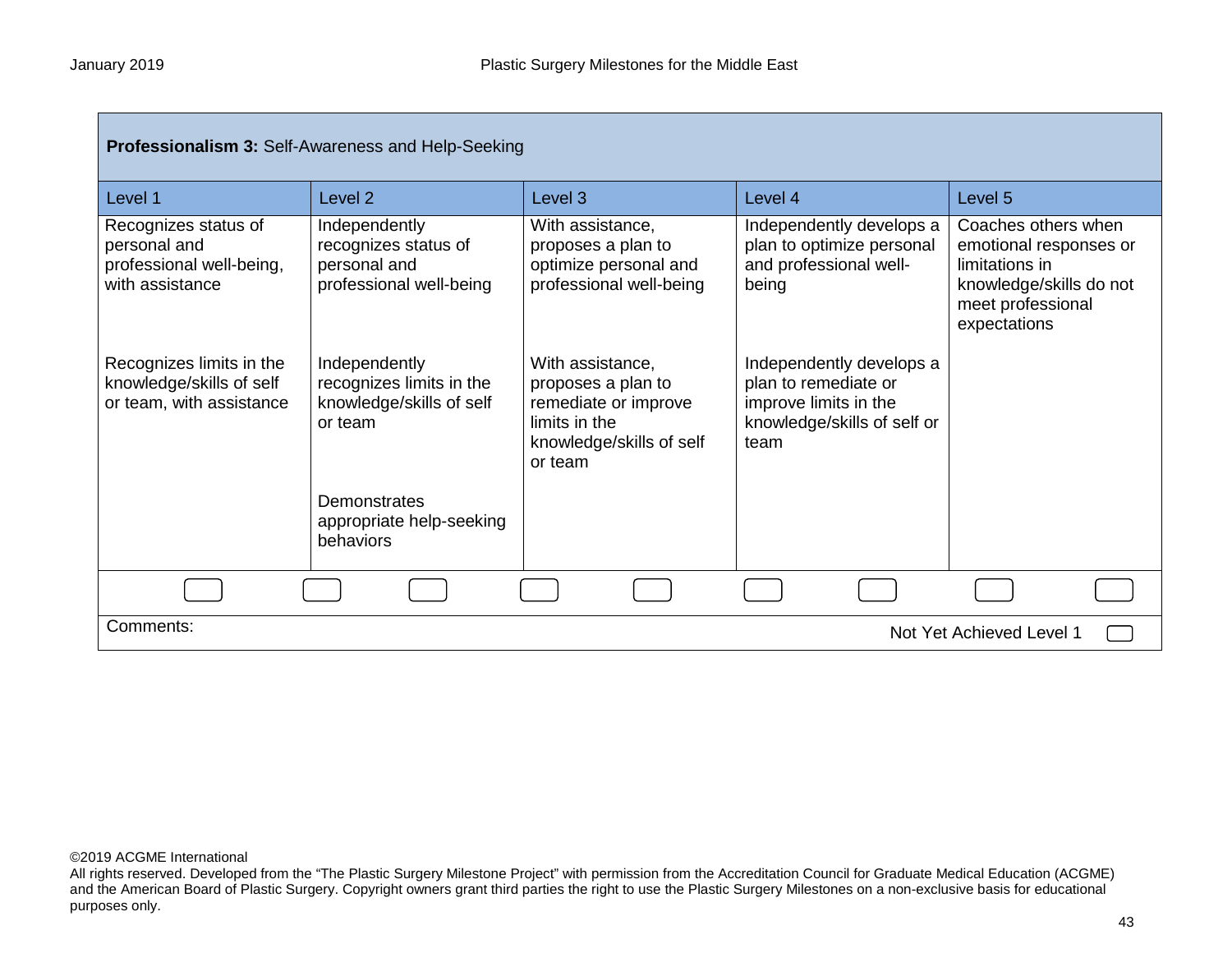| <b>Professionalism 3: Self-Awareness and Help-Seeking</b>                           |                                                                                  |                                                                                                                        |                                                                                                                  |                                                                                                                                 |  |
|-------------------------------------------------------------------------------------|----------------------------------------------------------------------------------|------------------------------------------------------------------------------------------------------------------------|------------------------------------------------------------------------------------------------------------------|---------------------------------------------------------------------------------------------------------------------------------|--|
| Level 1                                                                             | Level <sub>2</sub>                                                               | Level <sub>3</sub>                                                                                                     | Level 4                                                                                                          | Level 5                                                                                                                         |  |
| Recognizes status of<br>personal and<br>professional well-being,<br>with assistance | Independently<br>recognizes status of<br>personal and<br>professional well-being | With assistance,<br>proposes a plan to<br>optimize personal and<br>professional well-being                             | Independently develops a<br>plan to optimize personal<br>and professional well-<br>being                         | Coaches others when<br>emotional responses or<br>limitations in<br>knowledge/skills do not<br>meet professional<br>expectations |  |
| Recognizes limits in the<br>knowledge/skills of self<br>or team, with assistance    | Independently<br>recognizes limits in the<br>knowledge/skills of self<br>or team | With assistance,<br>proposes a plan to<br>remediate or improve<br>limits in the<br>knowledge/skills of self<br>or team | Independently develops a<br>plan to remediate or<br>improve limits in the<br>knowledge/skills of self or<br>team |                                                                                                                                 |  |
|                                                                                     | Demonstrates<br>appropriate help-seeking<br>behaviors                            |                                                                                                                        |                                                                                                                  |                                                                                                                                 |  |
|                                                                                     |                                                                                  |                                                                                                                        |                                                                                                                  |                                                                                                                                 |  |
| Comments:<br>Not Yet Achieved Level 1                                               |                                                                                  |                                                                                                                        |                                                                                                                  |                                                                                                                                 |  |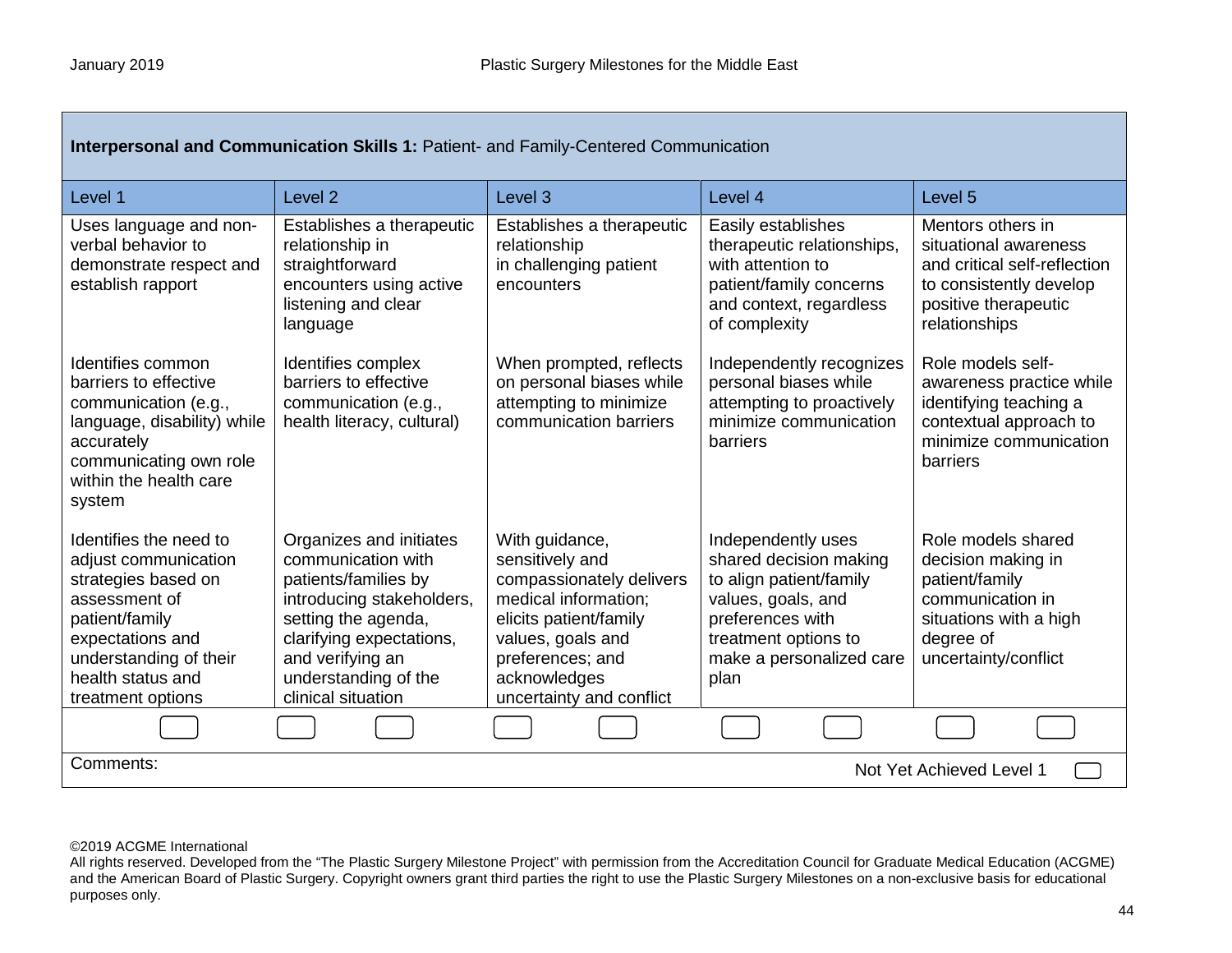| Interpersonal and Communication Skills 1: Patient- and Family-Centered Communication                                                                                                             |                                                                                                                                                                                                                         |                                                                                                                                                                                                      |                                                                                                                                                                               |                                                                                                                                                |  |
|--------------------------------------------------------------------------------------------------------------------------------------------------------------------------------------------------|-------------------------------------------------------------------------------------------------------------------------------------------------------------------------------------------------------------------------|------------------------------------------------------------------------------------------------------------------------------------------------------------------------------------------------------|-------------------------------------------------------------------------------------------------------------------------------------------------------------------------------|------------------------------------------------------------------------------------------------------------------------------------------------|--|
| Level 1                                                                                                                                                                                          | Level <sub>2</sub>                                                                                                                                                                                                      | Level <sub>3</sub>                                                                                                                                                                                   | Level 4                                                                                                                                                                       | Level 5                                                                                                                                        |  |
| Uses language and non-<br>verbal behavior to<br>demonstrate respect and<br>establish rapport                                                                                                     | Establishes a therapeutic<br>relationship in<br>straightforward<br>encounters using active<br>listening and clear<br>language                                                                                           | Establishes a therapeutic<br>relationship<br>in challenging patient<br>encounters                                                                                                                    | Easily establishes<br>therapeutic relationships,<br>with attention to<br>patient/family concerns<br>and context, regardless<br>of complexity                                  | Mentors others in<br>situational awareness<br>and critical self-reflection<br>to consistently develop<br>positive therapeutic<br>relationships |  |
| Identifies common<br>barriers to effective<br>communication (e.g.,<br>language, disability) while<br>accurately<br>communicating own role<br>within the health care<br>system                    | Identifies complex<br>barriers to effective<br>communication (e.g.,<br>health literacy, cultural)                                                                                                                       | When prompted, reflects<br>on personal biases while<br>attempting to minimize<br>communication barriers                                                                                              | Independently recognizes<br>personal biases while<br>attempting to proactively<br>minimize communication<br>barriers                                                          | Role models self-<br>awareness practice while<br>identifying teaching a<br>contextual approach to<br>minimize communication<br>barriers        |  |
| Identifies the need to<br>adjust communication<br>strategies based on<br>assessment of<br>patient/family<br>expectations and<br>understanding of their<br>health status and<br>treatment options | Organizes and initiates<br>communication with<br>patients/families by<br>introducing stakeholders,<br>setting the agenda,<br>clarifying expectations,<br>and verifying an<br>understanding of the<br>clinical situation | With guidance,<br>sensitively and<br>compassionately delivers<br>medical information;<br>elicits patient/family<br>values, goals and<br>preferences; and<br>acknowledges<br>uncertainty and conflict | Independently uses<br>shared decision making<br>to align patient/family<br>values, goals, and<br>preferences with<br>treatment options to<br>make a personalized care<br>plan | Role models shared<br>decision making in<br>patient/family<br>communication in<br>situations with a high<br>degree of<br>uncertainty/conflict  |  |
|                                                                                                                                                                                                  |                                                                                                                                                                                                                         |                                                                                                                                                                                                      |                                                                                                                                                                               |                                                                                                                                                |  |
| Comments:<br>Not Yet Achieved Level 1                                                                                                                                                            |                                                                                                                                                                                                                         |                                                                                                                                                                                                      |                                                                                                                                                                               |                                                                                                                                                |  |

All rights reserved. Developed from the "The Plastic Surgery Milestone Project" with permission from the Accreditation Council for Graduate Medical Education (ACGME) and the American Board of Plastic Surgery. Copyright owners grant third parties the right to use the Plastic Surgery Milestones on a non-exclusive basis for educational purposes only.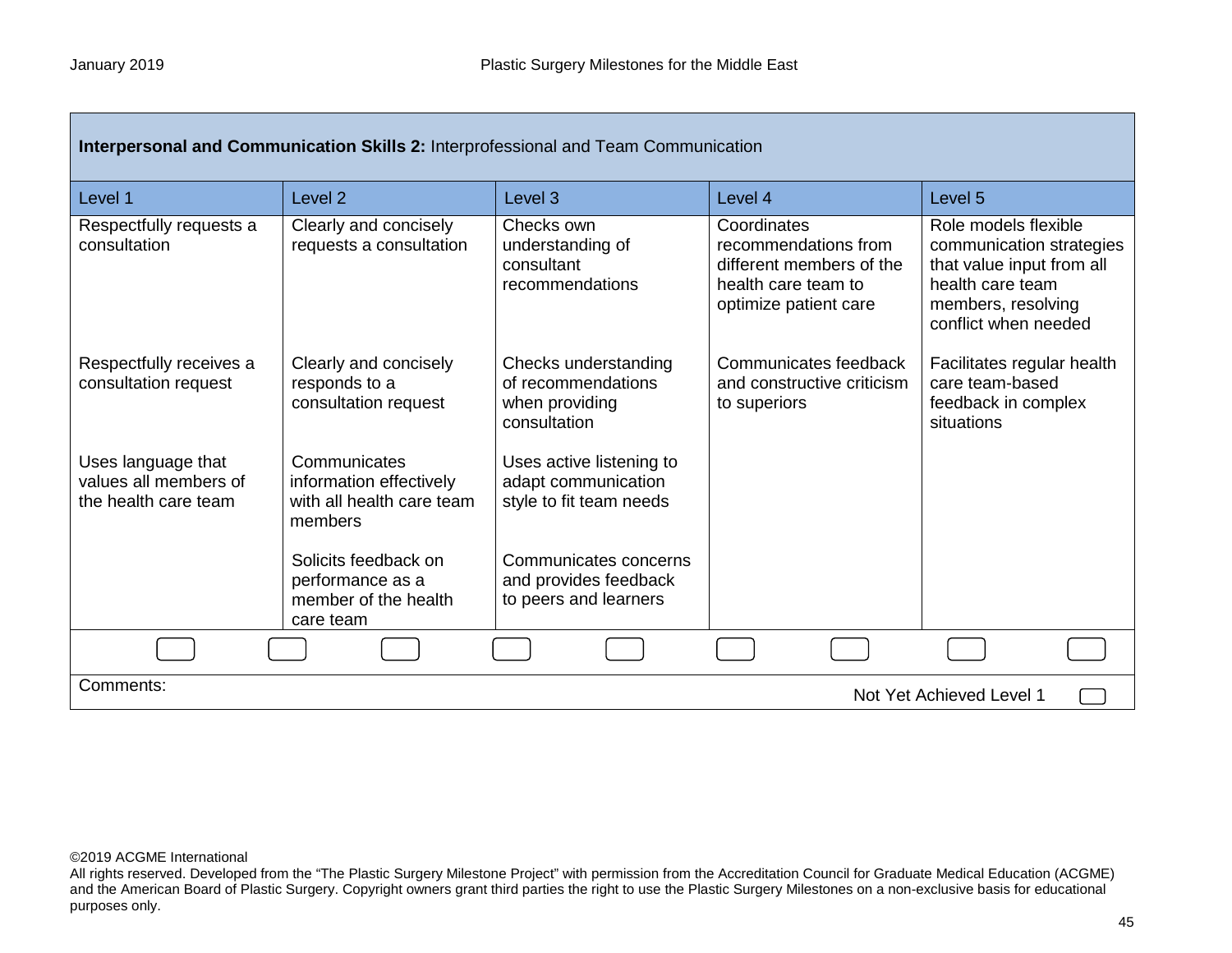| Interpersonal and Communication Skills 2: Interprofessional and Team Communication |                                                                                 |                                                                              |                                                                                                                 |                                                                                                                                                 |
|------------------------------------------------------------------------------------|---------------------------------------------------------------------------------|------------------------------------------------------------------------------|-----------------------------------------------------------------------------------------------------------------|-------------------------------------------------------------------------------------------------------------------------------------------------|
| Level 1                                                                            | Level <sub>2</sub>                                                              | Level <sub>3</sub>                                                           | Level 4                                                                                                         | Level <sub>5</sub>                                                                                                                              |
| Respectfully requests a<br>consultation                                            | Clearly and concisely<br>requests a consultation                                | Checks own<br>understanding of<br>consultant<br>recommendations              | Coordinates<br>recommendations from<br>different members of the<br>health care team to<br>optimize patient care | Role models flexible<br>communication strategies<br>that value input from all<br>health care team<br>members, resolving<br>conflict when needed |
| Respectfully receives a<br>consultation request                                    | Clearly and concisely<br>responds to a<br>consultation request                  | Checks understanding<br>of recommendations<br>when providing<br>consultation | Communicates feedback<br>and constructive criticism<br>to superiors                                             | Facilitates regular health<br>care team-based<br>feedback in complex<br>situations                                                              |
| Uses language that<br>values all members of<br>the health care team                | Communicates<br>information effectively<br>with all health care team<br>members | Uses active listening to<br>adapt communication<br>style to fit team needs   |                                                                                                                 |                                                                                                                                                 |
|                                                                                    | Solicits feedback on<br>performance as a<br>member of the health<br>care team   | Communicates concerns<br>and provides feedback<br>to peers and learners      |                                                                                                                 |                                                                                                                                                 |
|                                                                                    |                                                                                 |                                                                              |                                                                                                                 |                                                                                                                                                 |
| Comments:<br>Not Yet Achieved Level 1                                              |                                                                                 |                                                                              |                                                                                                                 |                                                                                                                                                 |